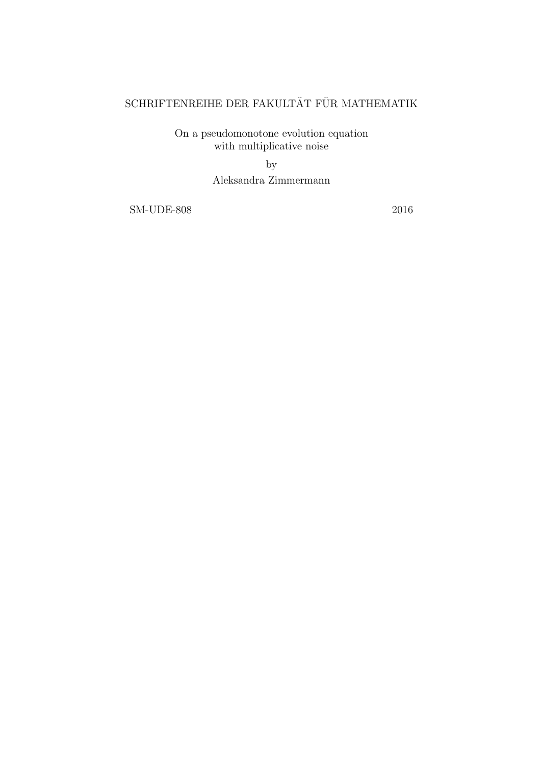# $\operatorname{SCHRIFTENREIHE}$ DER FAKULTÄT FÜR MATHEMATIK

On a pseudomonotone evolution equation with multiplicative noise

> by Aleksandra Zimmermann

SM-UDE-808 2016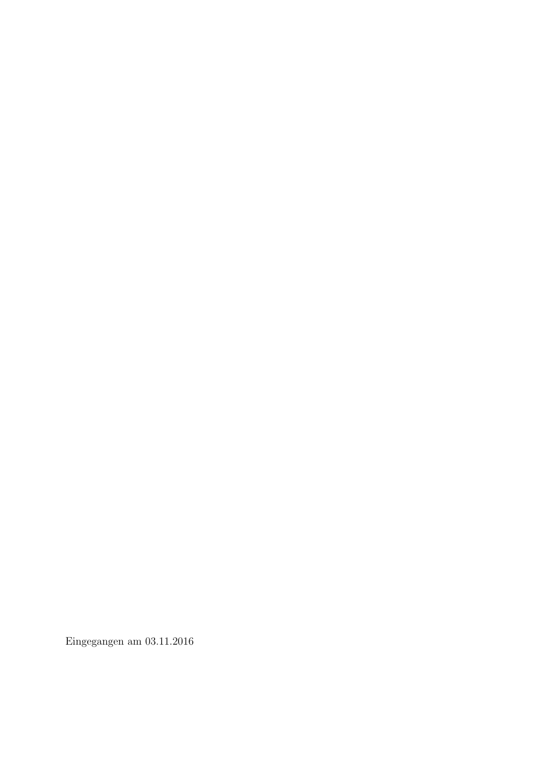Eingegangen am 03.11.2016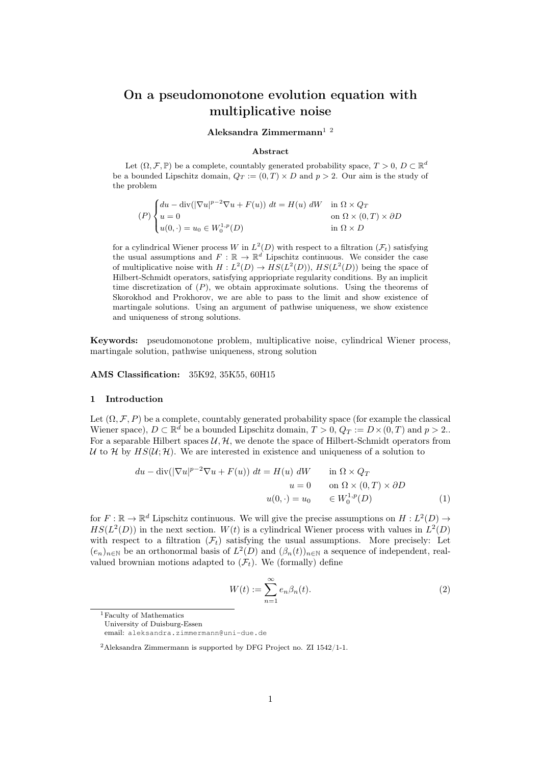## On a pseudomonotone evolution equation with multiplicative noise

#### Aleksandra Zimmermann<sup>12</sup>

#### Abstract

Let  $(\Omega, \mathcal{F}, \mathbb{P})$  be a complete, countably generated probability space,  $T > 0$ ,  $D \subset \mathbb{R}^d$ be a bounded Lipschitz domain,  $Q_T := (0, T) \times D$  and  $p > 2$ . Our aim is the study of the problem

$$
(P)\begin{cases} du - \operatorname{div}(|\nabla u|^{p-2}\nabla u + F(u)) dt = H(u) dW & \text{in } \Omega \times Q_T \\ u = 0 & \text{on } \Omega \times (0, T) \times \partial D \\ u(0, \cdot) = u_0 \in W_0^{1, p}(D) & \text{in } \Omega \times D \end{cases}
$$

for a cylindrical Wiener process W in  $L^2(D)$  with respect to a filtration  $(\mathcal{F}_t)$  satisfying the usual assumptions and  $F : \mathbb{R} \to \mathbb{R}^d$  Lipschitz continuous. We consider the case of multiplicative noise with  $H: L^2(D) \to HS(L^2(D)), HS(L^2(D))$  being the space of Hilbert-Schmidt operators, satisfying appriopriate regularity conditions. By an implicit time discretization of  $(P)$ , we obtain approximate solutions. Using the theorems of Skorokhod and Prokhorov, we are able to pass to the limit and show existence of martingale solutions. Using an argument of pathwise uniqueness, we show existence and uniqueness of strong solutions.

Keywords: pseudomonotone problem, multiplicative noise, cylindrical Wiener process, martingale solution, pathwise uniqueness, strong solution

AMS Classification: 35K92, 35K55, 60H15

#### 1 Introduction

Let  $(\Omega, \mathcal{F}, P)$  be a complete, countably generated probability space (for example the classical Wiener space),  $D \subset \mathbb{R}^d$  be a bounded Lipschitz domain,  $T > 0$ ,  $Q_T := D \times (0, T)$  and  $p > 2$ . For a separable Hilbert spaces  $\mathcal{U}, \mathcal{H}$ , we denote the space of Hilbert-Schmidt operators from U to H by  $HS(\mathcal{U}; \mathcal{H})$ . We are interested in existence and uniqueness of a solution to

$$
du - \operatorname{div}(|\nabla u|^{p-2}\nabla u + F(u)) dt = H(u) dW \qquad \text{in } \Omega \times Q_T
$$

$$
u = 0 \qquad \text{on } \Omega \times (0, T) \times \partial D
$$

$$
u(0, \cdot) = u_0 \qquad \in W_0^{1, p}(D) \tag{1}
$$

for  $F: \mathbb{R} \to \mathbb{R}^d$  Lipschitz continuous. We will give the precise assumptions on  $H: L^2(D) \to$  $HS(L<sup>2</sup>(D))$  in the next section.  $W(t)$  is a cylindrical Wiener process with values in  $L<sup>2</sup>(D)$ with respect to a filtration  $(\mathcal{F}_t)$  satisfying the usual assumptions. More precisely: Let  $(e_n)_{n\in\mathbb{N}}$  be an orthonormal basis of  $L^2(D)$  and  $(\beta_n(t))_{n\in\mathbb{N}}$  a sequence of independent, realvalued brownian motions adapted to  $(\mathcal{F}_t)$ . We (formally) define

$$
W(t) := \sum_{n=1}^{\infty} e_n \beta_n(t).
$$
 (2)

<sup>1</sup>Faculty of Mathematics

University of Duisburg-Essen

email: aleksandra.zimmermann@uni-due.de

<sup>2</sup>Aleksandra Zimmermann is supported by DFG Project no. ZI 1542/1-1.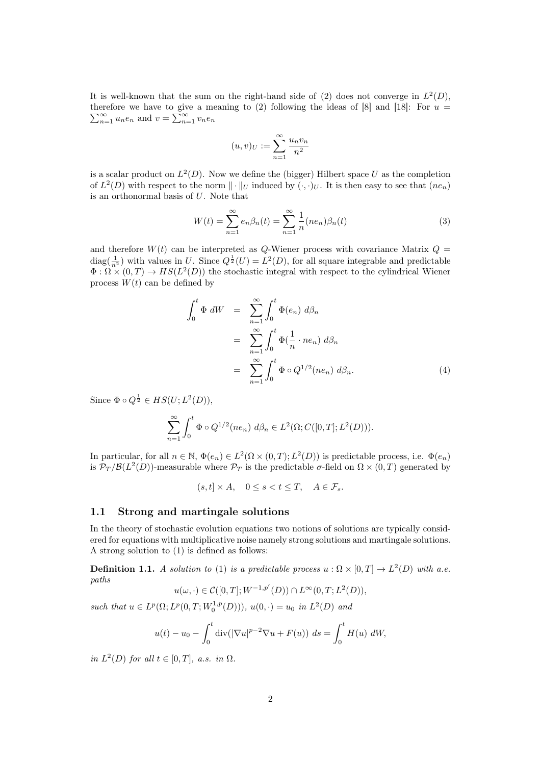It is well-known that the sum on the right-hand side of (2) does not converge in  $L^2(D)$ , therefore we have to give a meaning to (2) following the ideas of [8] and [18]: For  $\sum$ erefore we have to give a meaning to (2) following the ideas of [8] and [18]: For  $u = \sum_{n=1}^{\infty} u_n e_n$  and  $v = \sum_{n=1}^{\infty} v_n e_n$ 

$$
(u,v)_U:=\sum_{n=1}^\infty \frac{u_nv_n}{n^2}
$$

is a scalar product on  $L^2(D)$ . Now we define the (bigger) Hilbert space U as the completion of  $L^2(D)$  with respect to the norm  $\|\cdot\|_U$  induced by  $(\cdot,\cdot)_U$ . It is then easy to see that  $(ne_n)$ is an orthonormal basis of U. Note that

$$
W(t) = \sum_{n=1}^{\infty} e_n \beta_n(t) = \sum_{n=1}^{\infty} \frac{1}{n} (ne_n) \beta_n(t)
$$
 (3)

and therefore  $W(t)$  can be interpreted as Q-Wiener process with covariance Matrix  $Q =$  $\text{diag}(\frac{1}{n^2})$  with values in U. Since  $Q^{\frac{1}{2}}(U) = L^2(D)$ , for all square integrable and predictable  $\Phi : \Omega \times (0,T) \to HS(L^2(D))$  the stochastic integral with respect to the cylindrical Wiener process  $W(t)$  can be defined by

$$
\int_0^t \Phi \, dW = \sum_{n=1}^\infty \int_0^t \Phi(e_n) \, d\beta_n
$$
  
= 
$$
\sum_{n=1}^\infty \int_0^t \Phi(\frac{1}{n} \cdot ne_n) \, d\beta_n
$$
  
= 
$$
\sum_{n=1}^\infty \int_0^t \Phi \circ Q^{1/2}(ne_n) \, d\beta_n.
$$
 (4)

Since  $\Phi \circ Q^{\frac{1}{2}} \in HS(U; L^2(D)),$ 

$$
\sum_{n=1}^{\infty} \int_0^t \Phi \circ Q^{1/2}(ne_n) \ d\beta_n \in L^2(\Omega; C([0, T]; L^2(D))).
$$

In particular, for all  $n \in \mathbb{N}$ ,  $\Phi(e_n) \in L^2(\Omega \times (0,T); L^2(D))$  is predictable process, i.e.  $\Phi(e_n)$ is  $\mathcal{P}_T/\mathcal{B}(L^2(D))$ -measurable where  $\mathcal{P}_T$  is the predictable  $\sigma$ -field on  $\Omega \times (0,T)$  generated by

 $(s, t] \times A$ ,  $0 \leq s \leq t \leq T$ ,  $A \in \mathcal{F}_s$ .

### 1.1 Strong and martingale solutions

In the theory of stochastic evolution equations two notions of solutions are typically considered for equations with multiplicative noise namely strong solutions and martingale solutions. A strong solution to (1) is defined as follows:

**Definition 1.1.** A solution to (1) is a predictable process  $u : \Omega \times [0,T] \to L^2(D)$  with a.e. paths

$$
u(\omega,\cdot)\in \mathcal{C}([0,T];W^{-1,p'}(D))\cap L^\infty(0,T;L^2(D)),
$$

such that  $u \in L^p(\Omega; L^p(0,T; W_0^{1,p}(D))), u(0, \cdot) = u_0$  in  $L^2(D)$  and

$$
u(t) - u_0 - \int_0^t \text{div}(|\nabla u|^{p-2} \nabla u + F(u)) \, ds = \int_0^t H(u) \, dW,
$$

in  $L^2(D)$  for all  $t \in [0,T]$ , a.s. in  $\Omega$ .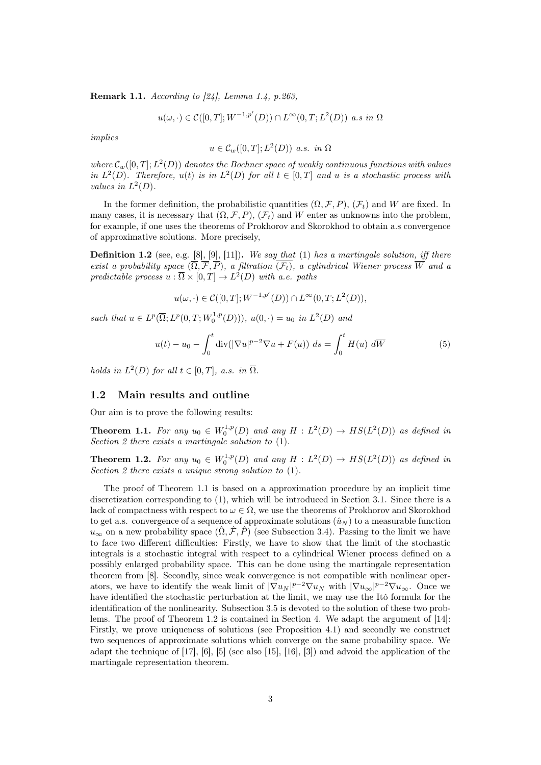Remark 1.1. According to [24], Lemma 1.4, p.263,

$$
u(\omega, \cdot) \in \mathcal{C}([0,T]; W^{-1,p'}(D)) \cap L^{\infty}(0,T; L^2(D)) \text{ a.s in } \Omega
$$

implies

$$
u \in \mathcal{C}_w([0,T];L^2(D)) \text{ a.s. in } \Omega
$$

where  $\mathcal{C}_w([0,T];L^2(D))$  denotes the Bochner space of weakly continuous functions with values in  $L^2(D)$ . Therefore,  $u(t)$  is in  $L^2(D)$  for all  $t \in [0,T]$  and u is a stochastic process with values in  $L^2(D)$ .

In the former definition, the probabilistic quantities  $(\Omega, \mathcal{F}, P)$ ,  $(\mathcal{F}_t)$  and W are fixed. In many cases, it is necessary that  $(\Omega, \mathcal{F}, P)$ ,  $(\mathcal{F}_t)$  and W enter as unknowns into the problem, for example, if one uses the theorems of Prokhorov and Skorokhod to obtain a.s convergence of approximative solutions. More precisely,

**Definition 1.2** (see, e.g.  $[8]$ ,  $[9]$ ,  $[11]$ ). We say that  $(1)$  has a martingale solution, iff there exist a probability space  $(\overline{\Omega}, \overline{\mathcal{F}}, \overline{P})$ , a filtration  $\overline{(\mathcal{F}_t)}$ , a cylindrical Wiener process  $\overline{W}$  and a predictable process  $u : \overline{\Omega} \times [0,T] \to L^2(D)$  with a.e. paths

$$
u(\omega,\cdot)\in \mathcal{C}([0,T];W^{-1,p'}(D))\cap L^\infty(0,T;L^2(D)),
$$

such that  $u \in L^p(\overline{\Omega}; L^p(0,T; W_0^{1,p}(D))), u(0, \cdot) = u_0$  in  $L^2(D)$  and

$$
u(t) - u_0 - \int_0^t \operatorname{div}(|\nabla u|^{p-2} \nabla u + F(u)) ds = \int_0^t H(u) d\overline{W}
$$
 (5)

holds in  $L^2(D)$  for all  $t \in [0,T]$ , a.s. in  $\overline{\Omega}$ .

#### 1.2 Main results and outline

Our aim is to prove the following results:

**Theorem 1.1.** For any  $u_0 \in W_0^{1,p}(D)$  and any  $H : L^2(D) \to HS(L^2(D))$  as defined in Section 2 there exists a martingale solution to (1).

**Theorem 1.2.** For any  $u_0 \in W_0^{1,p}(D)$  and any  $H: L^2(D) \to HS(L^2(D))$  as defined in Section 2 there exists a unique strong solution to  $(1)$ .

The proof of Theorem 1.1 is based on a approximation procedure by an implicit time discretization corresponding to (1), which will be introduced in Section 3.1. Since there is a lack of compactness with respect to  $\omega \in \Omega$ , we use the theorems of Prokhorov and Skorokhod to get a.s. convergence of a sequence of approximate solutions  $(\hat{u}_N)$  to a measurable function  $u_{\infty}$  on a new probability space  $(\hat{\Omega}, \hat{\mathcal{F}}, \hat{P})$  (see Subsection 3.4). Passing to the limit we have to face two different difficulties: Firstly, we have to show that the limit of the stochastic integrals is a stochastic integral with respect to a cylindrical Wiener process defined on a possibly enlarged probability space. This can be done using the martingale representation theorem from [8]. Secondly, since weak convergence is not compatible with nonlinear operators, we have to identify the weak limit of  $|\nabla u_N|^{p-2} \nabla u_N$  with  $|\nabla u_\infty|^{p-2} \nabla u_\infty$ . Once we have identified the stochastic perturbation at the limit, we may use the Itô formula for the identification of the nonlinearity. Subsection 3.5 is devoted to the solution of these two problems. The proof of Theorem 1.2 is contained in Section 4. We adapt the argument of [14]: Firstly, we prove uniqueness of solutions (see Proposition 4.1) and secondly we construct two sequences of approximate solutions which converge on the same probability space. We adapt the technique of [17], [6], [5] (see also [15], [16], [3]) and advoid the application of the martingale representation theorem.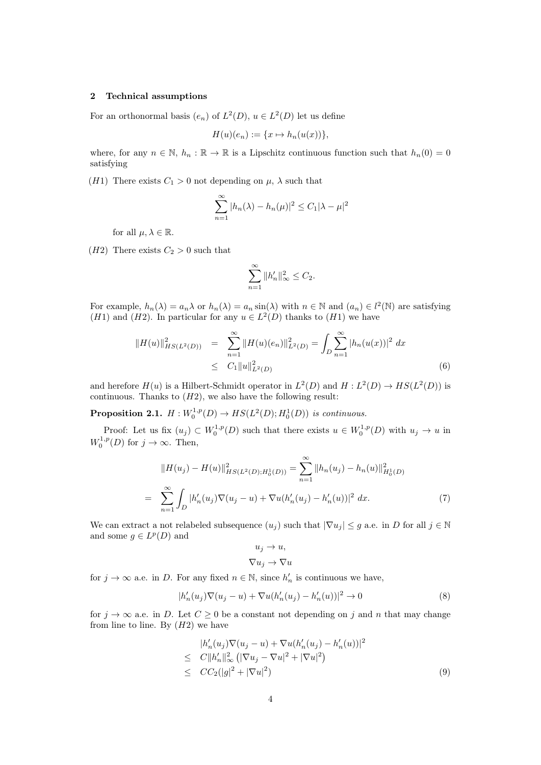#### 2 Technical assumptions

For an orthonormal basis  $(e_n)$  of  $L^2(D)$ ,  $u \in L^2(D)$  let us define

$$
H(u)(e_n) := \{x \mapsto h_n(u(x))\},\
$$

where, for any  $n \in \mathbb{N}$ ,  $h_n : \mathbb{R} \to \mathbb{R}$  is a Lipschitz continuous function such that  $h_n(0) = 0$ satisfying

(H1) There exists  $C_1 > 0$  not depending on  $\mu$ ,  $\lambda$  such that

$$
\sum_{n=1}^{\infty} |h_n(\lambda) - h_n(\mu)|^2 \le C_1 |\lambda - \mu|^2
$$

for all  $\mu, \lambda \in \mathbb{R}$ .

(*H2*) There exists  $C_2 > 0$  such that

$$
\sum_{n=1}^{\infty} \|h'_n\|_{\infty}^2 \le C_2.
$$

For example,  $h_n(\lambda) = a_n \lambda$  or  $h_n(\lambda) = a_n \sin(\lambda)$  with  $n \in \mathbb{N}$  and  $(a_n) \in l^2(\mathbb{N})$  are satisfying (*H*1) and (*H*2). In particular for any  $u \in L^2(D)$  thanks to (*H*1) we have

$$
||H(u)||_{HS(L^{2}(D))}^{2} = \sum_{n=1}^{\infty} ||H(u)(e_{n})||_{L^{2}(D)}^{2} = \int_{D} \sum_{n=1}^{\infty} |h_{n}(u(x))|^{2} dx
$$
  
 
$$
\leq C_{1}||u||_{L^{2}(D)}^{2}
$$
 (6)

and herefore  $H(u)$  is a Hilbert-Schmidt operator in  $L^2(D)$  and  $H: L^2(D) \to HS(L^2(D))$  is continuous. Thanks to  $(H2)$ , we also have the following result:

**Proposition 2.1.**  $H: W_0^{1,p}(D) \to HS(L^2(D); H_0^1(D))$  is continuous.

Proof: Let us fix  $(u_j) \subset W_0^{1,p}(D)$  such that there exists  $u \in W_0^{1,p}(D)$  with  $u_j \to u$  in  $W_0^{1,p}(D)$  for  $j \to \infty$ . Then,

$$
||H(u_j) - H(u)||_{HS(L^2(D);H_0^1(D))}^2 = \sum_{n=1}^{\infty} ||h_n(u_j) - h_n(u)||_{H_0^1(D)}^2
$$
  
= 
$$
\sum_{n=1}^{\infty} \int_D |h'_n(u_j)\nabla(u_j - u) + \nabla u(h'_n(u_j) - h'_n(u))|^2 dx.
$$
 (7)

We can extract a not relabeled subsequence  $(u_j)$  such that  $|\nabla u_j| \leq g$  a.e. in D for all  $j \in \mathbb{N}$ and some  $g \in L^p(D)$  and

$$
u_j \to u,
$$
  

$$
\nabla u_j \to \nabla u
$$

for  $j \to \infty$  a.e. in D. For any fixed  $n \in \mathbb{N}$ , since  $h'_n$  is continuous we have,

$$
|h'_n(u_j)\nabla(u_j - u) + \nabla u(h'_n(u_j) - h'_n(u))|^2 \to 0
$$
\n(8)

for  $j \to \infty$  a.e. in D. Let  $C > 0$  be a constant not depending on j and n that may change from line to line. By  $(H2)$  we have

$$
|h'_{n}(u_{j})\nabla(u_{j}-u)+\nabla u(h'_{n}(u_{j})-h'_{n}(u))|^{2}
$$
  
\n
$$
\leq C||h'_{n}||_{\infty}^{2} (|\nabla u_{j}-\nabla u|^{2}+|\nabla u|^{2})
$$
  
\n
$$
\leq CC_{2}(|g|^{2}+|\nabla u|^{2})
$$
\n(9)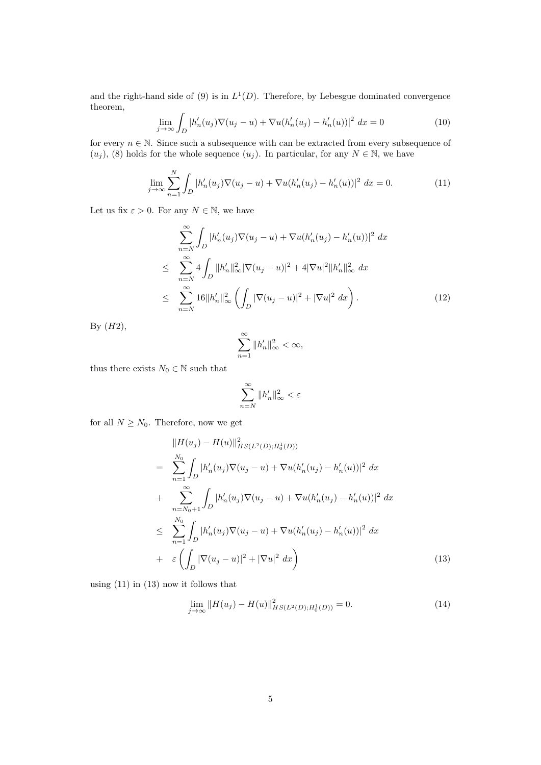and the right-hand side of (9) is in  $L^1(D)$ . Therefore, by Lebesgue dominated convergence theorem,

$$
\lim_{j \to \infty} \int_{D} |h'_n(u_j) \nabla (u_j - u) + \nabla u (h'_n(u_j) - h'_n(u))|^2 \, dx = 0 \tag{10}
$$

for every  $n \in \mathbb{N}$ . Since such a subsequence with can be extracted from every subsequence of  $(u_i)$ , (8) holds for the whole sequence  $(u_i)$ . In particular, for any  $N \in \mathbb{N}$ , we have

$$
\lim_{j \to \infty} \sum_{n=1}^{N} \int_{D} |h'_n(u_j) \nabla (u_j - u) + \nabla u (h'_n(u_j) - h'_n(u))|^2 dx = 0.
$$
 (11)

Let us fix  $\varepsilon > 0$ . For any  $N \in \mathbb{N}$ , we have

$$
\sum_{n=N}^{\infty} \int_{D} |h'_{n}(u_{j}) \nabla (u_{j} - u) + \nabla u (h'_{n}(u_{j}) - h'_{n}(u))|^{2} dx
$$
\n
$$
\leq \sum_{n=N}^{\infty} 4 \int_{D} ||h'_{n}||_{\infty}^{2} |\nabla (u_{j} - u)|^{2} + 4|\nabla u|^{2} ||h'_{n}||_{\infty}^{2} dx
$$
\n
$$
\leq \sum_{n=N}^{\infty} 16 ||h'_{n}||_{\infty}^{2} \left( \int_{D} |\nabla (u_{j} - u)|^{2} + |\nabla u|^{2} dx \right).
$$
\n(12)

By  $(H2)$ ,

$$
\sum_{n=1}^{\infty} \|h'_n\|_{\infty}^2 < \infty,
$$

thus there exists  $N_0\in\mathbb{N}$  such that

$$
\sum_{n=N}^{\infty} \|h'_n\|_{\infty}^2 < \varepsilon
$$

for all  $N \geq N_0$ . Therefore, now we get

$$
\|H(u_j) - H(u)\|_{HS(L^2(D);H_0^1(D))}^2
$$
\n
$$
= \sum_{n=1}^{N_0} \int_D |h'_n(u_j)\nabla(u_j - u) + \nabla u(h'_n(u_j) - h'_n(u))|^2 dx
$$
\n
$$
+ \sum_{n=N_0+1}^{\infty} \int_D |h'_n(u_j)\nabla(u_j - u) + \nabla u(h'_n(u_j) - h'_n(u))|^2 dx
$$
\n
$$
\leq \sum_{n=1}^{N_0} \int_D |h'_n(u_j)\nabla(u_j - u) + \nabla u(h'_n(u_j) - h'_n(u))|^2 dx
$$
\n
$$
+ \varepsilon \left( \int_D |\nabla(u_j - u)|^2 + |\nabla u|^2 dx \right)
$$
\n(13)

using (11) in (13) now it follows that

$$
\lim_{j \to \infty} ||H(u_j) - H(u)||_{HS(L^2(D); H_0^1(D))}^2 = 0.
$$
\n(14)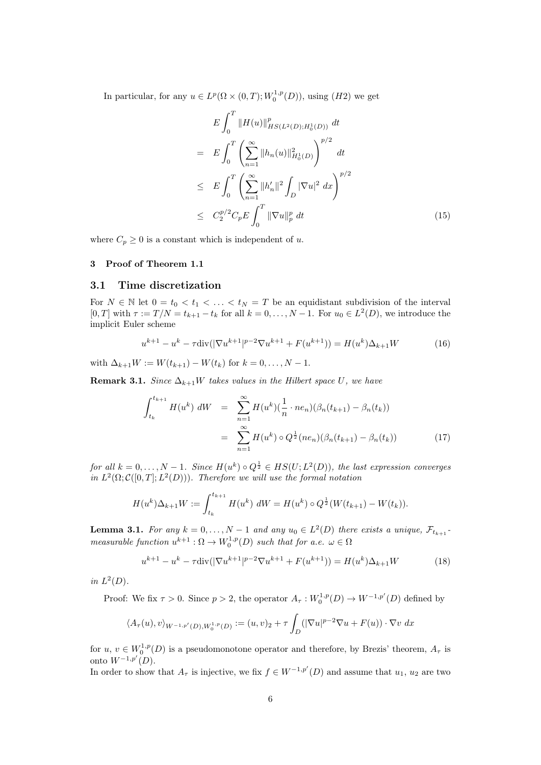In particular, for any  $u \in L^p(\Omega \times (0,T); W_0^{1,p}(D))$ , using  $(H2)$  we get

$$
E \int_0^T \|H(u)\|_{HS(L^2(D);H_0^1(D))}^p dt
$$
  
\n
$$
= E \int_0^T \left( \sum_{n=1}^\infty \|h_n(u)\|_{H_0^1(D)}^2 \right)^{p/2} dt
$$
  
\n
$$
\leq E \int_0^T \left( \sum_{n=1}^\infty \|h'_n\|^2 \int_D |\nabla u|^2 dx \right)^{p/2}
$$
  
\n
$$
\leq C_2^{p/2} C_p E \int_0^T \|\nabla u\|_p^p dt
$$
 (15)

where  $C_p \geq 0$  is a constant which is independent of u.

#### 3 Proof of Theorem 1.1

#### 3.1 Time discretization

For  $N \in \mathbb{N}$  let  $0 = t_0 < t_1 < \ldots < t_N = T$  be an equidistant subdivision of the interval [0, T] with  $\tau := T/N = t_{k+1} - t_k$  for all  $k = 0, \ldots, N-1$ . For  $u_0 \in L^2(D)$ , we introduce the implicit Euler scheme

$$
u^{k+1} - u^k - \tau \operatorname{div}(|\nabla u^{k+1}|^{p-2} \nabla u^{k+1} + F(u^{k+1})) = H(u^k) \Delta_{k+1} W \tag{16}
$$

with  $\Delta_{k+1}W := W(t_{k+1}) - W(t_k)$  for  $k = 0, ..., N - 1$ .

**Remark 3.1.** Since  $\Delta_{k+1}W$  takes values in the Hilbert space U, we have

$$
\int_{t_k}^{t_{k+1}} H(u^k) dW = \sum_{n=1}^{\infty} H(u^k) \left(\frac{1}{n} \cdot ne_n\right) \left(\beta_n(t_{k+1}) - \beta_n(t_k)\right)
$$

$$
= \sum_{n=1}^{\infty} H(u^k) \circ Q^{\frac{1}{2}}(ne_n) \left(\beta_n(t_{k+1}) - \beta_n(t_k)\right) \tag{17}
$$

for all  $k = 0, \ldots, N - 1$ . Since  $H(u^k) \circ Q^{\frac{1}{2}} \in HS(U; L^2(D))$ , the last expression converges in  $L^2(\Omega; \mathcal{C}([0,T]; L^2(D)))$ . Therefore we will use the formal notation

$$
H(u^k)\Delta_{k+1}W := \int_{t_k}^{t_{k+1}} H(u^k) \, dW = H(u^k) \circ Q^{\frac{1}{2}}(W(t_{k+1}) - W(t_k)).
$$

**Lemma 3.1.** For any  $k = 0, ..., N - 1$  and any  $u_0 \in L^2(D)$  there exists a unique,  $\mathcal{F}_{t_{k+1}}$ . measurable function  $u^{k+1} : \Omega \to W_0^{1,p}(D)$  such that for a.e.  $\omega \in \Omega$ 

$$
u^{k+1} - u^k - \tau \operatorname{div}(|\nabla u^{k+1}|^{p-2} \nabla u^{k+1} + F(u^{k+1})) = H(u^k) \Delta_{k+1} W \tag{18}
$$

in  $L^2(D)$ .

Proof: We fix  $\tau > 0$ . Since  $p > 2$ , the operator  $A_{\tau}: W_0^{1,p}(D) \to W^{-1,p'}(D)$  defined by

$$
\langle A_{\tau}(u), v \rangle_{W^{-1,p'}(D), W_0^{1,p}(D)} := (u, v)_2 + \tau \int_D (|\nabla u|^{p-2} \nabla u + F(u)) \cdot \nabla v \, dx
$$

for  $u, v \in W_0^{1,p}(D)$  is a pseudomonotone operator and therefore, by Brezis' theorem,  $A_{\tau}$  is onto  $W^{-1,p'}(D)$ .

In order to show that  $A_{\tau}$  is injective, we fix  $f \in W^{-1,p'}(D)$  and assume that  $u_1, u_2$  are two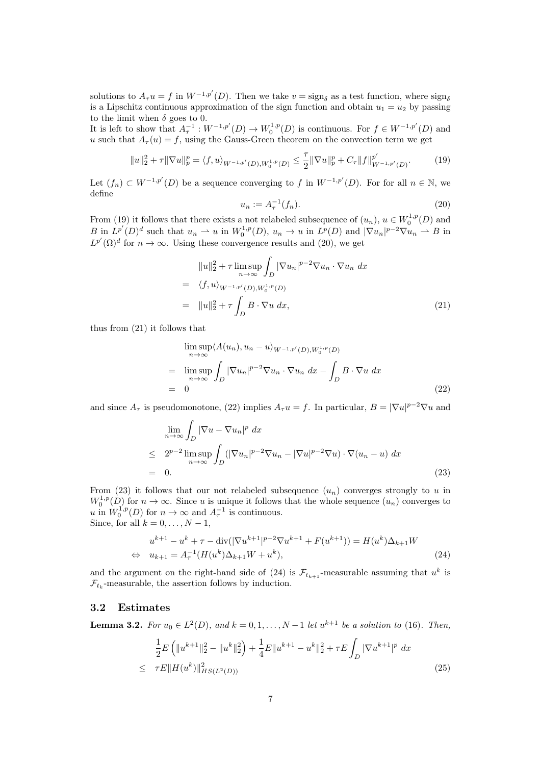solutions to  $A_{\tau}u = f$  in  $W^{-1,p'}(D)$ . Then we take  $v = \text{sign}_{\delta}$  as a test function, where  $\text{sign}_{\delta}$ is a Lipschitz continuous approximation of the sign function and obtain  $u_1 = u_2$  by passing to the limit when  $\delta$  goes to 0.

It is left to show that  $A_{\tau}^{-1}: W^{-1,p'}(D) \to W_0^{1,p}(D)$  is continuous. For  $f \in W^{-1,p'}(D)$  and u such that  $A_{\tau}(u) = f$ , using the Gauss-Green theorem on the convection term we get

$$
||u||_2^2 + \tau ||\nabla u||_p^p = \langle f, u \rangle_{W^{-1,p'}(D), W_0^{1,p}(D)} \le \frac{\tau}{2} ||\nabla u||_p^p + C_{\tau} ||f||_{W^{-1,p'}(D)}^{p'}.
$$
 (19)

Let  $(f_n) \subset W^{-1,p'}(D)$  be a sequence converging to f in  $W^{-1,p'}(D)$ . For for all  $n \in \mathbb{N}$ , we define

$$
u_n := A_\tau^{-1}(f_n). \tag{20}
$$

From (19) it follows that there exists a not relabeled subsequence of  $(u_n)$ ,  $u \in W_0^{1,p}(D)$  and B in  $L^{p'}(D)^d$  such that  $u_n \rightharpoonup u$  in  $W_0^{1,p}(D)$ ,  $u_n \to u$  in  $L^p(D)$  and  $|\nabla u_n|^{p-2}\nabla u_n \rightharpoonup B$  in  $L^{p'}(\Omega)^d$  for  $n \to \infty$ . Using these convergence results and (20), we get

$$
||u||_2^2 + \tau \limsup_{n \to \infty} \int_D |\nabla u_n|^{p-2} \nabla u_n \cdot \nabla u_n \, dx
$$
  
=  $\langle f, u \rangle_{W^{-1,p'}(D), W_0^{1,p}(D)}$   
=  $||u||_2^2 + \tau \int_D B \cdot \nabla u \, dx,$  (21)

thus from (21) it follows that

$$
\limsup_{n \to \infty} \langle A(u_n), u_n - u \rangle_{W^{-1,p'}(D), W_0^{1,p}(D)}
$$
\n
$$
= \limsup_{n \to \infty} \int_D |\nabla u_n|^{p-2} \nabla u_n \cdot \nabla u_n dx - \int_D B \cdot \nabla u dx
$$
\n
$$
= 0
$$
\n(22)

and since  $A_{\tau}$  is pseudomonotone, (22) implies  $A_{\tau}u = f$ . In particular,  $B = |\nabla u|^{p-2}\nabla u$  and

$$
\lim_{n \to \infty} \int_{D} |\nabla u - \nabla u_n|^p dx
$$
\n
$$
\leq 2^{p-2} \limsup_{n \to \infty} \int_{D} (|\nabla u_n|^{p-2} \nabla u_n - |\nabla u|^{p-2} \nabla u) \cdot \nabla (u_n - u) dx
$$
\n
$$
= 0.
$$
\n(23)

From (23) it follows that our not relabeled subsequence  $(u_n)$  converges strongly to u in  $W_0^{1,p}(D)$  for  $n \to \infty$ . Since u is unique it follows that the whole sequence  $(u_n)$  converges to  $w_0$  (*D*) for  $n \to \infty$ . Since *u* is unique *n* follows<br>*u* in  $W_0^{1,p}(D)$  for  $n \to \infty$  and  $A_\tau^{-1}$  is continuous. Since, for all  $k = 0, \ldots, N - 1$ ,

$$
u^{k+1} - u^k + \tau - \text{div}(|\nabla u^{k+1}|^{p-2} \nabla u^{k+1} + F(u^{k+1})) = H(u^k) \Delta_{k+1} W
$$
  
\n
$$
\Leftrightarrow u_{k+1} = A_\tau^{-1} (H(u^k) \Delta_{k+1} W + u^k),
$$
\n(24)

and the argument on the right-hand side of (24) is  $\mathcal{F}_{t_{k+1}}$ -measurable assuming that  $u^k$  is  $\mathcal{F}_{t_k}$ -measurable, the assertion follows by induction.

#### 3.2 Estimates

**Lemma 3.2.** For  $u_0 \in L^2(D)$ , and  $k = 0, 1, ..., N-1$  let  $u^{k+1}$  be a solution to (16). Then,

$$
\frac{1}{2}E\left(\|u^{k+1}\|_{2}^{2}-\|u^{k}\|_{2}^{2}\right)+\frac{1}{4}E\|u^{k+1}-u^{k}\|_{2}^{2}+\tau E\int_{D}|\nabla u^{k+1}|^{p} dx
$$
\n
$$
\leq \tau E\|H(u^{k})\|_{HS(L^{2}(D))}^{2}
$$
\n(25)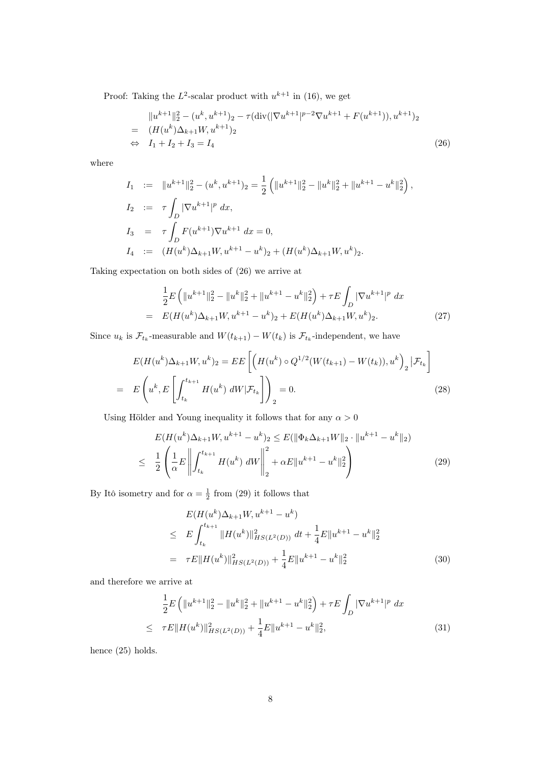Proof: Taking the  $L^2$ -scalar product with  $u^{k+1}$  in (16), we get

$$
||u^{k+1}||_2^2 - (u^k, u^{k+1})_2 - \tau(\text{div}(|\nabla u^{k+1}|^{p-2}\nabla u^{k+1} + F(u^{k+1})), u^{k+1})_2
$$
  
=  $(H(u^k)\Delta_{k+1}W, u^{k+1})_2$   
 $\Leftrightarrow I_1 + I_2 + I_3 = I_4$  (26)

where

$$
I_1 := \|u^{k+1}\|_2^2 - (u^k, u^{k+1})_2 = \frac{1}{2} \left( \|u^{k+1}\|_2^2 - \|u^k\|_2^2 + \|u^{k+1} - u^k\|_2^2 \right),
$$
  
\n
$$
I_2 := \tau \int_D |\nabla u^{k+1}|^p dx,
$$
  
\n
$$
I_3 = \tau \int_D F(u^{k+1}) \nabla u^{k+1} dx = 0,
$$
  
\n
$$
I_4 := (H(u^k) \Delta_{k+1} W, u^{k+1} - u^k)_2 + (H(u^k) \Delta_{k+1} W, u^k)_2.
$$

Taking expectation on both sides of (26) we arrive at

$$
\frac{1}{2}E\left(\|u^{k+1}\|_{2}^{2}-\|u^{k}\|_{2}^{2}+\|u^{k+1}-u^{k}\|_{2}^{2}\right)+\tau E\int_{D}|\nabla u^{k+1}|^{p} dx
$$
\n
$$
= E(H(u^{k})\Delta_{k+1}W, u^{k+1}-u^{k})_{2}+E(H(u^{k})\Delta_{k+1}W, u^{k})_{2}.
$$
\n(27)

Since  $u_k$  is  $\mathcal{F}_{t_k}$ -measurable and  $W(t_{k+1}) - W(t_k)$  is  $\mathcal{F}_{t_k}$ -independent, we have

$$
E(H(u^k)\Delta_{k+1}W, u^k)_2 = EE\left[\left(H(u^k) \circ Q^{1/2}(W(t_{k+1}) - W(t_k)), u^k\right)_2 | \mathcal{F}_{t_k}\right]
$$
  
= 
$$
E\left(u^k, E\left[\int_{t_k}^{t_{k+1}} H(u^k) dW | \mathcal{F}_{t_k}\right]\right)_2 = 0.
$$
 (28)

Using Hölder and Young inequality it follows that for any  $\alpha>0$ 

$$
E(H(u^k)\Delta_{k+1}W, u^{k+1} - u^k)_2 \le E(\|\Phi_k \Delta_{k+1}W\|_2 \cdot \|u^{k+1} - u^k\|_2)
$$
  

$$
\le \frac{1}{2} \left( \frac{1}{\alpha} E \left\| \int_{t_k}^{t_{k+1}} H(u^k) dW \right\|_2^2 + \alpha E \|u^{k+1} - u^k\|_2^2 \right)
$$
(29)

By Itô isometry and for  $\alpha = \frac{1}{2}$  from (29) it follows that

$$
E(H(u^k)\Delta_{k+1}W, u^{k+1} - u^k)
$$
  
\n
$$
\leq E \int_{t_k}^{t_{k+1}} \|H(u^k)\|_{HS(L^2(D))}^2 dt + \frac{1}{4}E \|u^{k+1} - u^k\|_2^2
$$
  
\n
$$
= \tau E \|H(u^k)\|_{HS(L^2(D))}^2 + \frac{1}{4}E \|u^{k+1} - u^k\|_2^2
$$
\n(30)

and therefore we arrive at

$$
\frac{1}{2}E\left(\|u^{k+1}\|_{2}^{2}-\|u^{k}\|_{2}^{2}+\|u^{k+1}-u^{k}\|_{2}^{2}\right)+\tau E\int_{D}|\nabla u^{k+1}|^{p} dx
$$
\n
$$
\leq \tau E\|H(u^{k})\|_{HS(L^{2}(D))}^{2}+\frac{1}{4}E\|u^{k+1}-u^{k}\|_{2}^{2},
$$
\n(31)

hence (25) holds.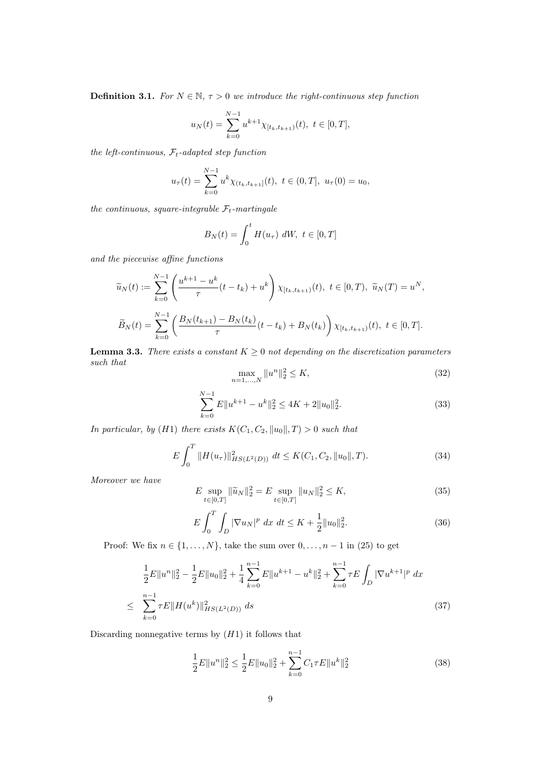**Definition 3.1.** For  $N \in \mathbb{N}$ ,  $\tau > 0$  we introduce the right-continuous step function

$$
u_N(t) = \sum_{k=0}^{N-1} u^{k+1} \chi_{[t_k, t_{k+1})}(t), \ t \in [0, T],
$$

the left-continuous,  $\mathcal{F}_t$ -adapted step function

$$
u_{\tau}(t) = \sum_{k=0}^{N-1} u^k \chi_{(t_k, t_{k+1}]}(t), \ t \in (0, T], \ u_{\tau}(0) = u_0,
$$

the continuous, square-integrable  $\mathcal{F}_t$ -martingale

$$
B_N(t) = \int_0^t H(u_\tau) dW, \ t \in [0, T]
$$

and the piecewise affine functions

$$
\widetilde{u}_N(t) := \sum_{k=0}^{N-1} \left( \frac{u^{k+1} - u^k}{\tau} (t - t_k) + u^k \right) \chi_{[t_k, t_{k+1})}(t), \ t \in [0, T), \ \widetilde{u}_N(T) = u^N,
$$
\n
$$
\widetilde{B}_N(t) = \sum_{k=0}^{N-1} \left( \frac{B_N(t_{k+1}) - B_N(t_k)}{\tau} (t - t_k) + B_N(t_k) \right) \chi_{[t_k, t_{k+1})}(t), \ t \in [0, T].
$$

**Lemma 3.3.** There exists a constant  $K \geq 0$  not depending on the discretization parameters such that

$$
\max_{n=1,\dots,N} \|u^n\|_2^2 \le K,\tag{32}
$$

$$
\sum_{k=0}^{N-1} E||u^{k+1} - u^k||_2^2 \le 4K + 2||u_0||_2^2.
$$
\n(33)

In particular, by (H1) there exists  $K(C_1, C_2, ||u_0||, T) > 0$  such that

$$
E\int_0^T \|H(u_\tau)\|_{HS(L^2(D))}^2 \ dt \le K(C_1, C_2, \|u_0\|, T). \tag{34}
$$

Moreover we have

$$
E \sup_{t \in [0,T]} \|\tilde{u}_N\|_2^2 = E \sup_{t \in [0,T]} \|u_N\|_2^2 \le K,\tag{35}
$$

$$
E\int_{0}^{T}\int_{D}|\nabla u_{N}|^{p} dx dt \leq K + \frac{1}{2}||u_{0}||_{2}^{2}.
$$
 (36)

Proof: We fix  $n \in \{1, ..., N\}$ , take the sum over  $0, ..., n - 1$  in (25) to get

$$
\frac{1}{2}E\|u^n\|_2^2 - \frac{1}{2}E\|u_0\|_2^2 + \frac{1}{4}\sum_{k=0}^{n-1}E\|u^{k+1} - u^k\|_2^2 + \sum_{k=0}^{n-1}\tau E\int_D|\nabla u^{k+1}|^p dx
$$
\n
$$
\leq \sum_{k=0}^{n-1}\tau E\|H(u^k)\|_{HS(L^2(D))}^2 ds \tag{37}
$$

Discarding nonnegative terms by  $(H1)$  it follows that

$$
\frac{1}{2}E\|u^n\|_2^2 \le \frac{1}{2}E\|u_0\|_2^2 + \sum_{k=0}^{n-1} C_1 \tau E\|u^k\|_2^2
$$
\n(38)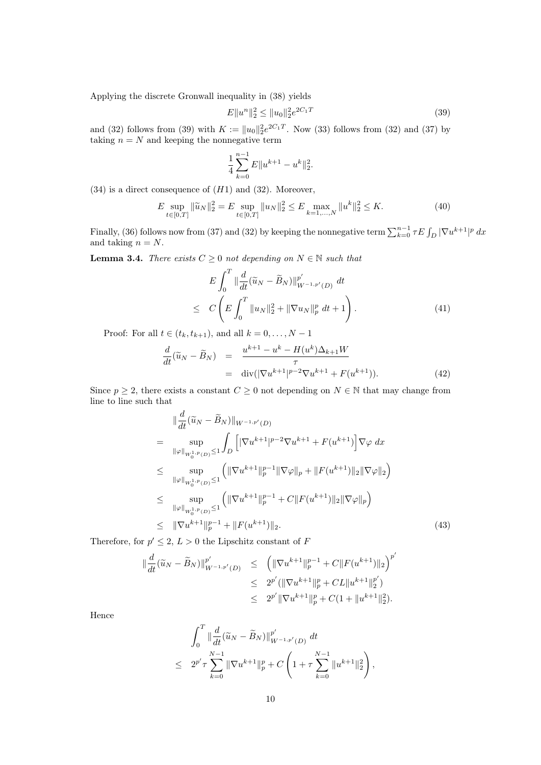Applying the discrete Gronwall inequality in (38) yields

$$
E||u^n||_2^2 \le ||u_0||_2^2 e^{2C_1 T}
$$
\n(39)

and (32) follows from (39) with  $K := ||u_0||_2^2 e^{2C_1T}$ . Now (33) follows from (32) and (37) by taking  $n = N$  and keeping the nonnegative term

$$
\frac{1}{4} \sum_{k=0}^{n-1} E||u^{k+1} - u^k||_2^2.
$$

 $(34)$  is a direct consequence of  $(H1)$  and  $(32)$ . Moreover,

$$
E \sup_{t \in [0,T]} \|\tilde{u}_N\|_2^2 = E \sup_{t \in [0,T]} \|u_N\|_2^2 \le E \max_{k=1,\dots,N} \|u^k\|_2^2 \le K. \tag{40}
$$

Finally, (36) follows now from (37) and (32) by keeping the nonnegative term  $\sum_{k=0}^{n-1} \tau E \int_D |\nabla u^{k+1}|^p dx$ and taking  $n = N$ .

**Lemma 3.4.** There exists  $C \geq 0$  not depending on  $N \in \mathbb{N}$  such that

$$
E\int_{0}^{T} \|\frac{d}{dt}(\widetilde{u}_{N} - \widetilde{B}_{N})\|_{W^{-1,p'}(D)}^{p'} dt
$$
  
 
$$
\leq C\left(E\int_{0}^{T} \|u_{N}\|_{2}^{2} + \|\nabla u_{N}\|_{p}^{p} dt + 1\right).
$$
 (41)

Proof: For all  $t \in (t_k, t_{k+1})$ , and all  $k = 0, \ldots, N-1$ 

$$
\frac{d}{dt}(\widetilde{u}_N - \widetilde{B}_N) = \frac{u^{k+1} - u^k - H(u^k)\Delta_{k+1}W}{\tau}
$$
\n
$$
= \operatorname{div}(|\nabla u^{k+1}|^{p-2}\nabla u^{k+1} + F(u^{k+1})).
$$
\n(42)

Since  $p \geq 2$ , there exists a constant  $C \geq 0$  not depending on  $N \in \mathbb{N}$  that may change from line to line such that

$$
\|\frac{d}{dt}(\widetilde{u}_{N} - \widetilde{B}_{N})\|_{W^{-1,p'}(D)}
$$
\n
$$
= \sup_{\|\varphi\|_{W_{0}^{1,p}(D)} \le 1} \int_{D} \left[ |\nabla u^{k+1}|^{p-2} \nabla u^{k+1} + F(u^{k+1}) \right] \nabla \varphi \, dx
$$
\n
$$
\le \sup_{\|\varphi\|_{W_{0}^{1,p}(D)} \le 1} \left( \|\nabla u^{k+1}\|_{p}^{p-1} \|\nabla \varphi\|_{p} + \|F(u^{k+1})\|_{2} \|\nabla \varphi\|_{2} \right)
$$
\n
$$
\le \sup_{\|\varphi\|_{W_{0}^{1,p}(D)} \le 1} \left( \|\nabla u^{k+1}\|_{p}^{p-1} + C \|F(u^{k+1})\|_{2} \|\nabla \varphi\|_{p} \right)
$$
\n
$$
\le \|\nabla u^{k+1}\|_{p}^{p-1} + \|F(u^{k+1})\|_{2} . \tag{43}
$$

Therefore, for  $p' \leq 2$ ,  $L > 0$  the Lipschitz constant of F

$$
\begin{array}{rcl}\n\|\frac{d}{dt}(\widetilde{u}_N - \widetilde{B}_N)\|_{W^{-1,p'}(D)}^{p'} & \leq & \left(\|\nabla u^{k+1}\|_p^{p-1} + C \|F(u^{k+1})\|_2\right)^{p'} \\
& \leq & 2^{p'} (\|\nabla u^{k+1}\|_p^p + CL \|u^{k+1}\|_2^{p'}) \\
& \leq & 2^{p'} \|\nabla u^{k+1}\|_p^p + C(1 + \|u^{k+1}\|_2^2).\n\end{array}
$$

Hence

$$
\int_0^T \|\frac{d}{dt}(\widetilde{u}_N - \widetilde{B}_N)\|_{W^{-1,p'}(D)}^{p'} dt
$$
  
\n
$$
\leq 2^{p'}\tau \sum_{k=0}^{N-1} \|\nabla u^{k+1}\|_{p}^{p} + C \left(1 + \tau \sum_{k=0}^{N-1} \|u^{k+1}\|_{2}^{2}\right),
$$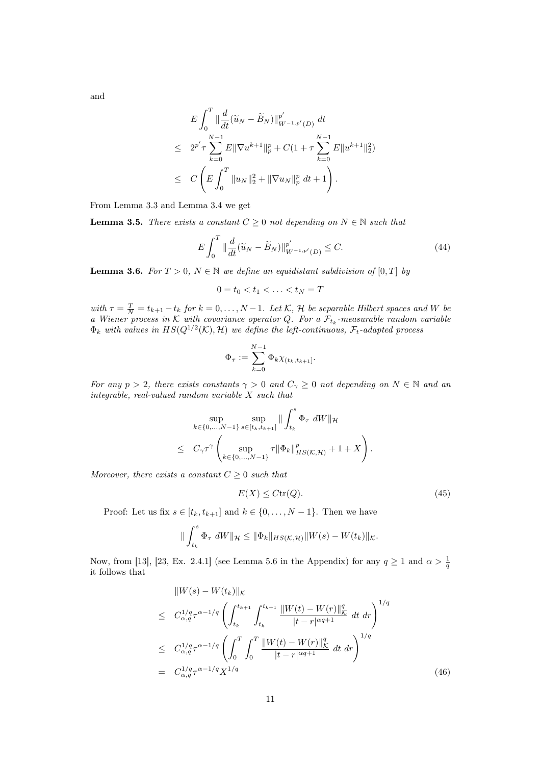and

$$
E\int_0^T \|\frac{d}{dt}(\widetilde{u}_N - \widetilde{B}_N)\|_{W^{-1,p'}(D)}^{p'} dt
$$
  
\n
$$
\leq 2^{p'}\tau \sum_{k=0}^{N-1} E\|\nabla u^{k+1}\|_p^p + C(1+\tau \sum_{k=0}^{N-1} E\|u^{k+1}\|_2^2)
$$
  
\n
$$
\leq C\left(E\int_0^T \|u_N\|_2^2 + \|\nabla u_N\|_p^p dt + 1\right).
$$

From Lemma 3.3 and Lemma 3.4 we get

**Lemma 3.5.** There exists a constant  $C \geq 0$  not depending on  $N \in \mathbb{N}$  such that

$$
E\int_{0}^{T} \|\frac{d}{dt}(\widetilde{u}_{N} - \widetilde{B}_{N})\|_{W^{-1,p'}(D)}^{p'} \le C.
$$
\n(44)

**Lemma 3.6.** For  $T > 0$ ,  $N \in \mathbb{N}$  we define an equidistant subdivision of  $[0, T]$  by

$$
0=t_0
$$

with  $\tau = \frac{T}{N} = t_{k+1} - t_k$  for  $k = 0, \ldots, N-1$ . Let K, H be separable Hilbert spaces and W be a Wiener process in K with covariance operator Q. For a  $\mathcal{F}_{t_k}$ -measurable random variable  $\Phi_k$  with values in  $HS(Q^{1/2}(\mathcal{K}), \mathcal{H})$  we define the left-continuous,  $\mathcal{F}_t$ -adapted process

$$
\Phi_{\tau} := \sum_{k=0}^{N-1} \Phi_k \chi_{(t_k, t_{k+1}]}.
$$

For any  $p > 2$ , there exists constants  $\gamma > 0$  and  $C_{\gamma} \geq 0$  not depending on  $N \in \mathbb{N}$  and an integrable, real-valued random variable X such that

$$
\sup_{k \in \{0, ..., N-1\}} \sup_{s \in [t_k, t_{k+1}]} \| \int_{t_k}^s \Phi_{\tau} dW \|_{\mathcal{H}}
$$
  

$$
\leq C_{\gamma} \tau^{\gamma} \left( \sup_{k \in \{0, ..., N-1\}} \tau \| \Phi_k \|_{HS(\mathcal{K}, \mathcal{H})}^p + 1 + X \right).
$$

Moreover, there exists a constant  $C \geq 0$  such that

$$
E(X) \leq C \text{tr}(Q). \tag{45}
$$

Proof: Let us fix  $s \in [t_k, t_{k+1}]$  and  $k \in \{0, \ldots, N-1\}$ . Then we have

$$
\|\int_{t_k}^s \Phi_{\tau} dW\|_{\mathcal{H}} \leq \|\Phi_k\|_{HS(\mathcal{K},\mathcal{H})} \|W(s) - W(t_k)\|_{\mathcal{K}}.
$$

Now, from [13], [23, Ex. 2.4.1] (see Lemma 5.6 in the Appendix) for any  $q \ge 1$  and  $\alpha > \frac{1}{q}$ it follows that

$$
\|W(s) - W(t_k)\|_{\mathcal{K}}
$$
\n
$$
\leq C_{\alpha,q}^{1/q} \tau^{\alpha - 1/q} \left( \int_{t_k}^{t_{k+1}} \int_{t_k}^{t_{k+1}} \frac{\|W(t) - W(r)\|_{\mathcal{K}}^q}{|t - r|^{\alpha q + 1}} dt dr \right)^{1/q}
$$
\n
$$
\leq C_{\alpha,q}^{1/q} \tau^{\alpha - 1/q} \left( \int_0^T \int_0^T \frac{\|W(t) - W(r)\|_{\mathcal{K}}^q}{|t - r|^{\alpha q + 1}} dt dr \right)^{1/q}
$$
\n
$$
= C_{\alpha,q}^{1/q} \tau^{\alpha - 1/q} X^{1/q} \tag{46}
$$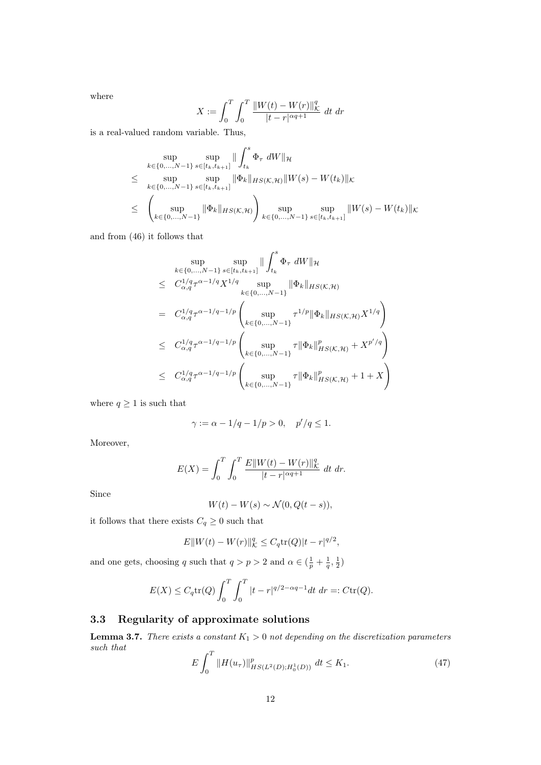where

$$
X := \int_0^T \int_0^T \frac{||W(t) - W(r)||_K^q}{|t - r|^{\alpha q + 1}} dt \, dr
$$

is a real-valued random variable. Thus,

$$
\sup_{k \in \{0, ..., N-1\}} \sup_{s \in [t_k, t_{k+1}]} \| \int_{t_k}^s \Phi_{\tau} dW \|_{\mathcal{H}}
$$
\n
$$
\leq \sup_{k \in \{0, ..., N-1\}} \sup_{s \in [t_k, t_{k+1}]} \| \Phi_k \|_{HS(\mathcal{K}, \mathcal{H})} \| W(s) - W(t_k) \|_{\mathcal{K}}
$$
\n
$$
\leq \left( \sup_{k \in \{0, ..., N-1\}} \| \Phi_k \|_{HS(\mathcal{K}, \mathcal{H})} \right) \sup_{k \in \{0, ..., N-1\}} \sup_{s \in [t_k, t_{k+1}]} \| W(s) - W(t_k) \|_{\mathcal{K}}
$$

and from (46) it follows that

$$
\sup_{k \in \{0, ..., N-1\}} \sup_{s \in [t_k, t_{k+1}]} \| \int_{t_k}^s \Phi_{\tau} dW \|_{\mathcal{H}}
$$
\n
$$
\leq C_{\alpha, q}^{1/q} \tau^{\alpha - 1/q} X^{1/q} \sup_{k \in \{0, ..., N-1\}} \| \Phi_k \|_{HS(\mathcal{K}, \mathcal{H})}
$$
\n
$$
= C_{\alpha, q}^{1/q} \tau^{\alpha - 1/q - 1/p} \left( \sup_{k \in \{0, ..., N-1\}} \tau^{1/p} \| \Phi_k \|_{HS(\mathcal{K}, \mathcal{H})} X^{1/q} \right)
$$
\n
$$
\leq C_{\alpha, q}^{1/q} \tau^{\alpha - 1/q - 1/p} \left( \sup_{k \in \{0, ..., N-1\}} \tau \| \Phi_k \|_{HS(\mathcal{K}, \mathcal{H})}^p + X^{p'/q} \right)
$$
\n
$$
\leq C_{\alpha, q}^{1/q} \tau^{\alpha - 1/q - 1/p} \left( \sup_{k \in \{0, ..., N-1\}} \tau \| \Phi_k \|_{HS(\mathcal{K}, \mathcal{H})}^p + 1 + X \right)
$$

where  $q \geq 1$  is such that

$$
\gamma := \alpha - 1/q - 1/p > 0, \quad p'/q \le 1.
$$

Moreover,

$$
E(X) = \int_0^T \int_0^T \frac{E\|W(t) - W(r)\|_{K}^q}{|t - r|^{\alpha q + 1}} dt \, dr.
$$

Since

$$
W(t) - W(s) \sim \mathcal{N}(0, Q(t - s)),
$$

it follows that there exists  $C_q \geq 0$  such that

$$
E||W(t) - W(r)||_{\mathcal{K}}^{q} \leq C_q \text{tr}(Q)|t - r|^{q/2},
$$

and one gets, choosing q such that  $q > p > 2$  and  $\alpha \in \left(\frac{1}{p} + \frac{1}{q}, \frac{1}{2}\right)$ 

$$
E(X) \le C_q \text{tr}(Q) \int_0^T \int_0^T |t - r|^{q/2 - \alpha q - 1} dt \, dr =: C \text{tr}(Q).
$$

## 3.3 Regularity of approximate solutions

**Lemma 3.7.** There exists a constant  $K_1 > 0$  not depending on the discretization parameters such that

$$
E\int_{0}^{T} \|H(u_{\tau})\|_{HS(L^{2}(D);H_{0}^{1}(D))}^{p} \, dt \leq K_{1}.
$$
\n<sup>(47)</sup>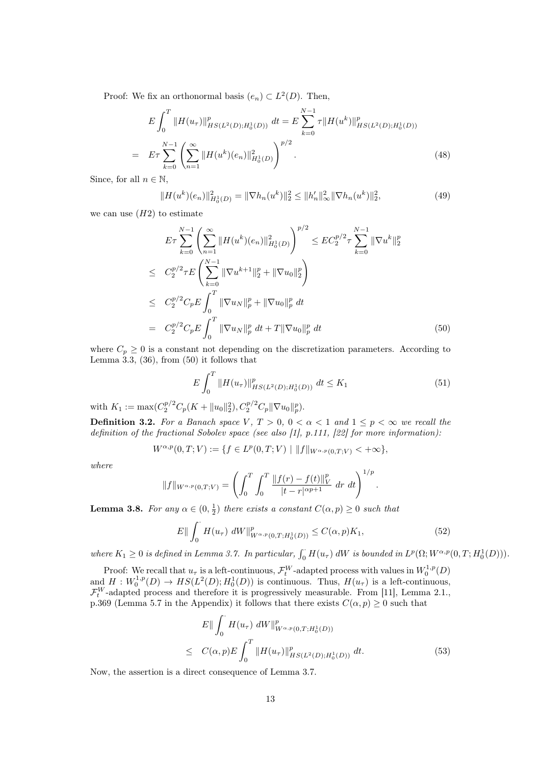Proof: We fix an orthonormal basis  $(e_n) \subset L^2(D)$ . Then,

$$
E\int_{0}^{T} \|H(u_{\tau})\|_{HS(L^{2}(D);H_{0}^{1}(D))}^{p} dt = E\sum_{k=0}^{N-1} \tau \|H(u^{k})\|_{HS(L^{2}(D);H_{0}^{1}(D))}^{p}
$$

$$
= E\tau \sum_{k=0}^{N-1} \left(\sum_{n=1}^{\infty} \|H(u^{k})(e_{n})\|_{H_{0}^{1}(D)}^{2}\right)^{p/2}.
$$
(48)

Since, for all  $n \in \mathbb{N}$ ,

$$
||H(u^k)(e_n)||_{H_0^1(D)}^2 = ||\nabla h_n(u^k)||_2^2 \le ||h'_n||_{\infty}^2 ||\nabla h_n(u^k)||_2^2,
$$
\n(49)

we can use  $(H2)$  to estimate

$$
E\tau \sum_{k=0}^{N-1} \left( \sum_{n=1}^{\infty} \|H(u^k)(e_n)\|_{H_0^1(D)}^2 \right)^{p/2} \leq EC_2^{p/2} \tau \sum_{k=0}^{N-1} \|\nabla u^k\|_2^p
$$
  
\n
$$
\leq C_2^{p/2} \tau E \left( \sum_{k=0}^{N-1} \|\nabla u^{k+1}\|_2^p + \|\nabla u_0\|_2^p \right)
$$
  
\n
$$
\leq C_2^{p/2} C_p E \int_0^T \|\nabla u_N\|_p^p + \|\nabla u_0\|_p^p dt
$$
  
\n
$$
= C_2^{p/2} C_p E \int_0^T \|\nabla u_N\|_p^p dt + T \|\nabla u_0\|_p^p dt
$$
 (50)

where  $C_p \geq 0$  is a constant not depending on the discretization parameters. According to Lemma  $3.3, (36)$ , from  $(50)$  it follows that

$$
E\int_{0}^{T} \|H(u_{\tau})\|_{HS(L^{2}(D);H_{0}^{1}(D))}^{p} \, dt \le K_{1}
$$
\n<sup>(51)</sup>

with  $K_1 := \max(C_2^{p/2} C_p(K + \|u_0\|_2^2), C_2^{p/2} C_p \|\nabla u_0\|_p^p)$ .

**Definition 3.2.** For a Banach space V,  $T > 0$ ,  $0 < \alpha < 1$  and  $1 \le p < \infty$  we recall the definition of the fractional Sobolev space (see also [1], p.111, [22] for more information):

$$
W^{\alpha,p}(0,T;V) := \{ f \in L^p(0,T;V) \mid ||f||_{W^{\alpha,p}(0,T;V)} < +\infty \},
$$

where

$$
||f||_{W^{\alpha,p}(0,T;V)} = \left(\int_0^T \int_0^T \frac{||f(r) - f(t)||_V^p}{|t - r|^{\alpha p + 1}} dr dt\right)^{1/p}.
$$

**Lemma 3.8.** For any  $\alpha \in (0, \frac{1}{2})$  there exists a constant  $C(\alpha, p) \geq 0$  such that

$$
E\|\int_0^{\cdot} H(u_\tau) \, dW\|_{W^{\alpha,p}(0,T;H_0^1(D))}^p \le C(\alpha, p)K_1,\tag{52}
$$

where  $K_1 \geq 0$  is defined in Lemma 3.7. In particular,  $\int_0^{\cdot} H(u_\tau) dW$  is bounded in  $L^p(\Omega; W^{\alpha, p}(0,T; H_0^1(D)))$ .

Proof: We recall that  $u_{\tau}$  is a left-continuous,  $\mathcal{F}_{t}^{W}$ -adapted process with values in  $W_{0}^{1,p}(D)$ and  $H: W_0^{1,p}(D) \to HS(L^2(D); H_0^1(D))$  is continuous. Thus,  $H(u_\tau)$  is a left-continuous,  $\mathcal{F}_t^W$ -adapted process and therefore it is progressively measurable. From [11], Lemma 2.1., p.369 (Lemma 5.7 in the Appendix) it follows that there exists  $C(\alpha, p) \geq 0$  such that

$$
E\| \int_0^{\cdot} H(u_\tau) \, dW \|_{W^{\alpha,p}(0,T;H_0^1(D))}^p
$$
  
\n
$$
\leq C(\alpha, p) E \int_0^T \| H(u_\tau) \|_{HS(L^2(D);H_0^1(D))}^p \, dt. \tag{53}
$$

Now, the assertion is a direct consequence of Lemma 3.7.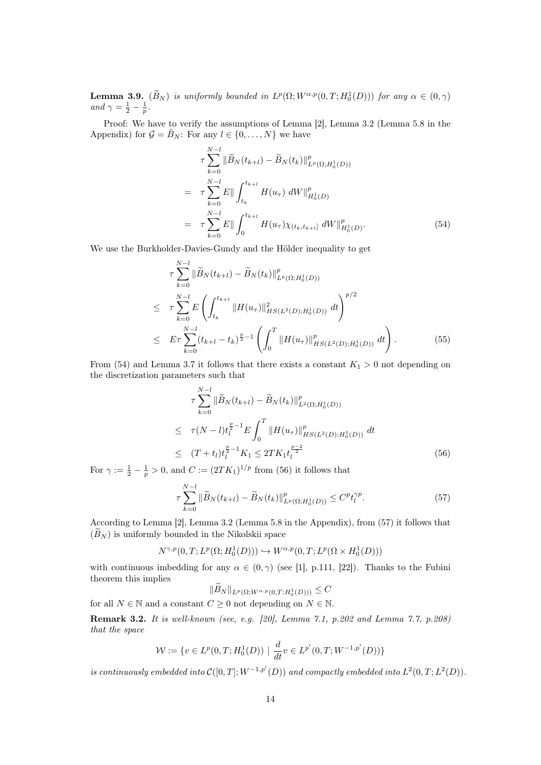**Lemma 3.9.**  $(\widetilde{B}_N)$  is uniformly bounded in  $L^p(\Omega; W^{\alpha,p}(0,T; H_0^1(D)))$  for any  $\alpha \in (0,\gamma)$ and  $\gamma = \frac{1}{2} - \frac{1}{p}$ .

Proof: We have to verify the assumptions of Lemma [2], Lemma 3.2 (Lemma 5.8 in the Appendix) for  $\mathcal{G} = \tilde{B}_N$ : For any  $l \in \{0, ..., N\}$  we have

$$
\tau \sum_{k=0}^{N-l} \|\widetilde{B}_N(t_{k+l}) - \widetilde{B}_N(t_k)\|_{L^p(\Omega; H_0^1(D))}^p
$$
\n
$$
= \tau \sum_{k=0}^{N-l} E\| \int_{t_k}^{t_{k+l}} H(u_\tau) dW\|_{H_0^1(D)}^p
$$
\n
$$
= \tau \sum_{k=0}^{N-l} E\| \int_0^{t_{k+l}} H(u_\tau) \chi_{(t_k, t_{k+l}]} dW\|_{H_0^1(D)}^p.
$$
\n(54)

We use the Burkholder-Davies-Gundy and the Hölder inequality to get

$$
\tau \sum_{k=0}^{N-l} \|\widetilde{B}_{N}(t_{k+l}) - \widetilde{B}_{N}(t_{k})\|_{L^{p}(\Omega;H_{0}^{1}(D))}^{p}
$$
\n
$$
\leq \tau \sum_{k=0}^{N-l} E\left(\int_{t_{k}}^{t_{k+l}} \|H(u_{\tau})\|_{HS(L^{2}(D);H_{0}^{1}(D))}^{2} dt\right)^{p/2}
$$
\n
$$
\leq E\tau \sum_{k=0}^{N-l} (t_{k+l} - t_{k})^{\frac{p}{2}-1} \left(\int_{0}^{T} \|H(u_{\tau})\|_{HS(L^{2}(D);H_{0}^{1}(D))}^{p} dt\right).
$$
\n(55)

From (54) and Lemma 3.7 it follows that there exists a constant  $K_1 > 0$  not depending on the discretization parameters such that

$$
\tau \sum_{k=0}^{N-l} \|\widetilde{B}_N(t_{k+l}) - \widetilde{B}_N(t_k)\|_{L^2(\Omega; H_0^1(D))}^p
$$
\n
$$
\leq \tau (N-l) t_l^{\frac{p}{2}-1} E \int_0^T \|H(u_\tau)\|_{HS(L^2(D); H_0^1(D))}^p dt
$$
\n
$$
\leq (T+t_l) t_l^{\frac{p}{2}-1} K_1 \leq 2TK_1 t_l^{\frac{p-2}{2}} \tag{56}
$$

For  $\gamma := \frac{1}{2} - \frac{1}{p} > 0$ , and  $C := (2TK_1)^{1/p}$  from (56) it follows that

$$
\tau \sum_{k=0}^{N-l} \|\widetilde{B}_N(t_{k+l}) - \widetilde{B}_N(t_k)\|_{L^p(\Omega; H_0^1(D))}^p \le C^p t_l^{\gamma p}.
$$
\n(57)

According to Lemma [2], Lemma 3.2 (Lemma 5.8 in the Appendix), from (57) it follows that  $(\widetilde{B}_N)$  is uniformly bounded in the Nikolskii space

$$
N^{\gamma,p}(0,T;L^p(\Omega;H^1_0(D))) \hookrightarrow W^{\alpha,p}(0,T;L^p(\Omega \times H^1_0(D)))
$$

with continuous imbedding for any  $\alpha \in (0, \gamma)$  (see [1], p.111, [22]). Thanks to the Fubini theorem this implies

$$
||B_N||_{L^p(\Omega;W^{\alpha,p}(0,T;H^1_0(D)))} \leq C
$$

for all  $N \in \mathbb{N}$  and a constant  $C \geq 0$  not depending on  $N \in \mathbb{N}$ .

Remark 3.2. It is well-known (see, e.g. [20], Lemma 7.1, p.202 and Lemma 7.7, p.208) that the space

$$
\mathcal{W} := \{ v \in L^p(0, T; H_0^1(D)) \mid \frac{d}{dt} v \in L^{p'}(0, T; W^{-1, p'}(D)) \}
$$

is continuously embedded into  $\mathcal{C}([0,T];W^{-1,p'}(D))$  and compactly embedded into  $L^2(0,T;L^2(D))$ .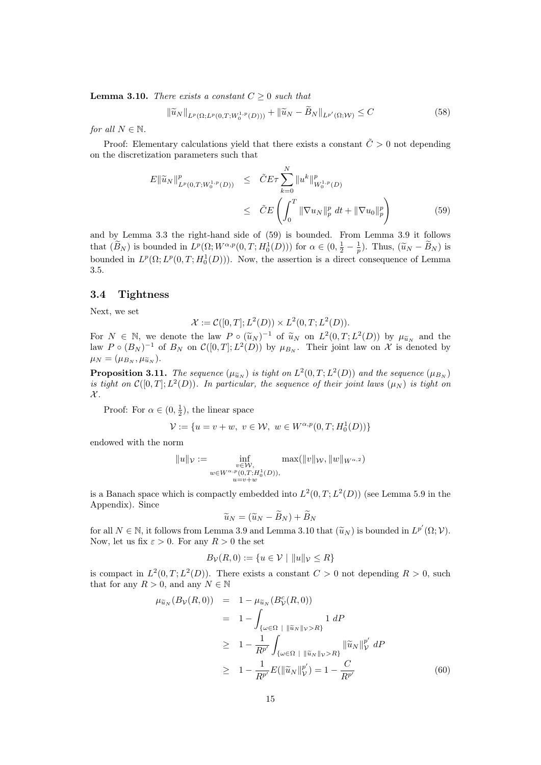**Lemma 3.10.** There exists a constant  $C \geq 0$  such that

$$
\|\widetilde{u}_N\|_{L^p(\Omega; L^p(0,T; W_0^{1,p}(D)))} + \|\widetilde{u}_N - B_N\|_{L^{p'}(\Omega; \mathcal{W})} \le C \tag{58}
$$

for all  $N \in \mathbb{N}$ .

Proof: Elementary calculations yield that there exists a constant  $\tilde{C} > 0$  not depending on the discretization parameters such that

$$
E \|\widetilde{u}_N\|_{L^p(0,T;W_0^{1,p}(D))}^p \leq \tilde{C} E \tau \sum_{k=0}^N \|u^k\|_{W_0^{1,p}(D)}^p
$$
  

$$
\leq \tilde{C} E \left( \int_0^T \|\nabla u_N\|_p^p dt + \|\nabla u_0\|_p^p \right) \tag{59}
$$

and by Lemma 3.3 the right-hand side of (59) is bounded. From Lemma 3.9 it follows that  $(\widetilde{B}_N)$  is bounded in  $L^p(\Omega; W^{\alpha,p}(0,T; H_0^1(D)))$  for  $\alpha \in (0, \frac{1}{2} - \frac{1}{p})$ . Thus,  $(\widetilde{u}_N - \widetilde{B}_N)$  is bounded in  $L^p(\Omega; L^p(0,T; H_0^1(D)))$ . Now, the assertion is a direct consequence of Lemma 3.5.

## 3.4 Tightness

Next, we set

$$
\mathcal{X} := \mathcal{C}([0,T]; L^2(D)) \times L^2(0,T; L^2(D)).
$$

For  $N \in \mathbb{N}$ , we denote the law  $P \circ (\tilde{u}_N)^{-1}$  of  $\tilde{u}_N$  on  $L^2(0,T; L^2(D))$  by  $\mu_{\tilde{u}_N}$  and the law  $P \circ (B_N)^{-1}$  of  $B_N$  on  $\mathcal{C}([0,T]; L^2(D))$  by  $\mu_{B_N}$ . Their joint law on  $\mathcal X$  is denoted by  $\mu_N = (\mu_{B_N}, \mu_{\widetilde{u}_N}).$ 

**Proposition 3.11.** The sequence  $(\mu_{\widetilde{u}_N})$  is tight on  $L^2(0,T;L^2(D))$  and the sequence  $(\mu_{B_N})$ is tight on  $\mathcal{C}([0,T];L^2(D))$ . In particular, the sequence of their joint laws  $(\mu_N)$  is tight on  $\mathcal{X}.$ 

Proof: For  $\alpha \in (0, \frac{1}{2})$ , the linear space

$$
\mathcal{V} := \{ u = v + w, \ v \in \mathcal{W}, \ w \in W^{\alpha, p}(0, T; H_0^1(D)) \}
$$

endowed with the norm

$$
||u||_{\mathcal{V}} := \inf_{\substack{v \in \mathcal{W}, \\ w \in W^{\alpha, p}(0, T; H_0^1(D)), \\ u = v + w}} \max(||v||_{\mathcal{W}}, ||w||_{W^{\alpha, 2}})
$$

is a Banach space which is compactly embedded into  $L^2(0,T; L^2(D))$  (see Lemma 5.9 in the Appendix). Since

$$
\widetilde{u}_N = (\widetilde{u}_N - \widetilde{B}_N) + \widetilde{B}_N
$$

for all  $N \in \mathbb{N}$ , it follows from Lemma 3.9 and Lemma 3.10 that  $(\widetilde{u}_N)$  is bounded in  $L^{p'}(\Omega; \mathcal{V})$ . Now, let us fix  $\varepsilon > 0$ . For any  $R > 0$  the set

$$
B_{\mathcal{V}}(R,0) := \{ u \in \mathcal{V} \mid ||u||_{\mathcal{V}} \le R \}
$$

is compact in  $L^2(0,T;L^2(D))$ . There exists a constant  $C>0$  not depending  $R>0$ , such that for any  $R > 0$ , and any  $N \in \mathbb{N}$ 

$$
\mu_{\widetilde{u}_N}(B_{\mathcal{V}}(R,0)) = 1 - \mu_{\widetilde{u}_N}(B_{\mathcal{V}}^c(R,0)) \n= 1 - \int_{\{\omega \in \Omega \; | \; \|\widetilde{u}_N\|_{\mathcal{V}} > R\}} 1 \, dP \n\geq 1 - \frac{1}{R^{p'}} \int_{\{\omega \in \Omega \; | \; \|\widetilde{u}_N\|_{\mathcal{V}} > R\}} \|\widetilde{u}_N\|_{\mathcal{V}}^{p'} \, dP \n\geq 1 - \frac{1}{R^{p'}} E(\|\widetilde{u}_N\|_{\mathcal{V}}^{p'}) = 1 - \frac{C}{R^{p'}} \tag{60}
$$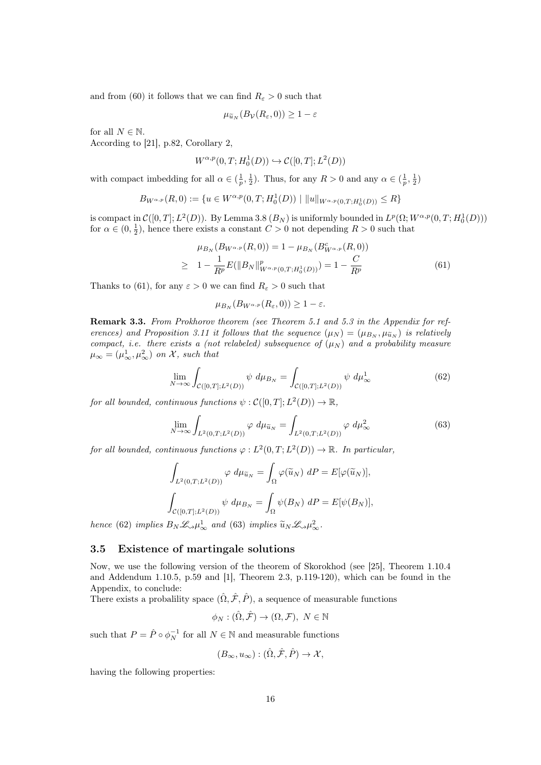and from (60) it follows that we can find  $R_{\varepsilon} > 0$  such that

$$
\mu_{\widetilde{u}_N}(B_{\mathcal{V}}(R_{\varepsilon},0)) \geq 1-\varepsilon
$$

for all  $N \in \mathbb{N}$ . According to [21], p.82, Corollary 2,

$$
W^{\alpha,p}(0,T;H^1_0(D))\hookrightarrow \mathcal{C}([0,T];L^2(D))
$$

with compact imbedding for all  $\alpha \in (\frac{1}{p}, \frac{1}{2})$ . Thus, for any  $R > 0$  and any  $\alpha \in (\frac{1}{p}, \frac{1}{2})$ 

$$
B_{W^{\alpha,p}}(R,0) := \{ u \in W^{\alpha,p}(0,T;H_0^1(D)) \mid ||u||_{W^{\alpha,p}(0,T;H_0^1(D))} \le R \}
$$

is compact in  $\mathcal{C}([0,T];L^2(D))$ . By Lemma 3.8  $(B_N)$  is uniformly bounded in  $L^p(\Omega;W^{\alpha,p}(0,T;H^1_0(D)))$ for  $\alpha \in (0, \frac{1}{2})$ , hence there exists a constant  $C > 0$  not depending  $R > 0$  such that

$$
\mu_{B_N}(B_{W^{\alpha,p}}(R,0)) = 1 - \mu_{B_N}(B_{W^{\alpha,p}}^c(R,0))
$$
  
\n
$$
\geq 1 - \frac{1}{R^p} E(||B_N||_{W^{\alpha,p}(0,T;H_0^1(D))}^p) = 1 - \frac{C}{R^p}
$$
\n(61)

Thanks to (61), for any  $\varepsilon > 0$  we can find  $R_{\varepsilon} > 0$  such that

$$
\mu_{B_N}(B_{W^{\alpha,p}}(R_{\varepsilon},0)) \geq 1-\varepsilon.
$$

Remark 3.3. From Prokhorov theorem (see Theorem 5.1 and 5.3 in the Appendix for references) and Proposition 3.11 it follows that the sequence  $(\mu_N) = (\mu_{B_N}, \mu_{\tilde{u}_N})$  is relatively compact, i.e. there exists a (not relabeled) subsequence of  $(\mu_N)$  and a probability measure  $\mu_{\infty} = (\mu_{\infty}^1, \mu_{\infty}^2)$  on X, such that

$$
\lim_{N \to \infty} \int_{\mathcal{C}([0,T];L^2(D))} \psi \, d\mu_{B_N} = \int_{\mathcal{C}([0,T];L^2(D))} \psi \, d\mu_{\infty}^1 \tag{62}
$$

for all bounded, continuous functions  $\psi : \mathcal{C}([0,T]; L^2(D)) \to \mathbb{R}$ ,

$$
\lim_{N \to \infty} \int_{L^2(0,T;L^2(D))} \varphi \, d\mu_{\tilde{u}_N} = \int_{L^2(0,T;L^2(D))} \varphi \, d\mu_{\infty}^2 \tag{63}
$$

for all bounded, continuous functions  $\varphi : L^2(0,T; L^2(D)) \to \mathbb{R}$ . In particular,

$$
\int_{L^2(0,T;L^2(D))} \varphi \, d\mu_{\widetilde{u}_N} = \int_{\Omega} \varphi(\widetilde{u}_N) \, dP = E[\varphi(\widetilde{u}_N)],
$$

$$
\int_{\mathcal{C}([0,T];L^2(D))} \psi \, d\mu_{B_N} = \int_{\Omega} \psi(B_N) \, dP = E[\psi(B_N)],
$$

hence (62) implies  $B_N \mathcal{L}_{\gamma} \mu_{\infty}^1$  and (63) implies  $\widetilde{u}_N \mathcal{L}_{\gamma} \mu_{\infty}^2$ .

#### 3.5 Existence of martingale solutions

Now, we use the following version of the theorem of Skorokhod (see [25], Theorem 1.10.4 and Addendum 1.10.5, p.59 and [1], Theorem 2.3, p.119-120), which can be found in the Appendix, to conclude:

There exists a probalility space  $(\hat{\Omega}, \hat{\mathcal{F}}, \hat{P})$ , a sequence of measurable functions

$$
\phi_N : (\hat{\Omega}, \hat{\mathcal{F}}) \to (\Omega, \mathcal{F}), N \in \mathbb{N}
$$

such that  $P = \hat{P} \circ \phi_N^{-1}$  for all  $N \in \mathbb{N}$  and measurable functions

$$
(B_{\infty}, u_{\infty}): (\hat{\Omega}, \hat{\mathcal{F}}, \hat{P}) \to \mathcal{X},
$$

having the following properties: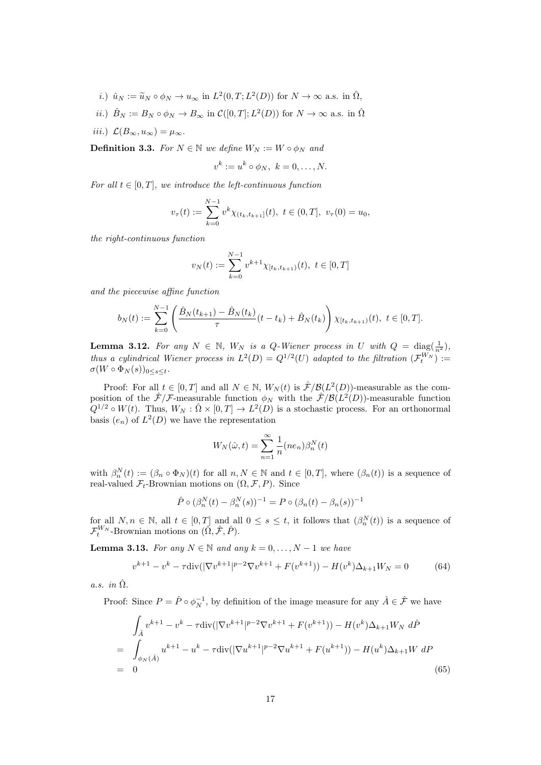- *i*.)  $\hat{u}_N := \tilde{u}_N \circ \phi_N \to u_\infty$  in  $L^2(0,T;L^2(D))$  for  $N \to \infty$  a.s. in  $\hat{\Omega}$ ,
- *ii.*)  $\hat{B}_N := B_N \circ \phi_N \to B_\infty$  in  $\mathcal{C}([0,T]; L^2(D))$  for  $N \to \infty$  a.s. in  $\hat{\Omega}$
- iii.)  $\mathcal{L}(B_{\infty}, u_{\infty}) = \mu_{\infty}$ .

**Definition 3.3.** For  $N \in \mathbb{N}$  we define  $W_N := W \circ \phi_N$  and

$$
v^k := u^k \circ \phi_N, \ k = 0, \dots, N.
$$

For all  $t \in [0, T]$ , we introduce the left-continuous function

$$
v_{\tau}(t) := \sum_{k=0}^{N-1} v^k \chi_{(t_k, t_{k+1}]}(t), \ t \in (0, T], \ v_{\tau}(0) = u_0,
$$

the right-continuous function

$$
v_N(t) := \sum_{k=0}^{N-1} v^{k+1} \chi_{[t_k, t_{k+1})}(t), \ t \in [0, T]
$$

and the piecewise affine function

$$
b_N(t) := \sum_{k=0}^{N-1} \left( \frac{\hat{B}_N(t_{k+1}) - \hat{B}_N(t_k)}{\tau} (t - t_k) + \hat{B}_N(t_k) \right) \chi_{[t_k, t_{k+1})}(t), \ t \in [0, T].
$$

**Lemma 3.12.** For any  $N \in \mathbb{N}$ ,  $W_N$  is a Q-Wiener process in U with  $Q = \text{diag}(\frac{1}{n^2})$ , thus a cylindrical Wiener process in  $L^2(D) = Q^{1/2}(U)$  adapted to the filtration  $(\mathcal{F}_t^{W_N}) :=$  $\sigma(W \circ \Phi_N(s))_{0 \leq s \leq t}.$ 

Proof: For all  $t \in [0,T]$  and all  $N \in \mathbb{N}$ ,  $W_N(t)$  is  $\hat{\mathcal{F}}/\mathcal{B}(L^2(D))$ -measurable as the composition of the  $\hat{\mathcal{F}}/\mathcal{F}$ -measurable function  $\phi_N$  with the  $\hat{\mathcal{F}}/\mathcal{B}(L^2(D))$ -measurable function  $Q^{1/2} \circ W(t)$ . Thus,  $W_N : \hat{\Omega} \times [0,T] \to L^2(D)$  is a stochastic process. For an orthonormal basis  $(e_n)$  of  $L^2(D)$  we have the representation

$$
W_N(\hat{\omega}, t) = \sum_{n=1}^{\infty} \frac{1}{n} (ne_n) \beta_n^N(t)
$$

with  $\beta_n^N(t) := (\beta_n \circ \Phi_N)(t)$  for all  $n, N \in \mathbb{N}$  and  $t \in [0, T]$ , where  $(\beta_n(t))$  is a sequence of real-valued  $\mathcal{F}_t$ -Brownian motions on  $(\Omega, \mathcal{F}, P)$ . Since

$$
\hat{P} \circ (\beta_n^N(t) - \beta_n^N(s))^{-1} = P \circ (\beta_n(t) - \beta_n(s))^{-1}
$$

for all  $N, n \in \mathbb{N}$ , all  $t \in [0, T]$  and all  $0 \leq s \leq t$ , it follows that  $(\beta_n^N(t))$  is a sequence of  $\mathcal{F}^{W_N}_t$ -Brownian motions on  $(\hat{\Omega}, \hat{\mathcal{F}}, \hat{P})$ .

**Lemma 3.13.** For any  $N \in \mathbb{N}$  and any  $k = 0, \ldots, N-1$  we have

$$
v^{k+1} - v^k - \tau \operatorname{div}(|\nabla v^{k+1}|^{p-2} \nabla v^{k+1} + F(v^{k+1})) - H(v^k) \Delta_{k+1} W_N = 0 \tag{64}
$$

a.s. in  $\hat{\Omega}$ .

Proof: Since  $P = \hat{P} \circ \phi_N^{-1}$ , by definition of the image measure for any  $\hat{A} \in \hat{\mathcal{F}}$  we have

$$
\int_{\hat{A}} v^{k+1} - v^k - \tau \operatorname{div}(|\nabla v^{k+1}|^{p-2} \nabla v^{k+1} + F(v^{k+1})) - H(v^k) \Delta_{k+1} W_N \, d\hat{P}
$$
\n
$$
= \int_{\phi_N(\hat{A})} u^{k+1} - u^k - \tau \operatorname{div}(|\nabla u^{k+1}|^{p-2} \nabla u^{k+1} + F(u^{k+1})) - H(u^k) \Delta_{k+1} W \, dP
$$
\n
$$
= 0
$$
\n(65)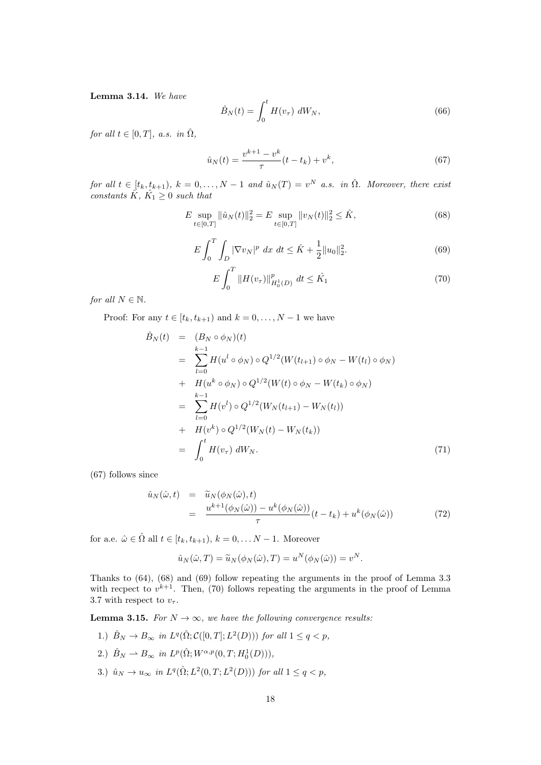Lemma 3.14. We have

$$
\hat{B}_N(t) = \int_0^t H(v_\tau) dW_N,
$$
\n(66)

for all  $t \in [0, T]$ , a.s. in  $\hat{\Omega}$ ,

$$
\hat{u}_N(t) = \frac{v^{k+1} - v^k}{\tau} (t - t_k) + v^k,
$$
\n(67)

for all  $t \in [t_k, t_{k+1}), k = 0, \ldots, N-1$  and  $\hat{u}_N(T) = v^N$  a.s. in  $\hat{\Omega}$ . Moreover, there exist constants  $\hat{K}$ ,  $\hat{K_1} \geq 0$  such that

$$
E \sup_{t \in [0,T]} \|\hat{u}_N(t)\|_2^2 = E \sup_{t \in [0,T]} \|v_N(t)\|_2^2 \le \hat{K},
$$
\n(68)

$$
E\int_{0}^{T} \int_{D} |\nabla v_{N}|^{p} dx dt \leq \hat{K} + \frac{1}{2} \|u_{0}\|_{2}^{2}.
$$
 (69)

$$
E\int_{0}^{T} \|H(v_{\tau})\|_{H_{0}^{1}(D)}^{p} \, dt \leq \hat{K_{1}} \tag{70}
$$

for all  $N \in \mathbb{N}$ .

Proof: For any  $t \in [t_k, t_{k+1})$  and  $k = 0, \ldots, N-1$  we have

$$
\hat{B}_{N}(t) = (B_{N} \circ \phi_{N})(t)
$$
\n
$$
= \sum_{l=0}^{k-1} H(u^{l} \circ \phi_{N}) \circ Q^{1/2}(W(t_{l+1}) \circ \phi_{N} - W(t_{l}) \circ \phi_{N})
$$
\n
$$
+ H(u^{k} \circ \phi_{N}) \circ Q^{1/2}(W(t) \circ \phi_{N} - W(t_{k}) \circ \phi_{N})
$$
\n
$$
= \sum_{l=0}^{k-1} H(v^{l}) \circ Q^{1/2}(W_{N}(t_{l+1}) - W_{N}(t_{l}))
$$
\n
$$
+ H(v^{k}) \circ Q^{1/2}(W_{N}(t) - W_{N}(t_{k}))
$$
\n
$$
= \int_{0}^{t} H(v_{\tau}) dW_{N}.
$$
\n(71)

(67) follows since

$$
\hat{u}_N(\hat{\omega},t) = \tilde{u}_N(\phi_N(\hat{\omega}),t)
$$
\n
$$
= \frac{u^{k+1}(\phi_N(\hat{\omega})) - u^k(\phi_N(\hat{\omega}))}{\tau} (t - t_k) + u^k(\phi_N(\hat{\omega}))
$$
\n(72)

for a.e.  $\hat{\omega} \in \hat{\Omega}$  all  $t \in [t_k, t_{k+1}), k = 0, \ldots N-1$ . Moreover

$$
\hat{u}_N(\hat{\omega},T) = \widetilde{u}_N(\phi_N(\hat{\omega}),T) = u^N(\phi_N(\hat{\omega})) = v^N.
$$

Thanks to (64), (68) and (69) follow repeating the arguments in the proof of Lemma 3.3 with recpect to  $v^{k+1}$ . Then, (70) follows repeating the arguments in the proof of Lemma 3.7 with respect to  $v_{\tau}$ .

**Lemma 3.15.** For  $N \to \infty$ , we have the following convergence results:

- 1.)  $\hat{B}_N \to B_\infty$  in  $L^q(\hat{\Omega}; \mathcal{C}([0,T]; L^2(D)))$  for all  $1 \leq q < p$ ,
- 2.)  $\hat{B}_N \rightharpoonup B_{\infty}$  in  $L^p(\hat{\Omega}; W^{\alpha, p}(0, T; H_0^1(D))),$
- 3.)  $\hat{u}_N \to u_\infty$  in  $L^q(\hat{\Omega}; L^2(0,T; L^2(D)))$  for all  $1 \le q < p$ ,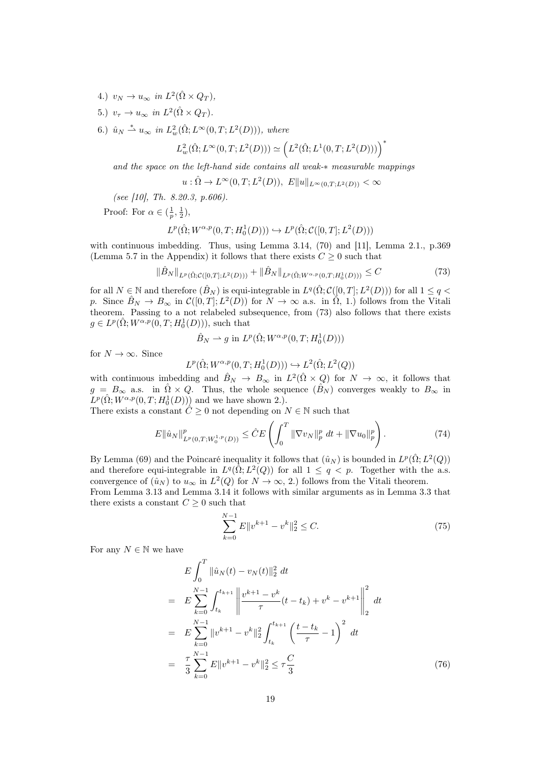- 4.)  $v_N \to u_\infty$  in  $L^2(\hat{\Omega} \times Q_T)$ ,
- 5.)  $v_{\tau} \to u_{\infty}$  in  $L^2(\hat{\Omega} \times Q_T)$ .
- 6.)  $\hat{u}_N \stackrel{*}{\rightharpoonup} u_\infty$  in  $L^2_w(\hat{\Omega}; L^\infty(0,T; L^2(D))),$  where

$$
L^2_w(\hat{\Omega};L^\infty(0,T;L^2(D)))\simeq \Big(L^2(\hat{\Omega};L^1(0,T;L^2(D)))\Big)^*
$$

and the space on the left-hand side contains all weak-∗ measurable mappings

$$
u : \hat{\Omega} \to L^{\infty}(0,T; L^2(D)), E||u||_{L^{\infty}(0,T;L^2(D))} < \infty
$$

(see [10], Th. 8.20.3, p.606).

Proof: For  $\alpha \in (\frac{1}{p}, \frac{1}{2}),$ 

$$
L^p(\hat{\Omega}; W^{\alpha, p}(0,T; H_0^1(D))) \hookrightarrow L^p(\hat{\Omega}; \mathcal{C}([0,T]; L^2(D)))
$$

with continuous imbedding. Thus, using Lemma 3.14, (70) and [11], Lemma 2.1., p.369 (Lemma 5.7 in the Appendix) it follows that there exists  $C \geq 0$  such that

$$
\|\hat{B}_N\|_{L^p(\hat{\Omega};\mathcal{C}([0,T];L^2(D)))} + \|\hat{B}_N\|_{L^p(\hat{\Omega};W^{\alpha,p}(0,T;H^1_0(D)))} \leq C \tag{73}
$$

for all  $N \in \mathbb{N}$  and therefore  $(\hat{B}_N)$  is equi-integrable in  $L^q(\hat{\Omega}; \mathcal{C}([0,T]; L^2(D)))$  for all  $1 \leq q$ p. Since  $\hat{B}_N \to B_\infty$  in  $\mathcal{C}([0,T]; L^2(D))$  for  $N \to \infty$  a.s. in  $\hat{\Omega}$ , 1.) follows from the Vitali theorem. Passing to a not relabeled subsequence, from (73) also follows that there exists  $g \in L^p(\hat{\Omega}; W^{\alpha, p}(0,T; H_0^1(D))),$  such that

$$
\hat{B}_N \rightharpoonup g \text{ in } L^p(\hat{\Omega}; W^{\alpha, p}(0,T; H_0^1(D)))
$$

for  $N \to \infty$ . Since

$$
L^p(\hat{\Omega};W^{\alpha,p}(0,T;H^1_0(D)))\hookrightarrow L^2(\hat{\Omega};L^2(Q))
$$

with continuous imbedding and  $\hat{B}_N \to B_\infty$  in  $L^2(\hat{\Omega} \times Q)$  for  $N \to \infty$ , it follows that  $g = B_{\infty}$  a.s. in  $\hat{\Omega} \times Q$ . Thus, the whole sequence  $(\hat{B}_N)$  converges weakly to  $B_{\infty}$  in  $L^p(\hat{\Omega}; W^{\alpha,p}(0,T; H^1_0(D)))$  and we have shown 2.).

There exists a constant  $\hat{C} \geq 0$  not depending on  $N \in \mathbb{N}$  such that

$$
E \|\hat{u}_N\|_{L^p(0,T;W_0^{1,p}(D))}^p \leq \hat{C}E \left( \int_0^T \|\nabla v_N\|_p^p dt + \|\nabla u_0\|_p^p \right). \tag{74}
$$

By Lemma (69) and the Poincaré inequality it follows that  $(\hat{u}_N)$  is bounded in  $L^p(\hat{\Omega}; L^2(Q))$ and therefore equi-integrable in  $L^q(\hat{\Omega}; L^2(Q))$  for all  $1 \leq q \leq p$ . Together with the a.s. convergence of  $(\hat{u}_N)$  to  $u_\infty$  in  $L^2(Q)$  for  $N \to \infty$ , 2.) follows from the Vitali theorem.

From Lemma 3.13 and Lemma 3.14 it follows with similar arguments as in Lemma 3.3 that there exists a constant  $C \geq 0$  such that

$$
\sum_{k=0}^{N-1} E||v^{k+1} - v^k||_2^2 \le C.
$$
\n(75)

For any  $N \in \mathbb{N}$  we have

$$
E\int_{0}^{T} \|\hat{u}_{N}(t) - v_{N}(t)\|_{2}^{2} dt
$$
  
\n
$$
= E\sum_{k=0}^{N-1} \int_{t_{k}}^{t_{k+1}} \left\| \frac{v^{k+1} - v^{k}}{\tau} (t - t_{k}) + v^{k} - v^{k+1} \right\|_{2}^{2} dt
$$
  
\n
$$
= E\sum_{k=0}^{N-1} \|v^{k+1} - v^{k}\|_{2}^{2} \int_{t_{k}}^{t_{k+1}} \left(\frac{t - t_{k}}{\tau} - 1\right)^{2} dt
$$
  
\n
$$
= \frac{\tau}{3} \sum_{k=0}^{N-1} E\|v^{k+1} - v^{k}\|_{2}^{2} \leq \tau \frac{C}{3}
$$
(76)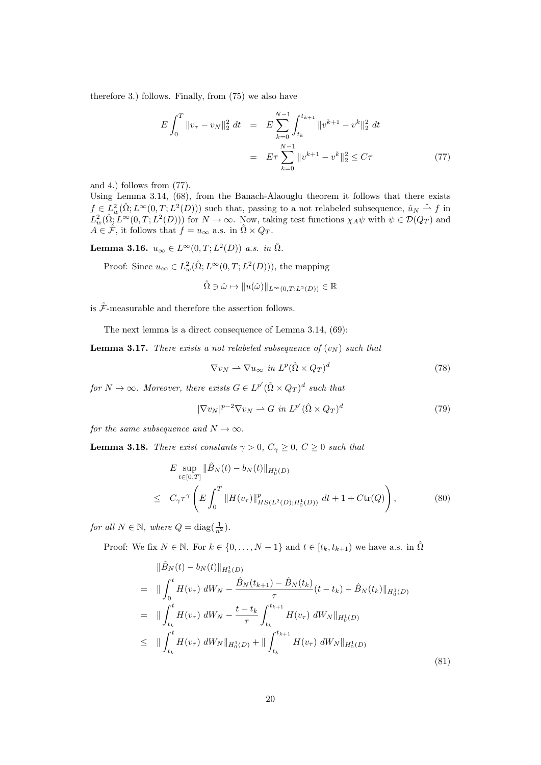therefore 3.) follows. Finally, from (75) we also have

$$
E\int_0^T \|v_\tau - v_N\|_2^2 dt = E\sum_{k=0}^{N-1} \int_{t_k}^{t_{k+1}} \|v^{k+1} - v^k\|_2^2 dt
$$
  

$$
= E\tau \sum_{k=0}^{N-1} \|v^{k+1} - v^k\|_2^2 \le C\tau
$$
 (77)

and 4.) follows from (77).

Using Lemma 3.14, (68), from the Banach-Alaouglu theorem it follows that there exists  $f \in L^2_w(\hat{\Omega}; L^{\infty}(0,T; L^2(D)))$  such that, passing to a not relabeled subsequence,  $\hat{u}_N \stackrel{*}{\rightharpoonup} f$  in  $L^2_w(\hat{\Omega}, L^{\infty}(0,T; L^2(D)))$  for  $N \to \infty$ . Now, taking test functions  $\chi_A \psi$  with  $\psi \in \mathcal{D}(Q_T)$  and  $A \in \hat{\mathcal{F}}$ , it follows that  $f = u_{\infty}$  a.s. in  $\hat{\Omega} \times Q_T$ .

**Lemma 3.16.**  $u_{\infty} \in L^{\infty}(0,T; L^2(D))$  a.s. in  $\hat{\Omega}$ .

Proof: Since  $u_{\infty} \in L^2_w(\hat{\Omega}; L^{\infty}(0,T; L^2(D)))$ , the mapping

$$
\hat{\Omega} \ni \hat{\omega} \mapsto ||u(\hat{\omega})||_{L^{\infty}(0,T;L^2(D))} \in \mathbb{R}
$$

is  $\hat{\mathcal{F}}\text{-measurable}$  and therefore the assertion follows.

The next lemma is a direct consequence of Lemma 3.14, (69):

**Lemma 3.17.** There exists a not relabeled subsequence of  $(v_N)$  such that

$$
\nabla v_N \rightharpoonup \nabla u_\infty \text{ in } L^p(\hat{\Omega} \times Q_T)^d \tag{78}
$$

for  $N \to \infty$ . Moreover, there exists  $G \in L^{p'}(\hat{\Omega} \times Q_T)^d$  such that

$$
|\nabla v_N|^{p-2} \nabla v_N \rightharpoonup G \text{ in } L^{p'}(\hat{\Omega} \times Q_T)^d \tag{79}
$$

for the same subsequence and  $N \to \infty$ .

**Lemma 3.18.** There exist constants  $\gamma > 0$ ,  $C_{\gamma} \geq 0$ ,  $C \geq 0$  such that

$$
E \sup_{t \in [0,T]} \|\hat{B}_N(t) - b_N(t)\|_{H_0^1(D)} \leq C_\gamma \tau^\gamma \left( E \int_0^T \|H(v_\tau)\|_{HS(L^2(D);H_0^1(D))}^p dt + 1 + C \text{tr}(Q) \right),
$$
\n(80)

for all  $N \in \mathbb{N}$ , where  $Q = \text{diag}(\frac{1}{n^2})$ .

Proof: We fix  $N \in \mathbb{N}$ . For  $k \in \{0, ..., N-1\}$  and  $t \in [t_k, t_{k+1})$  we have a.s. in  $\hat{\Omega}$ 

$$
\|\hat{B}_{N}(t) - b_{N}(t)\|_{H_{0}^{1}(D)}\n= \|\int_{0}^{t} H(v_{\tau}) dW_{N} - \frac{\hat{B}_{N}(t_{k+1}) - \hat{B}_{N}(t_{k})}{\tau} (t - t_{k}) - \hat{B}_{N}(t_{k})\|_{H_{0}^{1}(D)}\n= \|\int_{t_{k}}^{t} H(v_{\tau}) dW_{N} - \frac{t - t_{k}}{\tau} \int_{t_{k}}^{t_{k+1}} H(v_{\tau}) dW_{N}\|_{H_{0}^{1}(D)}\n\leq \|\int_{t_{k}}^{t} H(v_{\tau}) dW_{N}\|_{H_{0}^{1}(D)} + \|\int_{t_{k}}^{t_{k+1}} H(v_{\tau}) dW_{N}\|_{H_{0}^{1}(D)}
$$
\n(81)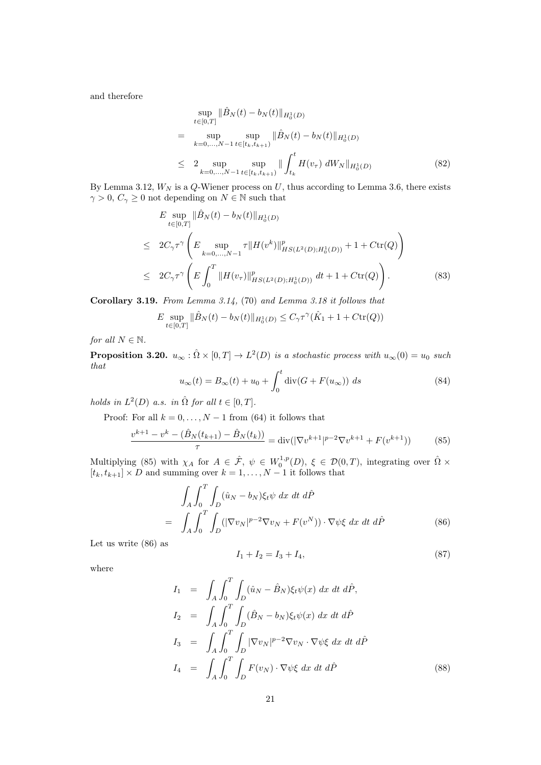and therefore

$$
\sup_{t \in [0,T]} \|\hat{B}_N(t) - b_N(t)\|_{H_0^1(D)} \n= \sup_{k=0,...,N-1} \sup_{t \in [t_k, t_{k+1})} \|\hat{B}_N(t) - b_N(t)\|_{H_0^1(D)} \n\le 2 \sup_{k=0,...,N-1} \sup_{t \in [t_k, t_{k+1})} \|\int_{t_k}^t H(v_\tau) dW_N\|_{H_0^1(D)} \tag{82}
$$

By Lemma 3.12,  $W_N$  is a  $Q$ -Wiener process on  $U$ , thus according to Lemma 3.6, there exists  $\gamma>0,\,C_\gamma\geq 0$  not depending on  $N\in\mathbb{N}$  such that

$$
E \sup_{t \in [0,T]} \|\hat{B}_N(t) - b_N(t)\|_{H_0^1(D)}
$$
  
\n
$$
\leq 2C_{\gamma} \tau^{\gamma} \left( E \sup_{k=0,\dots,N-1} \tau \|H(v^k)\|_{HS(L^2(D);H_0^1(D))}^p + 1 + C \text{tr}(Q) \right)
$$
  
\n
$$
\leq 2C_{\gamma} \tau^{\gamma} \left( E \int_0^T \|H(v_\tau)\|_{HS(L^2(D);H_0^1(D))}^p dt + 1 + C \text{tr}(Q) \right). \tag{83}
$$

Corollary 3.19. From Lemma 3.14, (70) and Lemma 3.18 it follows that

$$
E \sup_{t \in [0,T]} \|\hat{B}_N(t) - b_N(t)\|_{H_0^1(D)} \le C_\gamma \tau^\gamma (\hat{K}_1 + 1 + C \text{tr}(Q))
$$

for all  $N \in \mathbb{N}$ .

**Proposition 3.20.**  $u_{\infty} : \hat{\Omega} \times [0,T] \to L^2(D)$  is a stochastic process with  $u_{\infty}(0) = u_0$  such that

$$
u_{\infty}(t) = B_{\infty}(t) + u_0 + \int_0^t \operatorname{div}(G + F(u_{\infty})) ds
$$
\n(84)

holds in  $L^2(D)$  a.s. in  $\hat{\Omega}$  for all  $t \in [0, T]$ .

Proof: For all  $k = 0, \ldots, N - 1$  from (64) it follows that

$$
\frac{v^{k+1} - v^k - (\hat{B}_N(t_{k+1}) - \hat{B}_N(t_k))}{\tau} = \text{div}(|\nabla v^{k+1}|^{p-2} \nabla v^{k+1} + F(v^{k+1}))\tag{85}
$$

Multiplying (85) with  $\chi_A$  for  $A \in \hat{\mathcal{F}}$ ,  $\psi \in W_0^{1,p}(D)$ ,  $\xi \in \mathcal{D}(0,T)$ , integrating over  $\hat{\Omega} \times$  $[t_k, t_{k+1}] \times D$  and summing over  $k = 1, ..., N - 1$  it follows that

$$
\int_{A} \int_{0}^{T} \int_{D} (\hat{u}_{N} - b_{N}) \xi_{t} \psi \, dx \, dt \, d\hat{P}
$$
\n
$$
= \int_{A} \int_{0}^{T} \int_{D} (|\nabla v_{N}|^{p-2} \nabla v_{N} + F(v^{N})) \cdot \nabla \psi \xi \, dx \, dt \, d\hat{P}
$$
\n(86)

Let us write (86) as

$$
I_1 + I_2 = I_3 + I_4,\t\t(87)
$$

where

$$
I_1 = \int_A \int_0^T \int_D (\hat{u}_N - \hat{B}_N) \xi_t \psi(x) dx dt d\hat{P},
$$
  
\n
$$
I_2 = \int_A \int_0^T \int_D (\hat{B}_N - b_N) \xi_t \psi(x) dx dt d\hat{P}
$$
  
\n
$$
I_3 = \int_A \int_0^T \int_D |\nabla v_N|^{p-2} \nabla v_N \cdot \nabla \psi \xi dx dt d\hat{P}
$$
  
\n
$$
I_4 = \int_A \int_0^T \int_D F(v_N) \cdot \nabla \psi \xi dx dt d\hat{P}
$$
\n(88)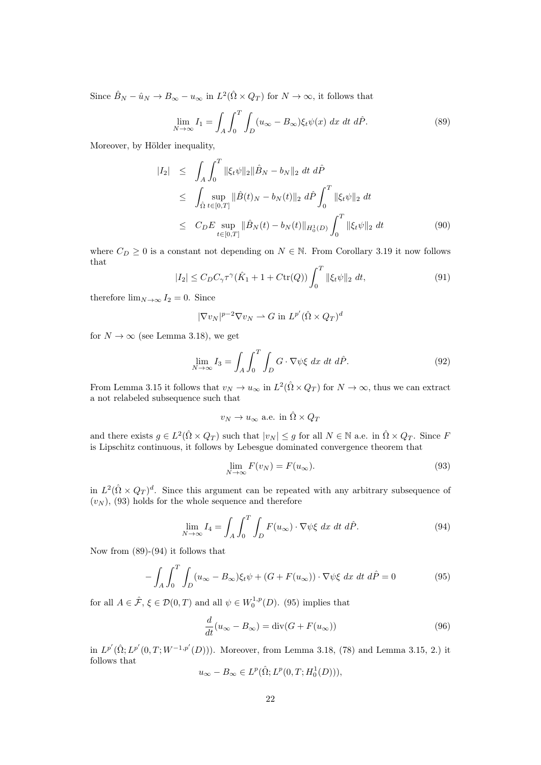Since  $\hat{B}_N - \hat{u}_N \to B_\infty - u_\infty$  in  $L^2(\hat{\Omega} \times Q_T)$  for  $N \to \infty$ , it follows that

$$
\lim_{N \to \infty} I_1 = \int_A \int_0^T \int_D (u_\infty - B_\infty) \xi_t \psi(x) \, dx \, dt \, d\hat{P}.
$$
 (89)

Moreover, by Hölder inequality,

$$
|I_2| \leq \int_A \int_0^T \|\xi_t \psi\|_2 \|\hat{B}_N - b_N\|_2 dt d\hat{P}
$$
  
\n
$$
\leq \int_{\hat{\Omega}} \sup_{t \in [0,T]} \|\hat{B}(t)_N - b_N(t)\|_2 d\hat{P} \int_0^T \|\xi_t \psi\|_2 dt
$$
  
\n
$$
\leq C_DE \sup_{t \in [0,T]} \|\hat{B}_N(t) - b_N(t)\|_{H_0^1(D)} \int_0^T \|\xi_t \psi\|_2 dt
$$
 (90)

where  $C_D \geq 0$  is a constant not depending on  $N \in \mathbb{N}$ . From Corollary 3.19 it now follows that

$$
|I_2| \le C_D C_\gamma \tau^\gamma (\hat{K}_1 + 1 + C \text{tr}(Q)) \int_0^T ||\xi_t \psi||_2 dt,
$$
\n(91)

therefore  $\lim_{N\to\infty} I_2 = 0$ . Since

$$
|\nabla v_N|^{p-2} \nabla v_N \rightharpoonup G \text{ in } L^{p'}(\hat{\Omega} \times Q_T)^d
$$

for  $N \to \infty$  (see Lemma 3.18), we get

$$
\lim_{N \to \infty} I_3 = \int_A \int_0^T \int_D G \cdot \nabla \psi \xi \, dx \, dt \, d\hat{P}.
$$
\n(92)

From Lemma 3.15 it follows that  $v_N \to u_\infty$  in  $L^2(\hat{\Omega} \times Q_T)$  for  $N \to \infty$ , thus we can extract a not relabeled subsequence such that

$$
v_N \to u_\infty
$$
 a.e. in  $\hat{\Omega} \times Q_T$ 

and there exists  $g \in L^2(\hat{\Omega} \times Q_T)$  such that  $|v_N| \leq g$  for all  $N \in \mathbb{N}$  a.e. in  $\hat{\Omega} \times Q_T$ . Since F is Lipschitz continuous, it follows by Lebesgue dominated convergence theorem that

$$
\lim_{N \to \infty} F(v_N) = F(u_{\infty}).
$$
\n(93)

in  $L^2(\hat{\Omega} \times Q_T)^d$ . Since this argument can be repeated with any arbitrary subsequence of  $(v_N)$ , (93) holds for the whole sequence and therefore

$$
\lim_{N \to \infty} I_4 = \int_A \int_0^T \int_D F(u_\infty) \cdot \nabla \psi \xi \, dx \, dt \, d\hat{P}.\tag{94}
$$

Now from (89)-(94) it follows that

$$
-\int_{A}\int_{0}^{T}\int_{D}(u_{\infty}-B_{\infty})\xi_{t}\psi+(G+F(u_{\infty}))\cdot\nabla\psi\xi dx dt d\hat{P}=0
$$
\n(95)

for all  $A \in \hat{\mathcal{F}}, \xi \in \mathcal{D}(0,T)$  and all  $\psi \in W_0^{1,p}(D)$ . (95) implies that

$$
\frac{d}{dt}(u_{\infty} - B_{\infty}) = \text{div}(G + F(u_{\infty}))
$$
\n(96)

in  $L^{p'}(\hat{\Omega}; L^{p'}(0,T; W^{-1,p'}(D)))$ . Moreover, from Lemma 3.18, (78) and Lemma 3.15, 2.) it follows that

$$
u_{\infty} - B_{\infty} \in L^p(\hat{\Omega}; L^p(0,T; H_0^1(D))),
$$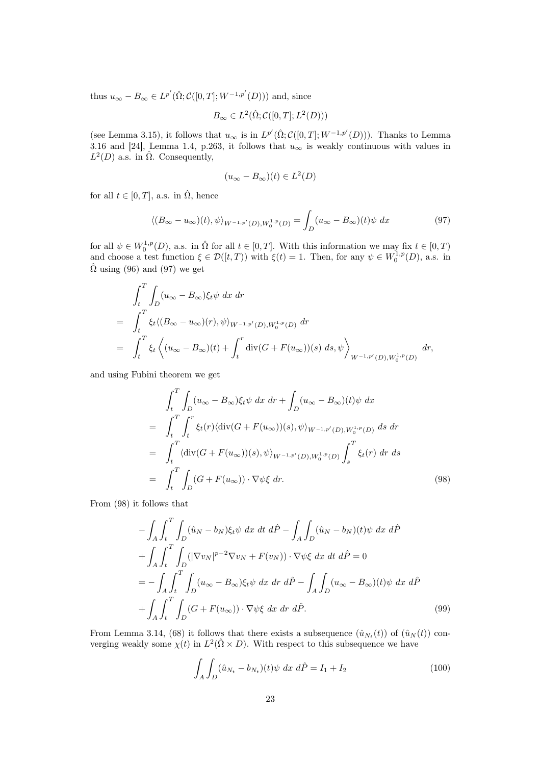thus  $u_{\infty} - B_{\infty} \in L^{p'}(\hat{\Omega}; C([0, T]; W^{-1,p'}(D)))$  and, since

$$
B_{\infty} \in L^2(\hat{\Omega}; \mathcal{C}([0,T]; L^2(D)))
$$

(see Lemma 3.15), it follows that  $u_{\infty}$  is in  $L^{p'}(\hat{\Omega}; C([0,T]; W^{-1,p'}(D)))$ . Thanks to Lemma 3.16 and [24], Lemma 1.4, p.263, it follows that  $u_{\infty}$  is weakly continuous with values in  $L^2(D)$  a.s. in  $\hat{\Omega}$ . Consequently,

$$
(u_{\infty} - B_{\infty})(t) \in L^2(D)
$$

for all  $t \in [0, T]$ , a.s. in  $\hat{\Omega}$ , hence

$$
\langle (B_{\infty} - u_{\infty})(t), \psi \rangle_{W^{-1,p}(D), W_0^{1,p}(D)} = \int_D (u_{\infty} - B_{\infty})(t)\psi \, dx \tag{97}
$$

for all  $\psi \in W_0^{1,p}(D)$ , a.s. in  $\hat{\Omega}$  for all  $t \in [0,T]$ . With this information we may fix  $t \in [0,T)$ and choose a test function  $\xi \in \mathcal{D}([t,T))$  with  $\xi(t) = 1$ . Then, for any  $\psi \in W_0^{1,p}(D)$ , a.s. in  $\hat{\Omega}$  using (96) and (97) we get

$$
\int_{t}^{T} \int_{D} (u_{\infty} - B_{\infty}) \xi_{t} \psi \, dx \, dr
$$
\n
$$
= \int_{t}^{T} \xi_{t} \langle (B_{\infty} - u_{\infty})(r), \psi \rangle_{W^{-1,p'}(D), W_{0}^{1,p}(D)} \, dr
$$
\n
$$
= \int_{t}^{T} \xi_{t} \left\langle (u_{\infty} - B_{\infty})(t) + \int_{t}^{r} \text{div}(G + F(u_{\infty}))(s) \, ds, \psi \right\rangle_{W^{-1,p'}(D), W_{0}^{1,p}(D)} \, dr,
$$

and using Fubini theorem we get

$$
\int_{t}^{T} \int_{D} (u_{\infty} - B_{\infty}) \xi_{t} \psi \, dx \, dr + \int_{D} (u_{\infty} - B_{\infty})(t) \psi \, dx
$$
\n
$$
= \int_{t}^{T} \int_{t}^{r} \xi_{t}(r) \langle \operatorname{div}(G + F(u_{\infty}))(s), \psi \rangle_{W^{-1,p'}(D), W_{0}^{1,p}(D)} \, ds \, dr
$$
\n
$$
= \int_{t}^{T} \langle \operatorname{div}(G + F(u_{\infty}))(s), \psi \rangle_{W^{-1,p'}(D), W_{0}^{1,p}(D)} \int_{s}^{T} \xi_{t}(r) \, dr \, ds
$$
\n
$$
= \int_{t}^{T} \int_{D} (G + F(u_{\infty})) \cdot \nabla \psi \xi \, dr. \tag{98}
$$

From (98) it follows that

$$
-\int_{A} \int_{t}^{T} \int_{D} (\hat{u}_{N} - b_{N})\xi_{t} \psi \, dx \, dt \, d\hat{P} - \int_{A} \int_{D} (\hat{u}_{N} - b_{N})(t) \psi \, dx \, d\hat{P}
$$

$$
+ \int_{A} \int_{t}^{T} \int_{D} (|\nabla v_{N}|^{p-2} \nabla v_{N} + F(v_{N})) \cdot \nabla \psi \xi \, dx \, dt \, d\hat{P} = 0
$$

$$
= - \int_{A} \int_{t}^{T} \int_{D} (u_{\infty} - B_{\infty})\xi_{t} \psi \, dx \, dr \, d\hat{P} - \int_{A} \int_{D} (u_{\infty} - B_{\infty})(t) \psi \, dx \, d\hat{P}
$$

$$
+ \int_{A} \int_{t}^{T} \int_{D} (G + F(u_{\infty})) \cdot \nabla \psi \xi \, dx \, dr \, d\hat{P}.
$$
(99)

From Lemma 3.14, (68) it follows that there exists a subsequence  $(\hat{u}_{N_t}(t))$  of  $(\hat{u}_N(t))$  converging weakly some  $\chi(t)$  in  $L^2(\hat{\Omega} \times D)$ . With respect to this subsequence we have

$$
\int_{A} \int_{D} (\hat{u}_{N_t} - b_{N_t})(t) \psi \, dx \, d\hat{P} = I_1 + I_2 \tag{100}
$$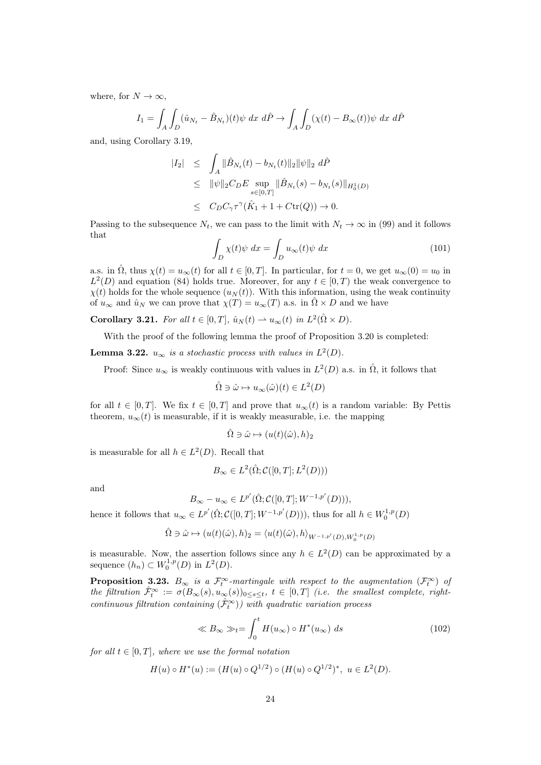where, for  $N \to \infty$ ,

$$
I_1 = \int_A \int_D (\hat{u}_{N_t} - \hat{B}_{N_t})(t) \psi \, dx \, d\hat{P} \to \int_A \int_D (\chi(t) - B_{\infty}(t)) \psi \, dx \, d\hat{P}
$$

and, using Corollary 3.19,

$$
|I_2| \leq \int_A \|\hat{B}_{N_t}(t) - b_{N_t}(t)\|_2 \|\psi\|_2 \, d\hat{P}
$$
  
\n
$$
\leq \|\psi\|_2 C_D E \sup_{s \in [0,T]} \|\hat{B}_{N_t}(s) - b_{N_t}(s)\|_{H_0^1(D)}
$$
  
\n
$$
\leq C_D C_\gamma \tau^\gamma (\hat{K}_1 + 1 + C \text{tr}(Q)) \to 0.
$$

Passing to the subsequence  $N_t$ , we can pass to the limit with  $N_t \to \infty$  in (99) and it follows that

$$
\int_{D} \chi(t)\psi \ dx = \int_{D} u_{\infty}(t)\psi \ dx \tag{101}
$$

a.s. in  $\hat{\Omega}$ , thus  $\chi(t) = u_{\infty}(t)$  for all  $t \in [0, T]$ . In particular, for  $t = 0$ , we get  $u_{\infty}(0) = u_0$  in  $L^2(D)$  and equation (84) holds true. Moreover, for any  $t \in [0, T)$  the weak convergence to  $\chi(t)$  holds for the whole sequence  $(u_N(t))$ . With this information, using the weak continuity of  $u_{\infty}$  and  $\hat{u}_N$  we can prove that  $\chi(T) = u_{\infty}(T)$  a.s. in  $\hat{\Omega} \times D$  and we have

**Corollary 3.21.** For all  $t \in [0, T]$ ,  $\hat{u}_N(t) \rightharpoonup u_\infty(t)$  in  $L^2(\hat{\Omega} \times D)$ .

With the proof of the following lemma the proof of Proposition 3.20 is completed:

**Lemma 3.22.**  $u_{\infty}$  is a stochastic process with values in  $L^2(D)$ .

Proof: Since  $u_{\infty}$  is weakly continuous with values in  $L^2(D)$  a.s. in  $\hat{\Omega}$ , it follows that

$$
\hat{\Omega} \ni \hat{\omega} \mapsto u_{\infty}(\hat{\omega})(t) \in L^2(D)
$$

for all  $t \in [0, T]$ . We fix  $t \in [0, T]$  and prove that  $u_{\infty}(t)$  is a random variable: By Pettis theorem,  $u_{\infty}(t)$  is measurable, if it is weakly measurable, i.e. the mapping

$$
\hat{\Omega} \ni \hat{\omega} \mapsto (u(t)(\hat{\omega}), h)_2
$$

is measurable for all  $h \in L^2(D)$ . Recall that

$$
B_{\infty} \in L^2(\hat{\Omega}; \mathcal{C}([0, T]; L^2(D)))
$$

and

$$
B_{\infty} - u_{\infty} \in L^{p'}(\hat{\Omega}; \mathcal{C}([0, T]; W^{-1, p'}(D))),
$$

hence it follows that  $u_{\infty} \in L^{p'}(\hat{\Omega}; \mathcal{C}([0,T]; W^{-1,p'}(D))),$  thus for all  $h \in W_0^{1,p}(D)$ 

$$
\hat{\Omega} \ni \hat{\omega} \mapsto (u(t)(\hat{\omega}), h)_2 = \langle u(t)(\hat{\omega}), h \rangle_{W^{-1,p'}(D), W_0^{1,p}(D)}
$$

is measurable. Now, the assertion follows since any  $h \in L^2(D)$  can be approximated by a sequence  $(h_n) \subset W_0^{1,p}(D)$  in  $L^2(D)$ .

**Proposition 3.23.**  $B_{\infty}$  is a  $\mathcal{F}_t^{\infty}$ -martingale with respect to the augmentation  $(\mathcal{F}_t^{\infty})$  of the filtration  $\hat{\mathcal{F}}_t^{\infty} := \sigma(B_{\infty}(s), u_{\infty}(s))_{0 \leq s \leq t}$ ,  $t \in [0, T]$  (i.e. the smallest complete, rightcontinuous filtration containing  $(\hat{\mathcal{F}}_t^{\infty})$ ) with quadratic variation process

$$
\ll B_{\infty} \gg_t = \int_0^t H(u_{\infty}) \circ H^*(u_{\infty}) ds \tag{102}
$$

for all  $t \in [0, T]$ , where we use the formal notation

$$
H(u) \circ H^*(u) := (H(u) \circ Q^{1/2}) \circ (H(u) \circ Q^{1/2})^*, \ u \in L^2(D).
$$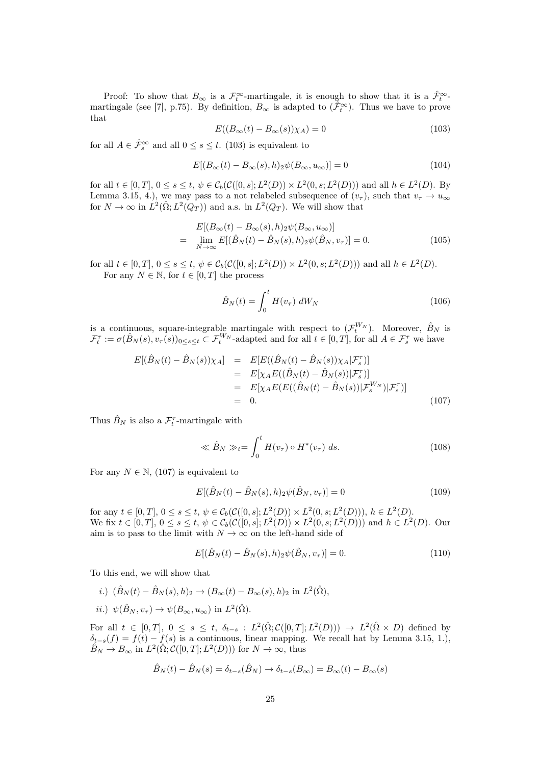Proof: To show that  $B_{\infty}$  is a  $\mathcal{F}_t^{\infty}$ -martingale, it is enough to show that it is a  $\hat{\mathcal{F}}_t^{\infty}$ martingale (see [7], p.75). By definition,  $B_{\infty}$  is adapted to  $(\tilde{\mathcal{F}}_t^{\infty})$ . Thus we have to prove that

$$
E((B_{\infty}(t) - B_{\infty}(s))\chi_A) = 0
$$
\n(103)

for all  $A \in \hat{\mathcal{F}}_s^{\infty}$  and all  $0 \leq s \leq t$ . (103) is equivalent to

$$
E[(B_{\infty}(t) - B_{\infty}(s), h)_2 \psi(B_{\infty}, u_{\infty})] = 0
$$
\n(104)

for all  $t \in [0, T]$ ,  $0 \le s \le t$ ,  $\psi \in C_b(\mathcal{C}([0, s]; L^2(D)) \times L^2(0, s; L^2(D)))$  and all  $h \in L^2(D)$ . By Lemma 3.15, 4.), we may pass to a not relabeled subsequence of  $(v_\tau)$ , such that  $v_\tau \to u_\infty$ for  $N \to \infty$  in  $\dot{L}^2(\hat{\Omega}; L^2(Q_T))$  and a.s. in  $L^2(Q_T)$ . We will show that

$$
E[(B_{\infty}(t) - B_{\infty}(s), h)_2 \psi(B_{\infty}, u_{\infty})]
$$
  
= 
$$
\lim_{N \to \infty} E[(\hat{B}_N(t) - \hat{B}_N(s), h)_2 \psi(\hat{B}_N, v_\tau)] = 0.
$$
 (105)

for all  $t \in [0, T]$ ,  $0 \le s \le t$ ,  $\psi \in C_b(\mathcal{C}([0, s]; L^2(D)) \times L^2(0, s; L^2(D)))$  and all  $h \in L^2(D)$ . For any  $N \in \mathbb{N}$ , for  $t \in [0, T]$  the process

$$
\hat{B}_N(t) = \int_0^t H(v_\tau) dW_N \tag{106}
$$

is a continuous, square-integrable martingale with respect to  $(\mathcal{F}_t^{W_N})$ . Moreover,  $\hat{B}_N$  is  $\mathcal{F}_t^{\tau} := \sigma(\hat{B}_N(s), v_{\tau}(s))_{0 \le s \le t} \subset \mathcal{F}_t^{W_N}$ -adapted and for all  $t \in [0, T]$ , for all  $A \in \mathcal{F}_s^{\tau}$  we have

$$
E[(\hat{B}_{N}(t) - \hat{B}_{N}(s))\chi_{A}] = E[E((\hat{B}_{N}(t) - \hat{B}_{N}(s))\chi_{A}|\mathcal{F}_{s}^{T})]
$$
  
\n
$$
= E[\chi_{A}E((\hat{B}_{N}(t) - \hat{B}_{N}(s))|\mathcal{F}_{s}^{T})]
$$
  
\n
$$
= E[\chi_{A}E(E((\hat{B}_{N}(t) - \hat{B}_{N}(s))|\mathcal{F}_{s}^{W_{N}})|\mathcal{F}_{s}^{T})]
$$
  
\n
$$
= 0.
$$
 (107)

Thus  $\hat{B}_N$  is also a  $\mathcal{F}_t^{\tau}$ -martingale with

$$
\ll \hat{B}_N \gg_t = \int_0^t H(v_\tau) \circ H^*(v_\tau) ds. \tag{108}
$$

For any  $N \in \mathbb{N}$ , (107) is equivalent to

$$
E[(\hat{B}_N(t) - \hat{B}_N(s), h)_2 \psi(\hat{B}_N, v_\tau)] = 0
$$
\n(109)

for any  $t \in [0, T], 0 \le s \le t, \psi \in C_b(\mathcal{C}([0, s]; L^2(D)) \times L^2(0, s; L^2(D))), h \in L^2(D).$ We fix  $t \in [0, T]$ ,  $0 \le s \le t$ ,  $\psi \in C_b(\mathcal{C}([0, s]; L^2(D)) \times L^2(0, s; L^2(D)))$  and  $h \in L^2(D)$ . Our aim is to pass to the limit with  $N \to \infty$  on the left-hand side of

$$
E[(\hat{B}_N(t) - \hat{B}_N(s), h)_2 \psi(\hat{B}_N, v_\tau)] = 0.
$$
\n(110)

To this end, we will show that

- i.)  $(\hat{B}_N(t) \hat{B}_N(s), h)_2 \to (B_\infty(t) B_\infty(s), h)_2$  in  $L^2(\hat{\Omega}),$
- *ii.*)  $\psi(\hat{B}_N, v_\tau) \to \psi(B_\infty, u_\infty)$  in  $L^2(\hat{\Omega})$ .

For all  $t \in [0,T], 0 \le s \le t$ ,  $\delta_{t-s} : L^2(\hat{\Omega}; C([0,T]; L^2(D))) \to L^2(\hat{\Omega} \times D)$  defined by  $\delta_{t-s}(f) = f(t) - f(s)$  is a continuous, linear mapping. We recall hat by Lemma 3.15, 1.),  $\hat{B}_N \to B_\infty$  in  $L^2(\hat{\Omega}; \mathcal{C}([0,T]; L^2(D)))$  for  $N \to \infty$ , thus

$$
\hat{B}_N(t) - \hat{B}_N(s) = \delta_{t-s}(\hat{B}_N) \to \delta_{t-s}(B_\infty) = B_\infty(t) - B_\infty(s)
$$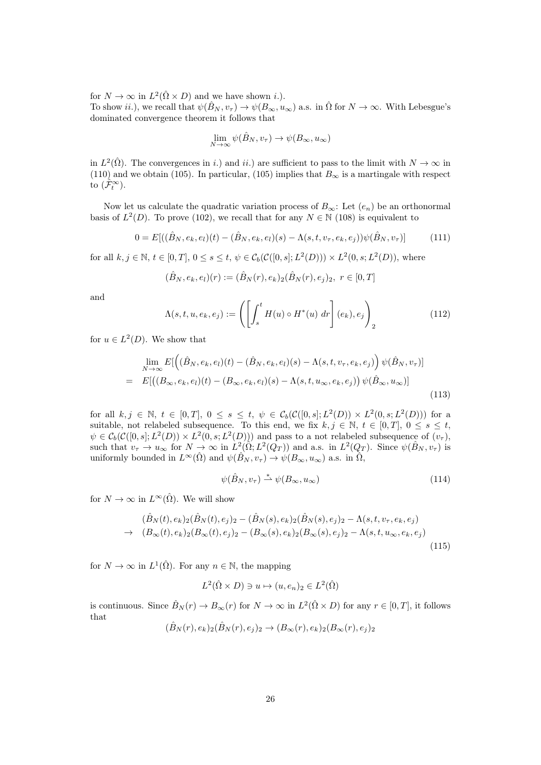for  $N \to \infty$  in  $L^2(\hat{\Omega} \times D)$  and we have shown *i*.). To show ii.), we recall that  $\psi(\hat{B}_N, v_\tau) \to \psi(B_\infty, u_\infty)$  a.s. in  $\hat{\Omega}$  for  $N \to \infty$ . With Lebesgue's dominated convergence theorem it follows that

$$
\lim_{N \to \infty} \psi(\hat{B}_N, v_\tau) \to \psi(B_\infty, u_\infty)
$$

in  $L^2(\hat{\Omega})$ . The convergences in i.) and ii.) are sufficient to pass to the limit with  $N \to \infty$  in (110) and we obtain (105). In particular, (105) implies that  $B_{\infty}$  is a martingale with respect to  $(\hat{\mathcal{F}}_t^{\infty})$ .

Now let us calculate the quadratic variation process of  $B_{\infty}$ : Let  $(e_n)$  be an orthonormal basis of  $L^2(D)$ . To prove (102), we recall that for any  $N \in \mathbb{N}$  (108) is equivalent to

$$
0 = E[((\hat{B}_N, e_k, e_l)(t) - (\hat{B}_N, e_k, e_l)(s) - \Lambda(s, t, v_\tau, e_k, e_j))\psi(\hat{B}_N, v_\tau)]
$$
(111)

for all  $k, j \in \mathbb{N}, t \in [0, T], 0 \le s \le t, \psi \in C_b(\mathcal{C}([0, s]; L^2(D))) \times L^2(0, s; L^2(D)),$  where

$$
(\hat{B}_N, e_k, e_l)(r) := (\hat{B}_N(r), e_k)_2(\hat{B}_N(r), e_j)_2, r \in [0, T]
$$

and

$$
\Lambda(s,t,u,e_k,e_j) := \left( \left[ \int_s^t H(u) \circ H^*(u) \, dr \right] (e_k), e_j \right)_2 \tag{112}
$$

for  $u \in L^2(D)$ . We show that

$$
\lim_{N \to \infty} E[\left((\hat{B}_N, e_k, e_l)(t) - (\hat{B}_N, e_k, e_l)(s) - \Lambda(s, t, v_\tau, e_k, e_j)\right) \psi(\hat{B}_N, v_\tau)]
$$
\n
$$
= E[\left((B_\infty, e_k, e_l)(t) - (B_\infty, e_k, e_l)(s) - \Lambda(s, t, u_\infty, e_k, e_j)\right) \psi(\hat{B}_\infty, u_\infty)]
$$
\n(113)

for all  $k, j \in \mathbb{N}, t \in [0,T], 0 \le s \le t, \psi \in C_b(\mathcal{C}([0,s];L^2(D)) \times L^2(0,s;L^2(D)))$  for a suitable, not relabeled subsequence. To this end, we fix  $k, j \in \mathbb{N}, t \in [0,T], 0 \le s \le t$ ,  $\psi \in C_b(\mathcal{C}([0, s]; L^2(D)) \times L^2(0, s; L^2(D)))$  and pass to a not relabeled subsequence of  $(v_\tau)$ , such that  $v_\tau \to u_\infty$  for  $N \to \infty$  in  $L^2(\hat{\Omega}; L^2(Q_T))$  and a.s. in  $L^2(Q_T)$ . Since  $\psi(\hat{B}_N, v_\tau)$  is uniformly bounded in  $L^{\infty}(\hat{\Omega})$  and  $\psi(\hat{B}_N, v_{\tau}) \to \psi(B_{\infty}, u_{\infty})$  a.s. in  $\hat{\Omega}$ ,

$$
\psi(\hat{B}_N, v_\tau) \stackrel{*}{\rightharpoonup} \psi(B_\infty, u_\infty) \tag{114}
$$

for  $N \to \infty$  in  $L^{\infty}(\hat{\Omega})$ . We will show

$$
(\hat{B}_N(t), e_k)_2(\hat{B}_N(t), e_j)_2 - (\hat{B}_N(s), e_k)_2(\hat{B}_N(s), e_j)_2 - \Lambda(s, t, v_\tau, e_k, e_j) \n\to (B_\infty(t), e_k)_2(B_\infty(t), e_j)_2 - (B_\infty(s), e_k)_2(B_\infty(s), e_j)_2 - \Lambda(s, t, u_\infty, e_k, e_j)
$$
\n(115)

for  $N \to \infty$  in  $L^1(\hat{\Omega})$ . For any  $n \in \mathbb{N}$ , the mapping

$$
L^2(\hat{\Omega} \times D) \ni u \mapsto (u, e_n)_2 \in L^2(\hat{\Omega})
$$

is continuous. Since  $\hat{B}_N(r) \to B_\infty(r)$  for  $N \to \infty$  in  $L^2(\hat{\Omega} \times D)$  for any  $r \in [0, T]$ , it follows that

$$
(\hat{B}_N(r),e_k)_2(\hat{B}_N(r),e_j)_2 \to (B_\infty(r),e_k)_2(B_\infty(r),e_j)_2
$$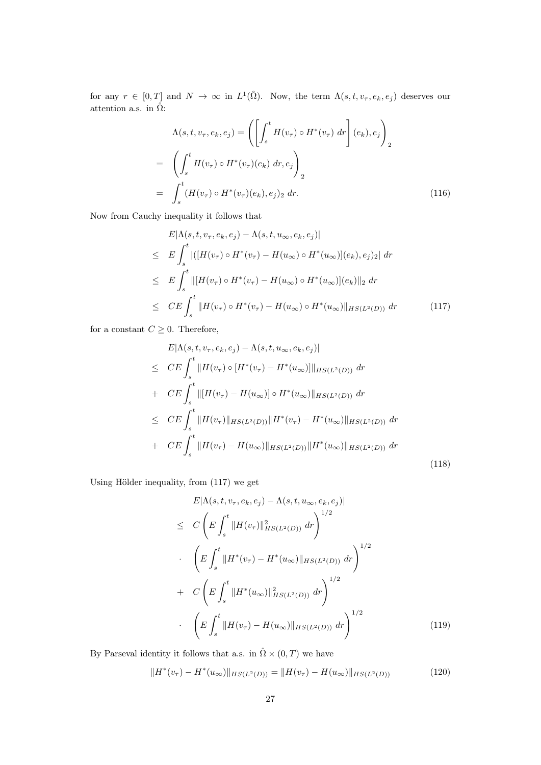for any  $r \in [0,T]$  and  $N \to \infty$  in  $L^1(\hat{\Omega})$ . Now, the term  $\Lambda(s,t,v_\tau,e_k,e_j)$  deserves our attention a.s. in  $\hat{\Omega}$ :

$$
\Lambda(s,t,v_{\tau},e_k,e_j) = \left(\left[\int_s^t H(v_{\tau}) \circ H^*(v_{\tau}) dr\right](e_k),e_j\right)_2
$$
  
= 
$$
\left(\int_s^t H(v_{\tau}) \circ H^*(v_{\tau})(e_k) dr,e_j\right)_2
$$
  
= 
$$
\int_s^t (H(v_{\tau}) \circ H^*(v_{\tau})(e_k),e_j)_2 dr.
$$
 (116)

Now from Cauchy inequality it follows that

$$
E|\Lambda(s, t, v_{\tau}, e_k, e_j) - \Lambda(s, t, u_{\infty}, e_k, e_j)|
$$
  
\n
$$
\leq E \int_s^t |([H(v_{\tau}) \circ H^*(v_{\tau}) - H(u_{\infty}) \circ H^*(u_{\infty})](e_k), e_j)_2| dr
$$
  
\n
$$
\leq E \int_s^t ||[H(v_{\tau}) \circ H^*(v_{\tau}) - H(u_{\infty}) \circ H^*(u_{\infty})](e_k)||_2 dr
$$
  
\n
$$
\leq CE \int_s^t ||H(v_{\tau}) \circ H^*(v_{\tau}) - H(u_{\infty}) \circ H^*(u_{\infty})||_{HS(L^2(D))} dr
$$
\n(117)

for a constant  $C\geq 0.$  Therefore,

$$
E|\Lambda(s, t, v_{\tau}, e_k, e_j) - \Lambda(s, t, u_{\infty}, e_k, e_j)|
$$
  
\n
$$
\leq CE \int_s^t ||H(v_{\tau}) \circ [H^*(v_{\tau}) - H^*(u_{\infty})] ||_{HS(L^2(D))} dr
$$
  
\n
$$
+ CE \int_s^t ||[H(v_{\tau}) - H(u_{\infty})] \circ H^*(u_{\infty}) ||_{HS(L^2(D))} dr
$$
  
\n
$$
\leq CE \int_s^t ||H(v_{\tau})||_{HS(L^2(D))} ||H^*(v_{\tau}) - H^*(u_{\infty})||_{HS(L^2(D))} dr
$$
  
\n
$$
+ CE \int_s^t ||H(v_{\tau}) - H(u_{\infty})||_{HS(L^2(D))} ||H^*(u_{\infty})||_{HS(L^2(D))} dr
$$
\n(118)

Using Hölder inequality, from (117) we get

$$
E|\Lambda(s, t, v_{\tau}, e_k, e_j) - \Lambda(s, t, u_{\infty}, e_k, e_j)|
$$
  
\n
$$
\leq C \left( E \int_s^t \|H(v_{\tau})\|_{HS(L^2(D))}^2 dr \right)^{1/2}
$$
  
\n
$$
\cdot \left( E \int_s^t \|H^*(v_{\tau}) - H^*(u_{\infty})\|_{HS(L^2(D))} dr \right)^{1/2}
$$
  
\n
$$
+ C \left( E \int_s^t \|H^*(u_{\infty})\|_{HS(L^2(D))}^2 dr \right)^{1/2}
$$
  
\n
$$
\cdot \left( E \int_s^t \|H(v_{\tau}) - H(u_{\infty})\|_{HS(L^2(D))} dr \right)^{1/2}
$$
(119)

By Parseval identity it follows that a.s. in  $\hat{\Omega}\times(0,T)$  we have

$$
||H^*(v_\tau) - H^*(u_\infty)||_{HS(L^2(D))} = ||H(v_\tau) - H(u_\infty)||_{HS(L^2(D))}
$$
\n(120)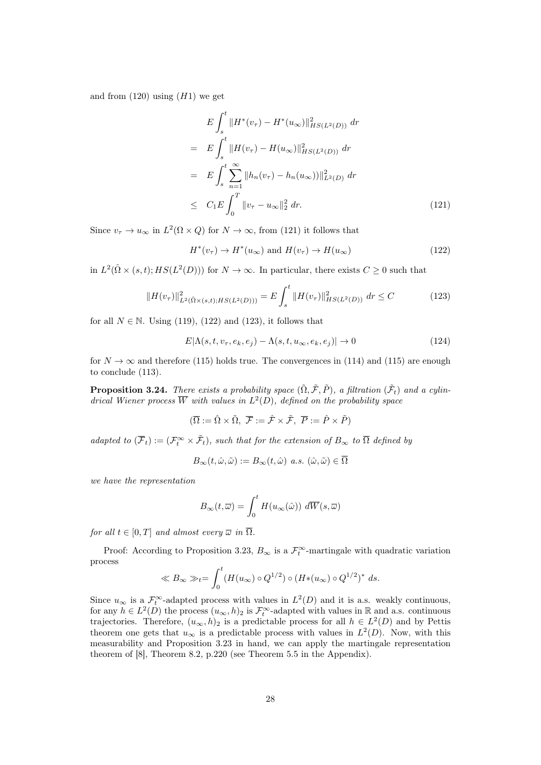and from  $(120)$  using  $(H1)$  we get

$$
E \int_{s}^{t} \|H^{*}(v_{\tau}) - H^{*}(u_{\infty})\|_{HS(L^{2}(D))}^{2} dr
$$
  
\n
$$
= E \int_{s}^{t} \|H(v_{\tau}) - H(u_{\infty})\|_{HS(L^{2}(D))}^{2} dr
$$
  
\n
$$
= E \int_{s}^{t} \sum_{n=1}^{\infty} \|h_{n}(v_{\tau}) - h_{n}(u_{\infty}))\|_{L^{2}(D)}^{2} dr
$$
  
\n
$$
\leq C_{1} E \int_{0}^{T} \|v_{\tau} - u_{\infty}\|_{2}^{2} dr.
$$
\n(121)

Since  $v_{\tau} \to u_{\infty}$  in  $L^2(\Omega \times Q)$  for  $N \to \infty$ , from (121) it follows that

$$
H^*(v_\tau) \to H^*(u_\infty) \text{ and } H(v_\tau) \to H(u_\infty)
$$
\n(122)

in  $L^2(\hat{\Omega} \times (s,t); HS(L^2(D)))$  for  $N \to \infty$ . In particular, there exists  $C \geq 0$  such that

$$
||H(v_{\tau})||_{L^{2}(\hat{\Omega}\times(s,t);HS(L^{2}(D)))}^{2} = E \int_{s}^{t} ||H(v_{\tau})||_{HS(L^{2}(D))}^{2} dr \leq C \qquad (123)
$$

for all  $N \in \mathbb{N}$ . Using (119), (122) and (123), it follows that

$$
E|\Lambda(s,t,v_{\tau},e_k,e_j) - \Lambda(s,t,u_{\infty},e_k,e_j)| \to 0 \tag{124}
$$

for  $N \to \infty$  and therefore (115) holds true. The convergences in (114) and (115) are enough to conclude (113).

**Proposition 3.24.** There exists a probability space  $(\tilde{\Omega}, \tilde{\mathcal{F}}, \tilde{P})$ , a filtration  $(\tilde{\mathcal{F}}_t)$  and a cylindrical Wiener process  $\overline{W}$  with values in  $L^2(D)$ , defined on the probability space

$$
(\overline{\Omega} := \hat{\Omega} \times \tilde{\Omega}, \ \overline{\mathcal{F}} := \hat{\mathcal{F}} \times \tilde{\mathcal{F}}, \ \overline{P} := \hat{P} \times \tilde{P})
$$

adapted to  $(\overline{F}_t) := (\mathcal{F}_t^{\infty} \times \tilde{\mathcal{F}}_t)$ , such that for the extension of  $B_{\infty}$  to  $\overline{\Omega}$  defined by

$$
B_{\infty}(t, \hat{\omega}, \tilde{\omega}) := B_{\infty}(t, \hat{\omega}) \ a.s. \ (\hat{\omega}, \tilde{\omega}) \in \overline{\Omega}
$$

we have the representation

$$
B_{\infty}(t,\overline{\omega}) = \int_0^t H(u_{\infty}(\hat{\omega})) \ d\overline{W}(s,\overline{\omega})
$$

for all  $t \in [0, T]$  and almost every  $\overline{\omega}$  in  $\overline{\Omega}$ .

Proof: According to Proposition 3.23,  $B_{\infty}$  is a  $\mathcal{F}_t^{\infty}$ -martingale with quadratic variation process

$$
\ll B_{\infty} \gg_t = \int_0^t (H(u_{\infty}) \circ Q^{1/2}) \circ (H*(u_{\infty}) \circ Q^{1/2})^* ds.
$$

Since  $u_{\infty}$  is a  $\mathcal{F}^{\infty}_{t}$ -adapted process with values in  $L^{2}(D)$  and it is a.s. weakly continuous, for any  $h \in L^2(D)$  the process  $(u_\infty, h)_2$  is  $\mathcal{F}_t^\infty$ -adapted with values in R and a.s. continuous trajectories. Therefore,  $(u_{\infty}, h)_2$  is a predictable process for all  $h \in L^2(D)$  and by Pettis theorem one gets that  $u_{\infty}$  is a predictable process with values in  $L^2(D)$ . Now, with this measurability and Proposition 3.23 in hand, we can apply the martingale representation theorem of [8], Theorem 8.2, p.220 (see Theorem 5.5 in the Appendix).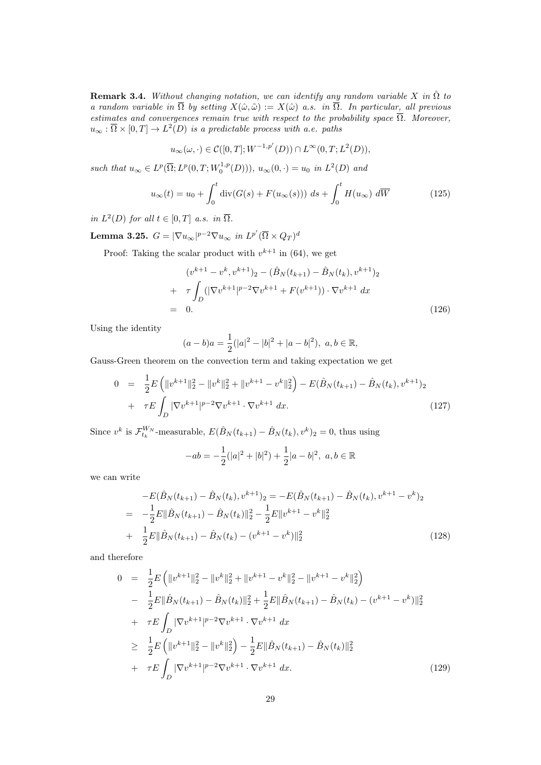**Remark 3.4.** Without changing notation, we can identify any random variable X in  $\hat{\Omega}$  to a random variable in  $\overline{\Omega}$  by setting  $X(\hat{\omega}, \tilde{\omega}) := X(\hat{\omega})$  a.s. in  $\overline{\Omega}$ . In particular, all previous estimates and convergences remain true with respect to the probability space  $\overline{\Omega}$ . Moreover,  $u_{\infty} : \overline{\Omega} \times [0,T] \to L^2(D)$  is a predictable process with a.e. paths

$$
u_{\infty}(\omega,\cdot)\in \mathcal{C}([0,T];W^{-1,p'}(D))\cap L^{\infty}(0,T;L^2(D)),
$$

such that  $u_{\infty} \in L^p(\overline{\Omega}; L^p(0,T; W_0^{1,p}(D))), u_{\infty}(0, \cdot) = u_0$  in  $L^2(D)$  and

$$
u_{\infty}(t) = u_0 + \int_0^t \operatorname{div}(G(s) + F(u_{\infty}(s))) \, ds + \int_0^t H(u_{\infty}) \, d\overline{W} \tag{125}
$$

in  $L^2(D)$  for all  $t \in [0,T]$  a.s. in  $\overline{\Omega}$ .

Lemma 3.25.  $G=|\nabla u_\infty|^{p-2}\nabla u_\infty$  in  $L^{p'}(\overline{\Omega}\times Q_T)^d$ 

Proof: Taking the scalar product with  $v^{k+1}$  in (64), we get

$$
(v^{k+1} - v^k, v^{k+1})_2 - (\hat{B}_N(t_{k+1}) - \hat{B}_N(t_k), v^{k+1})_2
$$
  
+ 
$$
\tau \int_D (|\nabla v^{k+1}|^{p-2} \nabla v^{k+1} + F(v^{k+1})) \cdot \nabla v^{k+1} dx
$$
  
= 0. (126)

Using the identity

$$
(a-b)a = \frac{1}{2}(|a|^2 - |b|^2 + |a-b|^2), \ a, b \in \mathbb{R},
$$

Gauss-Green theorem on the convection term and taking expectation we get

$$
0 = \frac{1}{2}E\left(\|v^{k+1}\|_{2}^{2} - \|v^{k}\|_{2}^{2} + \|v^{k+1} - v^{k}\|_{2}^{2}\right) - E(\hat{B}_{N}(t_{k+1}) - \hat{B}_{N}(t_{k}), v^{k+1})_{2} + \tau E \int_{D} |\nabla v^{k+1}|^{p-2} \nabla v^{k+1} \cdot \nabla v^{k+1} dx.
$$
\n(127)

Since  $v^k$  is  $\mathcal{F}_{t_k}^{W_N}$ -measurable,  $E(\hat{B}_N(t_{k+1}) - \hat{B}_N(t_k), v^k)_2 = 0$ , thus using

$$
-ab = -\frac{1}{2}(|a|^2 + |b|^2) + \frac{1}{2}|a - b|^2, \ a, b \in \mathbb{R}
$$

we can write

$$
-E(\hat{B}_N(t_{k+1}) - \hat{B}_N(t_k), v^{k+1})_2 = -E(\hat{B}_N(t_{k+1}) - \hat{B}_N(t_k), v^{k+1} - v^k)_2
$$
  

$$
= -\frac{1}{2}E\|\hat{B}_N(t_{k+1}) - \hat{B}_N(t_k)\|_2^2 - \frac{1}{2}E\|v^{k+1} - v^k\|_2^2
$$
  

$$
+ \frac{1}{2}E\|\hat{B}_N(t_{k+1}) - \hat{B}_N(t_k) - (v^{k+1} - v^k)\|_2^2
$$
(128)

and therefore

$$
0 = \frac{1}{2}E\left(\|v^{k+1}\|_{2}^{2} - \|v^{k}\|_{2}^{2} + \|v^{k+1} - v^{k}\|_{2}^{2} - \|v^{k+1} - v^{k}\|_{2}^{2}\right)
$$
  
\n
$$
- \frac{1}{2}E\|\hat{B}_{N}(t_{k+1}) - \hat{B}_{N}(t_{k})\|_{2}^{2} + \frac{1}{2}E\|\hat{B}_{N}(t_{k+1}) - \hat{B}_{N}(t_{k}) - (v^{k+1} - v^{k})\|_{2}^{2}
$$
  
\n
$$
+ \tau E\int_{D} |\nabla v^{k+1}|^{p-2} \nabla v^{k+1} \cdot \nabla v^{k+1} dx
$$
  
\n
$$
\geq \frac{1}{2}E\left(\|v^{k+1}\|_{2}^{2} - \|v^{k}\|_{2}^{2}\right) - \frac{1}{2}E\|\hat{B}_{N}(t_{k+1}) - \hat{B}_{N}(t_{k})\|_{2}^{2}
$$
  
\n
$$
+ \tau E\int_{D} |\nabla v^{k+1}|^{p-2} \nabla v^{k+1} \cdot \nabla v^{k+1} dx.
$$
\n(129)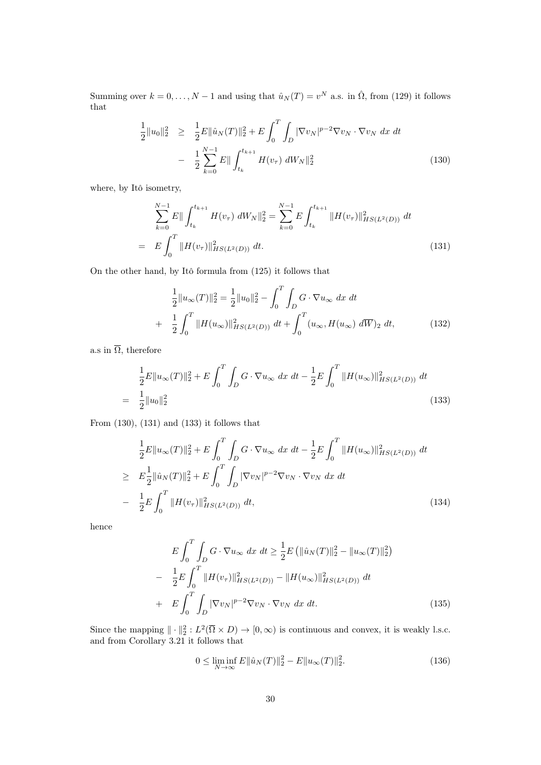Summing over  $k = 0, \ldots, N - 1$  and using that  $\hat{u}_N(T) = v^N$  a.s. in  $\hat{\Omega}$ , from (129) it follows that

$$
\frac{1}{2}||u_0||_2^2 \ge \frac{1}{2}E||\hat{u}_N(T)||_2^2 + E\int_0^T \int_D |\nabla v_N|^{p-2} \nabla v_N \cdot \nabla v_N dx dt
$$

$$
- \frac{1}{2} \sum_{k=0}^{N-1} E||\int_{t_k}^{t_{k+1}} H(v_\tau) dW_N||_2^2 \tag{130}
$$

where, by Itô isometry,

$$
\sum_{k=0}^{N-1} E\| \int_{t_k}^{t_{k+1}} H(v_\tau) \, dW_N \|_2^2 = \sum_{k=0}^{N-1} E \int_{t_k}^{t_{k+1}} \| H(v_\tau) \|_{HS(L^2(D))}^2 \, dt
$$
\n
$$
= E \int_0^T \| H(v_\tau) \|_{HS(L^2(D))}^2 \, dt. \tag{131}
$$

On the other hand, by Itô formula from (125) it follows that

$$
\frac{1}{2}||u_{\infty}(T)||_{2}^{2} = \frac{1}{2}||u_{0}||_{2}^{2} - \int_{0}^{T} \int_{D} G \cdot \nabla u_{\infty} dx dt
$$

$$
+ \frac{1}{2} \int_{0}^{T} ||H(u_{\infty})||_{HS(L^{2}(D))}^{2} dt + \int_{0}^{T} (u_{\infty}, H(u_{\infty}) d\overline{W})_{2} dt,
$$
(132)

a.s in  $\overline{\Omega}$ , therefore

$$
\frac{1}{2}E\|u_{\infty}(T)\|_{2}^{2} + E\int_{0}^{T}\int_{D}G\cdot\nabla u_{\infty} dx dt - \frac{1}{2}E\int_{0}^{T}\|H(u_{\infty})\|_{HS(L^{2}(D))}^{2} dt
$$
\n
$$
= \frac{1}{2}\|u_{0}\|_{2}^{2}
$$
\n(133)

From (130), (131) and (133) it follows that

$$
\frac{1}{2}E\|u_{\infty}(T)\|_{2}^{2} + E\int_{0}^{T}\int_{D} G \cdot \nabla u_{\infty} dx dt - \frac{1}{2}E\int_{0}^{T} \|H(u_{\infty})\|_{HS(L^{2}(D))}^{2} dt
$$
\n
$$
\geq E\frac{1}{2}\|\hat{u}_{N}(T)\|_{2}^{2} + E\int_{0}^{T}\int_{D} |\nabla v_{N}|^{p-2} \nabla v_{N} \cdot \nabla v_{N} dx dt
$$
\n
$$
- \frac{1}{2}E\int_{0}^{T} \|H(v_{\tau})\|_{HS(L^{2}(D))}^{2} dt, \qquad (134)
$$

hence

$$
E\int_{0}^{T} \int_{D} G \cdot \nabla u_{\infty} dx dt \ge \frac{1}{2} E \left( \| \hat{u}_{N}(T) \|_{2}^{2} - \| u_{\infty}(T) \|_{2}^{2} \right)
$$
  

$$
- \frac{1}{2} E \int_{0}^{T} \| H(v_{\tau}) \|_{HS(L^{2}(D))}^{2} - \| H(u_{\infty}) \|_{HS(L^{2}(D))}^{2} dt
$$
  

$$
+ E \int_{0}^{T} \int_{D} |\nabla v_{N}|^{p-2} \nabla v_{N} \cdot \nabla v_{N} dx dt.
$$
 (135)

Since the mapping  $\|\cdot\|_2^2: L^2(\overline{\Omega} \times D) \to [0, \infty)$  is continuous and convex, it is weakly l.s.c. and from Corollary 3.21 it follows that

$$
0 \le \liminf_{N \to \infty} E \|\hat{u}_N(T)\|_2^2 - E \|u_\infty(T)\|_2^2.
$$
 (136)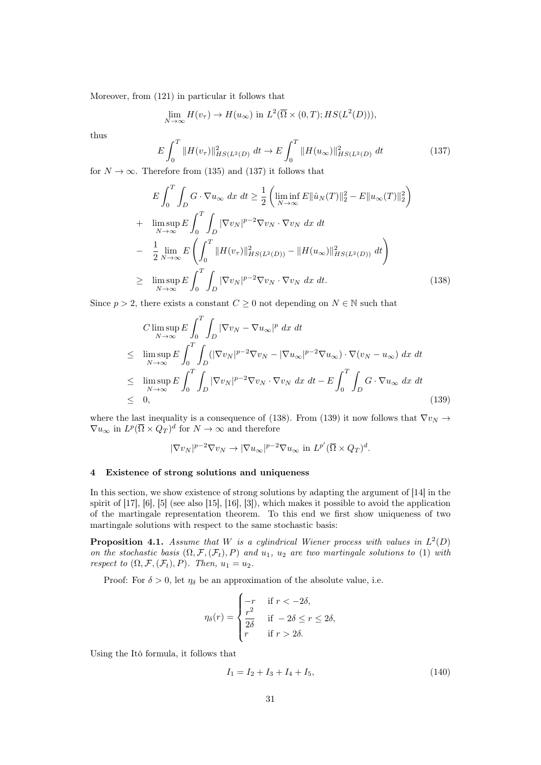Moreover, from (121) in particular it follows that

$$
\lim_{N \to \infty} H(v_{\tau}) \to H(u_{\infty}) \text{ in } L^2(\overline{\Omega} \times (0,T); HS(L^2(D))),
$$

thus

$$
E \int_0^T \|H(v_\tau)\|_{HS(L^2(D)}^2 \, dt \to E \int_0^T \|H(u_\infty)\|_{HS(L^2(D)}^2 \, dt \tag{137}
$$

for  $N \to \infty$ . Therefore from (135) and (137) it follows that

$$
E \int_{0}^{T} \int_{D} G \cdot \nabla u_{\infty} dx dt \geq \frac{1}{2} \left( \liminf_{N \to \infty} E \|\hat{u}_{N}(T)\|_{2}^{2} - E \|u_{\infty}(T)\|_{2}^{2} \right) + \limsup_{N \to \infty} E \int_{0}^{T} \int_{D} |\nabla v_{N}|^{p-2} \nabla v_{N} \cdot \nabla v_{N} dx dt - \frac{1}{2} \lim_{N \to \infty} E \left( \int_{0}^{T} \|H(v_{\tau})\|_{HS(L^{2}(D))}^{2} - \|H(u_{\infty})\|_{HS(L^{2}(D))}^{2} dt \right) \geq \limsup_{N \to \infty} E \int_{0}^{T} \int_{D} |\nabla v_{N}|^{p-2} \nabla v_{N} \cdot \nabla v_{N} dx dt.
$$
 (138)

Since  $p > 2$ , there exists a constant  $C \geq 0$  not depending on  $N \in \mathbb{N}$  such that

$$
C \limsup_{N \to \infty} E \int_0^T \int_D |\nabla v_N - \nabla u_\infty|^p dx dt
$$
  
\n
$$
\leq \limsup_{N \to \infty} E \int_0^T \int_D (|\nabla v_N|^{p-2} \nabla v_N - |\nabla u_\infty|^{p-2} \nabla u_\infty) \cdot \nabla (v_N - u_\infty) dx dt
$$
  
\n
$$
\leq \limsup_{N \to \infty} E \int_0^T \int_D |\nabla v_N|^{p-2} \nabla v_N \cdot \nabla v_N dx dt - E \int_0^T \int_D G \cdot \nabla u_\infty dx dt
$$
  
\n
$$
\leq 0,
$$
\n(139)

where the last inequality is a consequence of (138). From (139) it now follows that  $\nabla v_N \rightarrow$  $\nabla u_{\infty}$  in  $L^p(\overline{\Omega} \times Q_T)^d$  for  $N \to \infty$  and therefore

$$
|\nabla v_N|^{p-2} \nabla v_N \to |\nabla u_\infty|^{p-2} \nabla u_\infty \text{ in } L^{p'}(\overline{\Omega} \times Q_T)^d.
$$

#### 4 Existence of strong solutions and uniqueness

In this section, we show existence of strong solutions by adapting the argument of [14] in the spirit of [17], [6], [5] (see also [15], [16], [3]), which makes it possible to avoid the application of the martingale representation theorem. To this end we first show uniqueness of two martingale solutions with respect to the same stochastic basis:

**Proposition 4.1.** Assume that W is a cylindrical Wiener process with values in  $L^2(D)$ on the stochastic basis  $(\Omega, \mathcal{F}, (\mathcal{F}_t), P)$  and  $u_1, u_2$  are two martingale solutions to (1) with respect to  $(\Omega, \mathcal{F}, (\mathcal{F}_t), P)$ . Then,  $u_1 = u_2$ .

Proof: For  $\delta > 0$ , let  $\eta_{\delta}$  be an approximation of the absolute value, i.e.

$$
\eta_{\delta}(r) = \begin{cases}\n-r & \text{if } r < -2\delta, \\
\frac{r^2}{2\delta} & \text{if } -2\delta \le r \le 2\delta, \\
r & \text{if } r > 2\delta.\n\end{cases}
$$

Using the Itô formula, it follows that

$$
I_1 = I_2 + I_3 + I_4 + I_5,\tag{140}
$$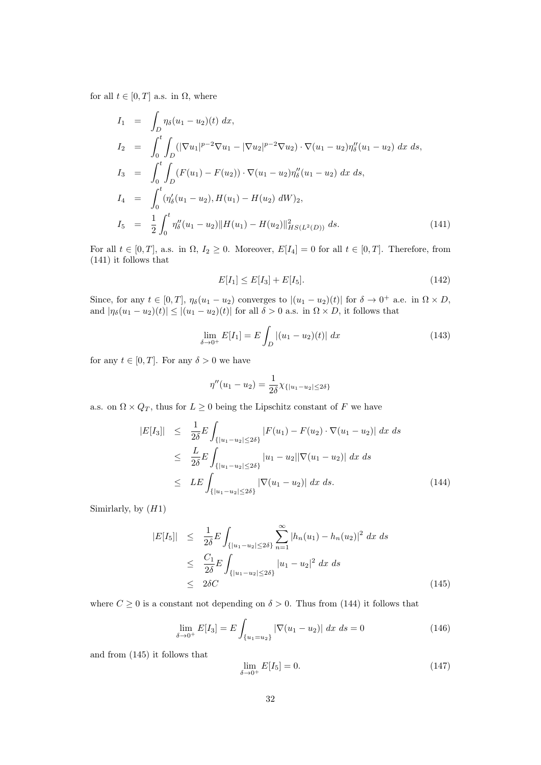for all  $t \in [0, T]$  a.s. in  $\Omega$ , where

$$
I_1 = \int_D \eta_\delta(u_1 - u_2)(t) dx,
$$
  
\n
$$
I_2 = \int_0^t \int_D (|\nabla u_1|^{p-2} \nabla u_1 - |\nabla u_2|^{p-2} \nabla u_2) \cdot \nabla (u_1 - u_2) \eta''_\delta(u_1 - u_2) dx ds,
$$
  
\n
$$
I_3 = \int_0^t \int_D (F(u_1) - F(u_2)) \cdot \nabla (u_1 - u_2) \eta''_\delta(u_1 - u_2) dx ds,
$$
  
\n
$$
I_4 = \int_0^t (\eta'_\delta(u_1 - u_2), H(u_1) - H(u_2) dW)_2,
$$
  
\n
$$
I_5 = \frac{1}{2} \int_0^t \eta''_\delta(u_1 - u_2) ||H(u_1) - H(u_2)||^2_{HS(L^2(D))} ds.
$$
\n(141)

For all  $t \in [0, T]$ , a.s. in  $\Omega$ ,  $I_2 \geq 0$ . Moreover,  $E[I_4] = 0$  for all  $t \in [0, T]$ . Therefore, from (141) it follows that

$$
E[I_1] \le E[I_3] + E[I_5].\tag{142}
$$

Since, for any  $t \in [0,T]$ ,  $\eta_{\delta}(u_1 - u_2)$  converges to  $|(u_1 - u_2)(t)|$  for  $\delta \to 0^+$  a.e. in  $\Omega \times D$ , and  $|\eta_{\delta}(u_1 - u_2)(t)| \leq |(u_1 - u_2)(t)|$  for all  $\delta > 0$  a.s. in  $\Omega \times D$ , it follows that

$$
\lim_{\delta \to 0^+} E[I_1] = E \int_D |(u_1 - u_2)(t)| \, dx \tag{143}
$$

for any  $t \in [0, T]$ . For any  $\delta > 0$  we have

$$
\eta''(u_1 - u_2) = \frac{1}{2\delta} \chi_{\{|u_1 - u_2| \le 2\delta\}}
$$

a.s. on  $\Omega\times Q_T,$  thus for  $L\geq 0$  being the Lipschitz constant of  $F$  we have

$$
|E[I_3]| \leq \frac{1}{2\delta} E \int_{\{|u_1 - u_2| \leq 2\delta\}} |F(u_1) - F(u_2) \cdot \nabla (u_1 - u_2)| \, dx \, ds
$$
  
\n
$$
\leq \frac{L}{2\delta} E \int_{\{|u_1 - u_2| \leq 2\delta\}} |u_1 - u_2| |\nabla (u_1 - u_2)| \, dx \, ds
$$
  
\n
$$
\leq L E \int_{\{|u_1 - u_2| \leq 2\delta\}} |\nabla (u_1 - u_2)| \, dx \, ds. \tag{144}
$$

Simirlarly, by  $(H1)$ 

$$
|E[I_5]| \leq \frac{1}{2\delta} E \int_{\{|u_1 - u_2| \leq 2\delta\}} \sum_{n=1}^{\infty} |h_n(u_1) - h_n(u_2)|^2 \, dx \, ds
$$
  
\n
$$
\leq \frac{C_1}{2\delta} E \int_{\{|u_1 - u_2| \leq 2\delta\}} |u_1 - u_2|^2 \, dx \, ds
$$
  
\n
$$
\leq 2\delta C \tag{145}
$$

where  $C \geq 0$  is a constant not depending on  $\delta > 0$ . Thus from (144) it follows that

$$
\lim_{\delta \to 0^+} E[I_3] = E \int_{\{u_1 = u_2\}} |\nabla (u_1 - u_2)| \, dx \, ds = 0 \tag{146}
$$

and from (145) it follows that

$$
\lim_{\delta \to 0^+} E[I_5] = 0. \tag{147}
$$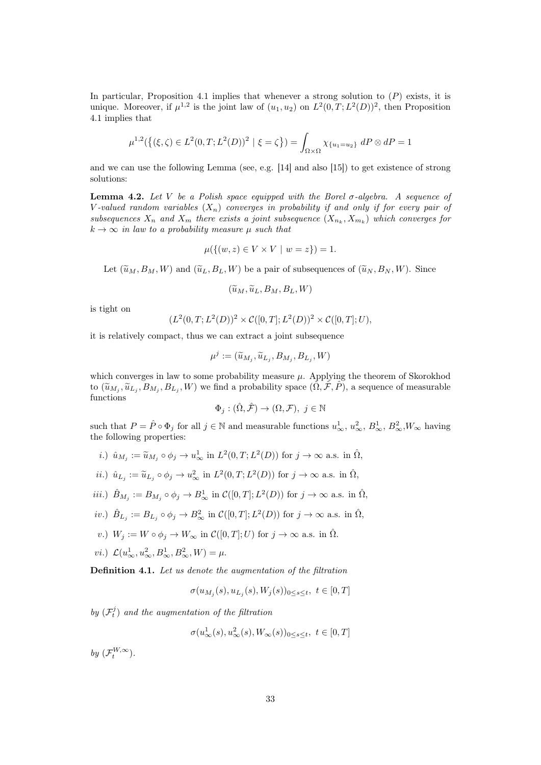In particular, Proposition 4.1 implies that whenever a strong solution to  $(P)$  exists, it is unique. Moreover, if  $\mu^{1,2}$  is the joint law of  $(u_1, u_2)$  on  $L^2(0,T; L^2(D))^2$ , then Proposition 4.1 implies that

$$
\mu^{1,2}(\{(\xi,\zeta)\in L^2(0,T;L^2(D))^2 \mid \xi=\zeta\}) = \int_{\Omega\times\Omega} \chi_{\{u_1=u_2\}} dP \otimes dP = 1
$$

and we can use the following Lemma (see, e.g. [14] and also [15]) to get existence of strong solutions:

**Lemma 4.2.** Let V be a Polish space equipped with the Borel  $\sigma$ -algebra. A sequence of V-valued random variables  $(X_n)$  converges in probability if and only if for every pair of subsequences  $X_n$  and  $X_m$  there exists a joint subsequence  $(X_{n_k}, X_{m_k})$  which converges for  $k \to \infty$  in law to a probability measure  $\mu$  such that

$$
\mu({(w, z) \in V \times V \mid w = z}) = 1.
$$

Let  $(\widetilde{u}_M, B_M, W)$  and  $(\widetilde{u}_L, B_L, W)$  be a pair of subsequences of  $(\widetilde{u}_N, B_N, W)$ . Since

$$
(\widetilde{u}_M, \widetilde{u}_L, B_M, B_L, W)
$$

is tight on

$$
(L^{2}(0,T;L^{2}(D))^{2} \times C([0,T];L^{2}(D))^{2} \times C([0,T];U),
$$

it is relatively compact, thus we can extract a joint subsequence

$$
\mu^j := (\widetilde{u}_{M_j}, \widetilde{u}_{L_j}, B_{M_j}, B_{L_j}, W)
$$

which converges in law to some probability measure  $\mu$ . Applying the theorem of Skorokhod to  $(\tilde{u}_{M_j}, \tilde{u}_{L_j}, B_{M_j}, B_{L_j}, W)$  we find a probability space  $(\tilde{\Omega}, \tilde{\mathcal{F}}, \tilde{P})$ , a sequence of measurable functions functions

$$
\Phi_j : (\hat{\Omega}, \hat{\mathcal{F}}) \to (\Omega, \mathcal{F}), \ j \in \mathbb{N}
$$

such that  $P = \hat{P} \circ \Phi_j$  for all  $j \in \mathbb{N}$  and measurable functions  $u^1_{\infty}, u^2_{\infty}, B^1_{\infty}, B^2_{\infty}, W_{\infty}$  having the following properties:

*i*.)  $\hat{u}_{M_j} := \tilde{u}_{M_j} \circ \phi_j \to u^1_{\infty} \text{ in } L^2(0,T;L^2(D)) \text{ for } j \to \infty \text{ a.s. in } \hat{\Omega},$ 

*ii.*) 
$$
\hat{u}_{L_j} := \tilde{u}_{L_j} \circ \phi_j \to u^2_{\infty}
$$
 in  $L^2(0,T;L^2(D))$  for  $j \to \infty$  a.s. in  $\hat{\Omega}$ ,

- *iii.*)  $\hat{B}_{M_j} := B_{M_j} \circ \phi_j \to B^1_{\infty}$  in  $\mathcal{C}([0,T]; L^2(D))$  for  $j \to \infty$  a.s. in  $\hat{\Omega}$ ,
- *iv.*)  $\hat{B}_{L_j} := B_{L_j} \circ \phi_j \to B^2_{\infty}$  in  $\mathcal{C}([0,T]; L^2(D))$  for  $j \to \infty$  a.s. in  $\hat{\Omega}$ ,
- v.)  $W_j := W \circ \phi_j \to W_\infty$  in  $\mathcal{C}([0,T];U)$  for  $j \to \infty$  a.s. in  $\hat{\Omega}$ .
- vi.)  $\mathcal{L}(u_{\infty}^1, u_{\infty}^2, B_{\infty}^1, B_{\infty}^2, W) = \mu$ .

Definition 4.1. Let us denote the augmentation of the filtration

 $\sigma(u_{M_j}(s), u_{L_j}(s), W_j(s))_{0 \le s \le t}, t \in [0, T]$ 

by  $(\mathcal{F}_t^j)$  and the augmentation of the filtration

$$
\sigma(u^1_{\infty}(s), u^2_{\infty}(s), W_{\infty}(s))_{0 \le s \le t}, \ t \in [0, T]
$$

by  $(\mathcal{F}_t^{W,\infty})$ .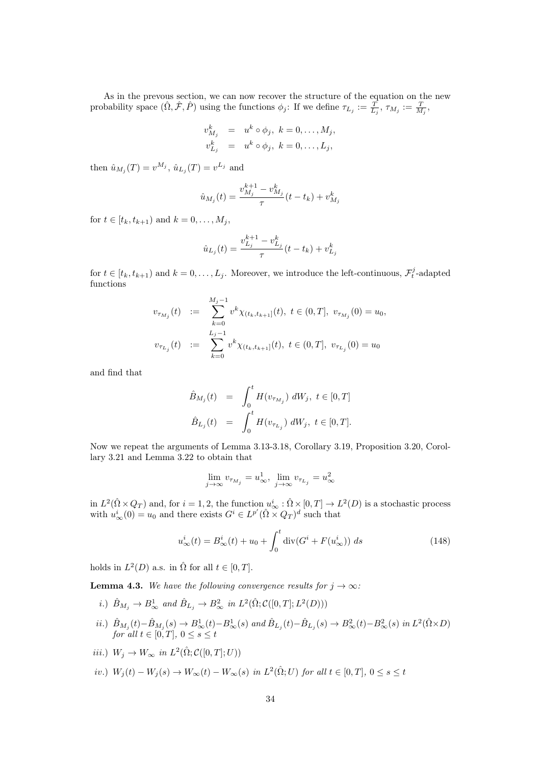As in the prevous section, we can now recover the structure of the equation on the new probability space  $(\hat{\Omega}, \hat{\mathcal{F}}, \hat{P})$  using the functions  $\phi_j$ : If we define  $\tau_{L_j} := \frac{T}{L_j}$ ,  $\tau_{M_j} := \frac{T}{M_j}$ ,

$$
v_{M_j}^k = u^k \circ \phi_j, \ k = 0, \dots, M_j,
$$
  

$$
v_{L_j}^k = u^k \circ \phi_j, \ k = 0, \dots, L_j,
$$

then  $\hat{u}_{M_j}(T) = v^{M_j}, \hat{u}_{L_j}(T) = v^{L_j}$  and

$$
\hat{u}_{M_j}(t) = \frac{v_{M_j}^{k+1} - v_{M_j}^k}{\tau} (t - t_k) + v_{M_j}^k
$$

for  $t \in [t_k, t_{k+1})$  and  $k = 0, ..., M_j$ ,

$$
\hat{u}_{L_j}(t) = \frac{v_{L_j}^{k+1} - v_{L_j}^k}{\tau} (t - t_k) + v_{L_j}^k
$$

for  $t \in [t_k, t_{k+1})$  and  $k = 0, \ldots, L_j$ . Moreover, we introduce the left-continuous,  $\mathcal{F}_t^j$ -adapted functions

$$
v_{\tau_{M_j}}(t) := \sum_{k=0}^{M_j-1} v^k \chi_{(t_k, t_{k+1}]}(t), \ t \in (0, T], \ v_{\tau_{M_j}}(0) = u_0,
$$
  

$$
v_{\tau_{L_j}}(t) := \sum_{k=0}^{L_j-1} v^k \chi_{(t_k, t_{k+1}]}(t), \ t \in (0, T], \ v_{\tau_{L_j}}(0) = u_0
$$

and find that

$$
\hat{B}_{M_j}(t) = \int_0^t H(v_{\tau_{M_j}}) dW_j, \ t \in [0, T]
$$
  

$$
\hat{B}_{L_j}(t) = \int_0^t H(v_{\tau_{L_j}}) dW_j, \ t \in [0, T].
$$

Now we repeat the arguments of Lemma 3.13-3.18, Corollary 3.19, Proposition 3.20, Corollary 3.21 and Lemma 3.22 to obtain that

$$
\lim_{j \to \infty} v_{\tau_{M_j}} = u^1_{\infty}, \lim_{j \to \infty} v_{\tau_{L_j}} = u^2_{\infty}
$$

in  $L^2(\hat{\Omega} \times Q_T)$  and, for  $i = 1, 2$ , the function  $u^i_{\infty} : \hat{\Omega} \times [0, T] \to L^2(D)$  is a stochastic process with  $u^i_{\infty}(0) = u_0$  and there exists  $G^i \in L^{p'}(\hat{\Omega} \times Q_T)^d$  such that

$$
u_{\infty}^{i}(t) = B_{\infty}^{i}(t) + u_{0} + \int_{0}^{t} \operatorname{div}(G^{i} + F(u_{\infty}^{i})) ds
$$
 (148)

holds in  $L^2(D)$  a.s. in  $\hat{\Omega}$  for all  $t \in [0, T]$ .

**Lemma 4.3.** We have the following convergence results for  $j \rightarrow \infty$ :

- i.)  $\hat{B}_{M_j} \to B^1_{\infty}$  and  $\hat{B}_{L_j} \to B^2_{\infty}$  in  $L^2(\hat{\Omega}; \mathcal{C}([0, T]; L^2(D)))$
- *ii.*)  $\hat{B}_{M_j}(t) \hat{B}_{M_j}(s)$  →  $B^1_{\infty}(t) B^1_{\infty}(s)$  and  $\hat{B}_{L_j}(t) \hat{B}_{L_j}(s)$  →  $B^2_{\infty}(t) B^2_{\infty}(s)$  in  $L^2(\hat{\Omega} \times D)$ for all  $t \in [0, T]$ ,  $0 \leq s \leq t$
- *iii.*)  $W_j \to W_\infty$  in  $L^2(\hat{\Omega}; C([0,T]; U))$
- iv.)  $W_j(t) W_j(s) \to W_\infty(t) W_\infty(s)$  in  $L^2(\hat{\Omega}; U)$  for all  $t \in [0, T]$ ,  $0 \le s \le t$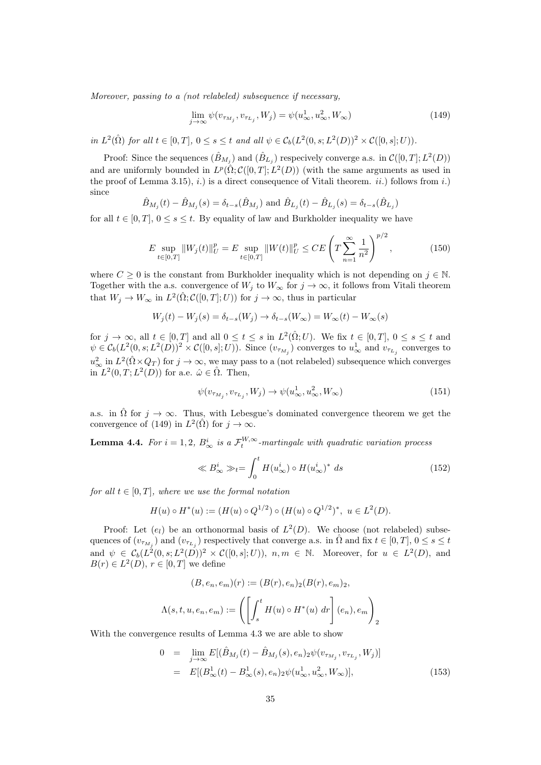Moreover, passing to a (not relabeled) subsequence if necessary,

$$
\lim_{j \to \infty} \psi(v_{\tau_{M_j}}, v_{\tau_{L_j}}, W_j) = \psi(u_\infty^1, u_\infty^2, W_\infty)
$$
\n(149)

in  $L^2(\hat{\Omega})$  for all  $t \in [0,T]$ ,  $0 \le s \le t$  and all  $\psi \in C_b(L^2(0,s;L^2(D))^2 \times C([0,s];U)).$ 

Proof: Since the sequences  $(\hat{B}_{M_j})$  and  $(\hat{B}_{L_j})$  respecively converge a.s. in  $\mathcal{C}([0,T];L^2(D))$ and are uniformly bounded in  $L^p(\hat{\Omega}; C([0,T]; L^2(D))$  (with the same arguments as used in the proof of Lemma 3.15), i.) is a direct consequence of Vitali theorem. ii.) follows from i.) since

$$
\hat{B}_{M_j}(t) - \hat{B}_{M_j}(s) = \delta_{t-s}(\hat{B}_{M_j})
$$
 and  $\hat{B}_{L_j}(t) - \hat{B}_{L_j}(s) = \delta_{t-s}(\hat{B}_{L_j})$ 

for all  $t \in [0, T]$ ,  $0 \le s \le t$ . By equality of law and Burkholder inequality we have

$$
E \sup_{t \in [0,T]} \|W_j(t)\|_{U}^p = E \sup_{t \in [0,T]} \|W(t)\|_{U}^p \le CE \left(T \sum_{n=1}^{\infty} \frac{1}{n^2}\right)^{p/2}, \tag{150}
$$

where  $C \geq 0$  is the constant from Burkholder inequality which is not depending on  $j \in \mathbb{N}$ . Together with the a.s. convergence of  $W_j$  to  $W_\infty$  for  $j \to \infty$ , it follows from Vitali theorem that  $W_j \to W_\infty$  in  $L^2(\hat{\Omega}; C([0,T]; U))$  for  $j \to \infty$ , thus in particular

$$
W_j(t) - W_j(s) = \delta_{t-s}(W_j) \rightarrow \delta_{t-s}(W_{\infty}) = W_{\infty}(t) - W_{\infty}(s)
$$

for  $j \to \infty$ , all  $t \in [0,T]$  and all  $0 \le t \le s$  in  $L^2(\hat{\Omega}; U)$ . We fix  $t \in [0,T]$ ,  $0 \le s \le t$  and  $\psi \in C_b(L^2(0, s; L^2(D))^2 \times C([0, s]; U))$ . Since  $(v_{\tau_{M_j}})$  converges to  $u^1_{\infty}$  and  $v_{\tau_{L_j}}$  converges to  $u_{\infty}^2$  in  $L^2(\hat{\Omega} \times Q_T)$  for  $j \to \infty$ , we may pass to a (not relabeled) subsequence which converges in  $L^2(0,T; L^2(D))$  for a.e.  $\hat{\omega} \in \hat{\Omega}$ . Then,

$$
\psi(v_{\tau_{M_j}}, v_{\tau_{L_j}}, W_j) \to \psi(u_\infty^1, u_\infty^2, W_\infty)
$$
\n(151)

a.s. in  $\hat{\Omega}$  for  $j \to \infty$ . Thus, with Lebesgue's dominated convergence theorem we get the convergence of (149) in  $L^2(\hat{\Omega})$  for  $j \to \infty$ .

**Lemma 4.4.** For  $i = 1, 2, B^i_{\infty}$  is a  $\mathcal{F}^{W,\infty}_t$ -martingale with quadratic variation process

$$
\ll B_{\infty}^{i} \gg_{t} = \int_{0}^{t} H(u_{\infty}^{i}) \circ H(u_{\infty}^{i})^{*} ds
$$
\n(152)

for all  $t \in [0, T]$ , where we use the formal notation

$$
H(u) \circ H^*(u) := (H(u) \circ Q^{1/2}) \circ (H(u) \circ Q^{1/2})^*, \ u \in L^2(D).
$$

Proof: Let  $(e_i)$  be an orthonormal basis of  $L^2(D)$ . We choose (not relabeled) subsequences of  $(v_{\tau_{M_j}})$  and  $(v_{\tau_{L_j}})$  respectively that converge a.s. in  $\hat{\Omega}$  and fix  $t \in [0, T]$ ,  $0 \le s \le t$ and  $\psi \in C_b(L^2(0, s; L^2(D))^2 \times C([0, s]; U))$ ,  $n, m \in \mathbb{N}$ . Moreover, for  $u \in L^2(D)$ , and  $B(r) \in L^2(D)$ ,  $r \in [0, T]$  we define

$$
(B, e_n, e_m)(r) := (B(r), e_n)_2 (B(r), e_m)_2,
$$

$$
\Lambda(s, t, u, e_n, e_m) := \left( \left[ \int_s^t H(u) \circ H^*(u) \, dr \right] (e_n), e_m \right)_2
$$

With the convergence results of Lemma 4.3 we are able to show

$$
0 = \lim_{j \to \infty} E[(\hat{B}_{M_j}(t) - \hat{B}_{M_j}(s), e_n)_2 \psi(v_{\tau_{M_j}}, v_{\tau_{L_j}}, W_j)]
$$
  
=  $E[(B^1_{\infty}(t) - B^1_{\infty}(s), e_n)_2 \psi(u^1_{\infty}, u^2_{\infty}, W_{\infty})],$  (153)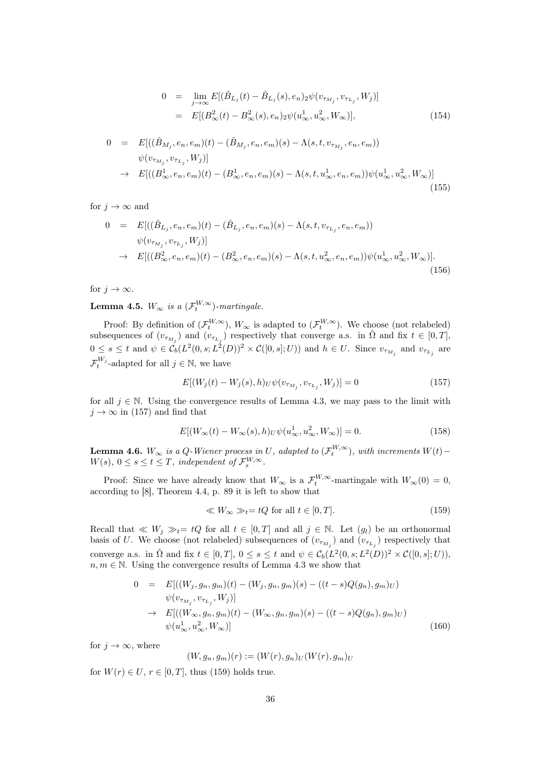$$
0 = \lim_{j \to \infty} E[(\hat{B}_{L_j}(t) - \hat{B}_{L_j}(s), e_n)_2 \psi(v_{\tau_{M_j}}, v_{\tau_{L_j}}, W_j)]
$$
  
=  $E[(B^2_{\infty}(t) - B^2_{\infty}(s), e_n)_2 \psi(u^1_{\infty}, u^2_{\infty}, W_{\infty})],$  (154)

$$
0 = E[((\hat{B}_{M_j}, e_n, e_m)(t) - (\hat{B}_{M_j}, e_n, e_m)(s) - \Lambda(s, t, v_{\tau_{M_j}}, e_n, e_m))
$$
  
\n
$$
\psi(v_{\tau_{M_j}}, v_{\tau_{L_j}}, W_j)]
$$
  
\n
$$
\rightarrow E[((B^1_{\infty}, e_n, e_m)(t) - (B^1_{\infty}, e_n, e_m)(s) - \Lambda(s, t, u^1_{\infty}, e_n, e_m))\psi(u^1_{\infty}, u^2_{\infty}, W_{\infty})]
$$
\n(155)

for  $j \to \infty$  and

$$
0 = E[((\hat{B}_{L_j}, e_n, e_m)(t) - (\hat{B}_{L_j}, e_n, e_m)(s) - \Lambda(s, t, v_{\tau_{L_j}}, e_n, e_m))
$$
  
\n
$$
\psi(v_{\tau_{M_j}}, v_{\tau_{L_j}}, W_j)]
$$
  
\n
$$
\to E[((B_{\infty}^2, e_n, e_m)(t) - (B_{\infty}^2, e_n, e_m)(s) - \Lambda(s, t, u_{\infty}^2, e_n, e_m))\psi(u_{\infty}^1, u_{\infty}^2, W_{\infty})].
$$
\n(156)

for  $j \to \infty$ .

**Lemma 4.5.**  $W_{\infty}$  is a  $(\mathcal{F}_t^{W,\infty})$ -martingale.

Proof: By definition of  $(\mathcal{F}^{W,\infty}_t)$ ,  $W_{\infty}$  is adapted to  $(\mathcal{F}^{W,\infty}_t)$ . We choose (not relabeled) subsequences of  $(v_{\tau_{M_j}})$  and  $(v_{\tau_{L_j}})$  respectively that converge a.s. in  $\hat{\Omega}$  and fix  $t \in [0, T]$ ,  $0 \leq s \leq t$  and  $\psi \in C_b(L^2(0, s; L^2(D))^2 \times C([0, s]; U))$  and  $h \in U$ . Since  $v_{\tau_{M_j}}$  and  $v_{\tau_{L_j}}$  are  $\mathcal{F}_{t}^{W_{j}}$ -adapted for all  $j \in \mathbb{N}$ , we have

$$
E[(W_j(t) - W_j(s), h)_U \psi(v_{\tau_{M_j}}, v_{\tau_{L_j}}, W_j)] = 0
$$
\n(157)

for all  $j \in \mathbb{N}$ . Using the convergence results of Lemma 4.3, we may pass to the limit with  $j \to \infty$  in (157) and find that

$$
E[(W_{\infty}(t) - W_{\infty}(s), h)_{U}\psi(u_{\infty}^{1}, u_{\infty}^{2}, W_{\infty})] = 0.
$$
\n(158)

**Lemma 4.6.**  $W_{\infty}$  is a Q-Wiener process in U, adapted to  $(\mathcal{F}_t^{W,\infty})$ , with increments  $W(t)$  –  $W(s), 0 \leq s \leq t \leq T$ , independent of  $\mathcal{F}_s^{W,\infty}$ .

Proof: Since we have already know that  $W_{\infty}$  is a  $\mathcal{F}_{t}^{W,\infty}$ -martingale with  $W_{\infty}(0) = 0$ , according to [8], Theorem 4.4, p. 89 it is left to show that

$$
\ll W_{\infty} \gg_t = tQ \text{ for all } t \in [0, T]. \tag{159}
$$

Recall that  $\ll W_j \gg_t=tQ$  for all  $t \in [0,T]$  and all  $j \in \mathbb{N}$ . Let  $(g_l)$  be an orthonormal basis of U. We choose (not relabeled) subsequences of  $(v_{\tau_{M_j}})$  and  $(v_{\tau_{L_j}})$  respectively that converge a.s. in  $\hat{\Omega}$  and fix  $t \in [0,T]$ ,  $0 \le s \le t$  and  $\psi \in \mathcal{C}_b(L^2(0,s;L^2(D))^2 \times \mathcal{C}([0,s];U))$ ,  $n, m \in \mathbb{N}$ . Using the convergence results of Lemma 4.3 we show that

$$
0 = E[((W_j, g_n, g_m)(t) - (W_j, g_n, g_m)(s) - ((t - s)Q(g_n), g_m)_U)
$$
  
\n
$$
\psi(v_{\tau_{M_j}}, v_{\tau_{L_j}}, W_j)]
$$
  
\n
$$
\rightarrow E[((W_{\infty}, g_n, g_m)(t) - (W_{\infty}, g_n, g_m)(s) - ((t - s)Q(g_n), g_m)_U)
$$
  
\n
$$
\psi(u_{\infty}^1, u_{\infty}^2, W_{\infty})]
$$
\n(160)

for  $j \to \infty$ , where

$$
(W,g_n,g_m)(r) := (W(r),g_n)_U(W(r),g_m)_U
$$

for  $W(r) \in U$ ,  $r \in [0, T]$ , thus (159) holds true.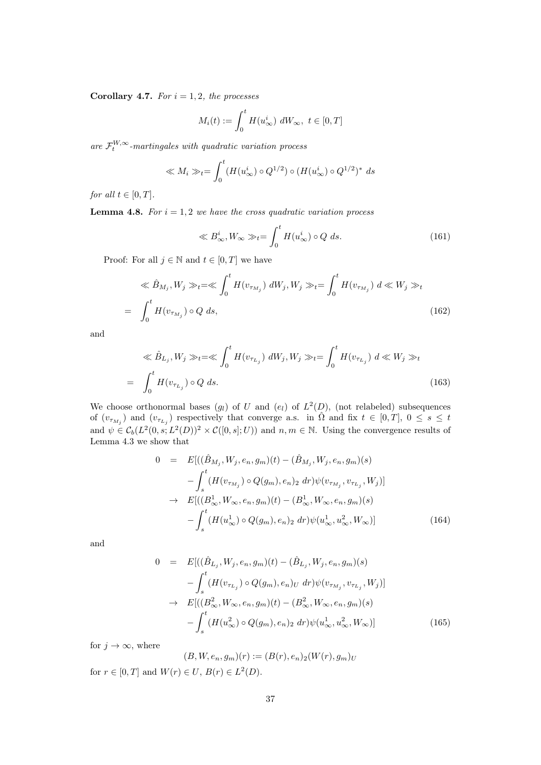Corollary 4.7. For  $i = 1, 2$ , the processes

$$
M_i(t) := \int_0^t H(u_\infty^i) \ dW_\infty, \ t \in [0, T]
$$

are  $\mathcal{F}_t^{W,\infty}$ -martingales with quadratic variation process

$$
\ll M_i \gg_t = \int_0^t (H(u^i_{\infty}) \circ Q^{1/2}) \circ (H(u^i_{\infty}) \circ Q^{1/2})^* ds
$$

for all  $t \in [0, T]$ .

**Lemma 4.8.** For  $i = 1, 2$  we have the cross quadratic variation process

$$
\ll B_{\infty}^{i}, W_{\infty} \gg_{t} = \int_{0}^{t} H(u_{\infty}^{i}) \circ Q \ ds.
$$
 (161)

Proof: For all  $j \in \mathbb{N}$  and  $t \in [0, T]$  we have

$$
\ll \hat{B}_{M_j}, W_j \gg_t = \ll \int_0^t H(v_{\tau_{M_j}}) dW_j, W_j \gg_t = \int_0^t H(v_{\tau_{M_j}}) d\ll W_j \gg_t
$$
  
= 
$$
\int_0^t H(v_{\tau_{M_j}}) \circ Q ds,
$$
 (162)

and

$$
\ll \hat{B}_{L_j}, W_j \gg_t = \ll \int_0^t H(v_{\tau_{L_j}}) dW_j, W_j \gg_t = \int_0^t H(v_{\tau_{L_j}}) d\ll W_j \gg_t
$$
  
= 
$$
\int_0^t H(v_{\tau_{L_j}}) \circ Q ds.
$$
 (163)

We choose orthonormal bases  $(g_l)$  of U and  $(e_l)$  of  $L^2(D)$ , (not relabeled) subsequences of  $(v_{\tau_{M_j}})$  and  $(v_{\tau_{L_j}})$  respectively that converge a.s. in  $\hat{\Omega}$  and fix  $t \in [0,T], 0 \leq s \leq t$ and  $\psi \in C_b(L^2(0, s; L^2(D))^2 \times C([0, s]; U))$  and  $n, m \in \mathbb{N}$ . Using the convergence results of Lemma 4.3 we show that

$$
0 = E[((\hat{B}_{M_j}, W_j, e_n, g_m)(t) - (\hat{B}_{M_j}, W_j, e_n, g_m)(s) - \int_s^t (H(v_{\tau_{M_j}}) \circ Q(g_m), e_n)_2 \, dr)\psi(v_{\tau_{M_j}}, v_{\tau_{L_j}}, W_j)]
$$
  
\n
$$
\to E[((B^1_{\infty}, W_{\infty}, e_n, g_m)(t) - (B^1_{\infty}, W_{\infty}, e_n, g_m)(s) - \int_s^t (H(u^1_{\infty}) \circ Q(g_m), e_n)_2 \, dr)\psi(u^1_{\infty}, u^2_{\infty}, W_{\infty})]
$$
(164)

and

$$
0 = E[((\hat{B}_{L_j}, W_j, e_n, g_m)(t) - (\hat{B}_{L_j}, W_j, e_n, g_m)(s) - \int_s^t (H(v_{\tau_{L_j}}) \circ Q(g_m), e_n)_U dr) \psi(v_{\tau_{M_j}}, v_{\tau_{L_j}}, W_j)]
$$
  
\n
$$
\to E[((B_{\infty}^2, W_{\infty}, e_n, g_m)(t) - (B_{\infty}^2, W_{\infty}, e_n, g_m)(s) - \int_s^t (H(u_{\infty}^2) \circ Q(g_m), e_n)_2 dr) \psi(u_{\infty}^1, u_{\infty}^2, W_{\infty})]
$$
(165)

for  $j \to \infty$ , where

$$
(B, W, e_n, g_m)(r) := (B(r), e_n)_2(W(r), g_m)_U
$$
  
for  $r \in [0, T]$  and  $W(r) \in U$ ,  $B(r) \in L^2(D)$ .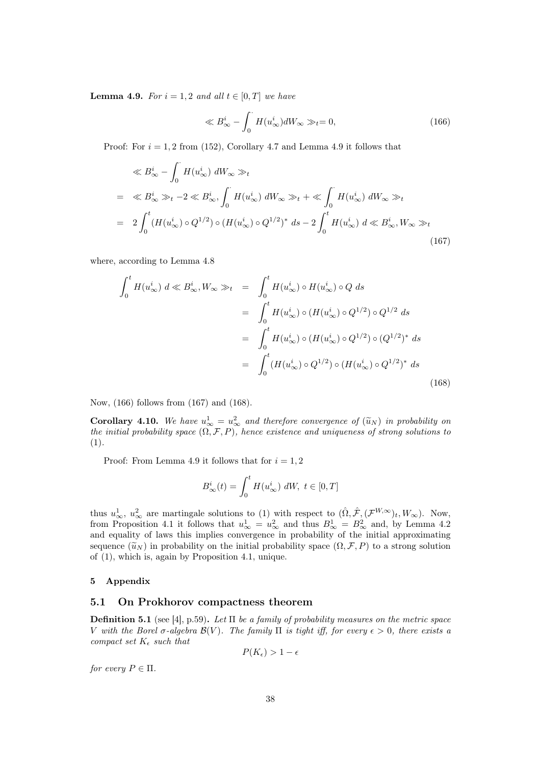**Lemma 4.9.** For  $i = 1, 2$  and all  $t \in [0, T]$  we have

$$
\ll B_{\infty}^{i} - \int_{0}^{\cdot} H(u_{\infty}^{i}) dW_{\infty} \gg_{t} = 0,
$$
\n(166)

Proof: For  $i = 1, 2$  from (152), Corollary 4.7 and Lemma 4.9 it follows that

$$
\ll B_{\infty}^{i} - \int_{0}^{\cdot} H(u_{\infty}^{i}) dW_{\infty} \gg_{t}
$$
  
\n
$$
= \ll B_{\infty}^{i} \gg_{t} -2 \ll B_{\infty}^{i}, \int_{0}^{\cdot} H(u_{\infty}^{i}) dW_{\infty} \gg_{t} + \ll \int_{0}^{\cdot} H(u_{\infty}^{i}) dW_{\infty} \gg_{t}
$$
  
\n
$$
= 2 \int_{0}^{t} (H(u_{\infty}^{i}) \circ Q^{1/2}) \circ (H(u_{\infty}^{i}) \circ Q^{1/2})^{*} ds - 2 \int_{0}^{t} H(u_{\infty}^{i}) d \ll B_{\infty}^{i}, W_{\infty} \gg_{t}
$$
\n(167)

where, according to Lemma 4.8

$$
\int_{0}^{t} H(u_{\infty}^{i}) d \ll B_{\infty}^{i}, W_{\infty} \gg_{t} = \int_{0}^{t} H(u_{\infty}^{i}) \circ H(u_{\infty}^{i}) \circ Q ds
$$
\n
$$
= \int_{0}^{t} H(u_{\infty}^{i}) \circ (H(u_{\infty}^{i}) \circ Q^{1/2}) \circ Q^{1/2} ds
$$
\n
$$
= \int_{0}^{t} H(u_{\infty}^{i}) \circ (H(u_{\infty}^{i}) \circ Q^{1/2}) \circ (Q^{1/2})^{*} ds
$$
\n
$$
= \int_{0}^{t} (H(u_{\infty}^{i}) \circ Q^{1/2}) \circ (H(u_{\infty}^{i}) \circ Q^{1/2})^{*} ds
$$
\n(168)

Now, (166) follows from (167) and (168).

**Corollary 4.10.** We have  $u^1_{\infty} = u^2_{\infty}$  and therefore convergence of  $(\widetilde{u}_N)$  in probability on the initial probability angle  $(0, \mathcal{F}, P)$  hange existence and uniquenese of strong solutions to the initial probability space  $(\Omega, \mathcal{F}, P)$ , hence existence and uniqueness of strong solutions to (1).

Proof: From Lemma 4.9 it follows that for  $i = 1, 2$ 

$$
B_{\infty}^{i}(t) = \int_{0}^{t} H(u_{\infty}^{i}) dW, \ t \in [0, T]
$$

thus  $u_{\infty}^1$ ,  $u_{\infty}^2$  are martingale solutions to (1) with respect to  $(\hat{\Omega}, \hat{\mathcal{F}}, (\mathcal{F}^{W,\infty})_t, W_{\infty})$ . Now, from Proposition 4.1 it follows that  $u_{\infty}^1 = u_{\infty}^2$  and thus  $B_{\infty}^1 = B_{\infty}^2$  and, by Lemma 4.2 and equality of laws this implies convergence in probability of the initial approximating sequence  $(\widetilde{u}_N)$  in probability on the initial probability space  $(\Omega, \mathcal{F}, P)$  to a strong solution of (1), which is, again by Proposition 4.1, unique.

### 5 Appendix

#### 5.1 On Prokhorov compactness theorem

**Definition 5.1** (see [4], p.59). Let  $\Pi$  be a family of probability measures on the metric space V with the Borel  $\sigma$ -algebra  $\mathcal{B}(V)$ . The family  $\Pi$  is tight iff, for every  $\epsilon > 0$ , there exists a compact set  $K_{\epsilon}$  such that

$$
P(K_{\epsilon}) > 1 - \epsilon
$$

for every  $P \in \Pi$ .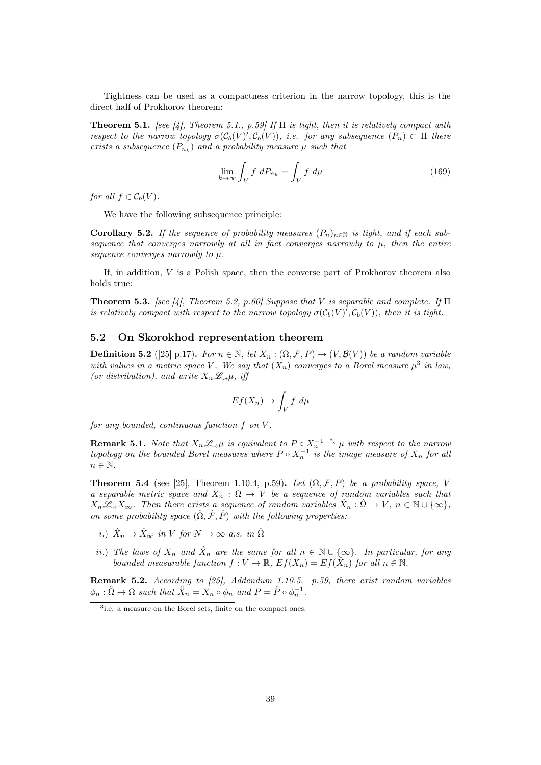Tightness can be used as a compactness criterion in the narrow topology, this is the direct half of Prokhorov theorem:

**Theorem 5.1.** [see [4], Theorem 5.1., p.59] If  $\Pi$  is tight, then it is relatively compact with respect to the narrow topology  $\sigma(\mathcal{C}_b(V), \mathcal{C}_b(V))$ , i.e. for any subsequence  $(P_n) \subset \Pi$  there exists a subsequence  $(P_{n_k})$  and a probability measure  $\mu$  such that

$$
\lim_{k \to \infty} \int_{V} f \, dP_{n_k} = \int_{V} f \, d\mu \tag{169}
$$

for all  $f \in C_b(V)$ .

We have the following subsequence principle:

Corollary 5.2. If the sequence of probability measures  $(P_n)_{n\in\mathbb{N}}$  is tight, and if each subsequence that converges narrowly at all in fact converges narrowly to  $\mu$ , then the entire sequence converges narrowly to  $\mu$ .

If, in addition,  $V$  is a Polish space, then the converse part of Prokhorov theorem also holds true:

**Theorem 5.3.** [see [4], Theorem 5.2, p.60] Suppose that V is separable and complete. If  $\Pi$ is relatively compact with respect to the narrow topology  $\sigma(\mathcal{C}_b(V)', \mathcal{C}_b(V))$ , then it is tight.

## 5.2 On Skorokhod representation theorem

**Definition 5.2** ([25] p.17). For  $n \in \mathbb{N}$ , let  $X_n : (\Omega, \mathcal{F}, P) \to (V, \mathcal{B}(V))$  be a random variable with values in a metric space V. We say that  $(X_n)$  converges to a Borel measure  $\mu^3$  in law, (or distribution), and write  $X_n \mathcal{L}_{\gamma} \mu$ , iff

$$
Ef(X_n) \to \int_V f \, d\mu
$$

for any bounded, continuous function f on V .

**Remark 5.1.** Note that  $X_n \mathcal{L}_{\gamma} \mu$  is equivalent to  $P \circ X_n^{-1} \stackrel{*}{\rightharpoonup} \mu$  with respect to the narrow topology on the bounded Borel measures where  $P \circ X_n^{-1}$  is the image measure of  $X_n$  for all  $n \in \mathbb{N}$ .

**Theorem 5.4** (see [25], Theorem 1.10.4, p.59). Let  $(\Omega, \mathcal{F}, P)$  be a probability space, V a separable metric space and  $X_n$ :  $\Omega \to V$  be a sequence of random variables such that  $X_n\mathscr{L}_{\alpha}X_{\infty}$ . Then there exists a sequence of random variables  $\hat{X}_n : \hat{\Omega} \to V$ ,  $n \in \mathbb{N} \cup \{\infty\}$ , on some probability space  $(\hat{\Omega}, \hat{\mathcal{F}}, \hat{P})$  with the following properties:

- i.)  $\hat{X}_n \to \hat{X}_{\infty}$  in V for  $N \to \infty$  a.s. in  $\hat{\Omega}$
- ii.) The laws of  $X_n$  and  $\hat{X}_n$  are the same for all  $n \in \mathbb{N} \cup \{\infty\}$ . In particular, for any bounded measurable function  $f: V \to \mathbb{R}, E f(X_n) = Ef(\hat{X}_n)$  for all  $n \in \mathbb{N}$ .

Remark 5.2. According to [25], Addendum 1.10.5. p.59, there exist random variables  $\phi_n : \hat{\Omega} \to \Omega$  such that  $\hat{X}_n = X_n \circ \phi_n$  and  $P = \hat{P} \circ \phi_n^{-1}$ .

<sup>3</sup> i.e. a measure on the Borel sets, finite on the compact ones.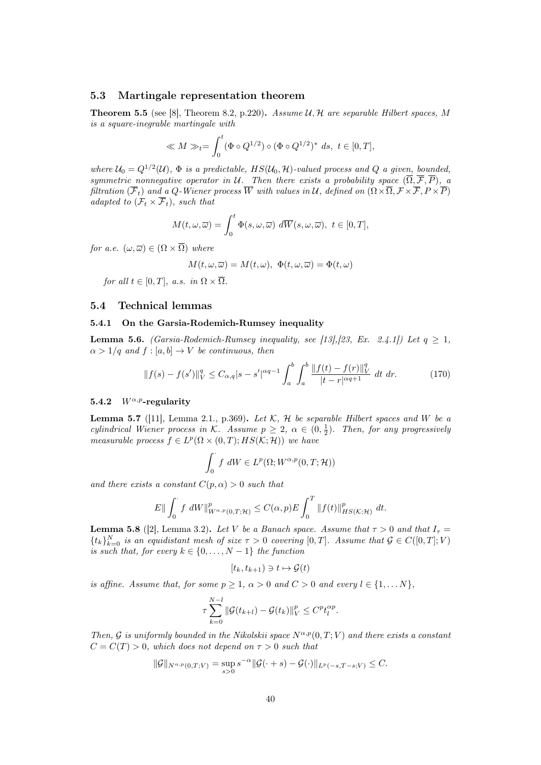#### 5.3 Martingale representation theorem

**Theorem 5.5** (see [8], Theorem 8.2, p.220). Assume  $U, H$  are separable Hilbert spaces, M is a square-inegrable martingale with

$$
\ll M \gg_t = \int_0^t (\Phi \circ Q^{1/2}) \circ (\Phi \circ Q^{1/2})^* ds, t \in [0, T],
$$

where  $U_0 = Q^{1/2}(\mathcal{U})$ ,  $\Phi$  is a predictable,  $HS(\mathcal{U}_0, \mathcal{H})$ -valued process and  $Q$  a given, bounded, symmetric nonnegative operator in U. Then there exists a probability space  $(\overline{\Omega}, \overline{\mathcal{F}}, \overline{P})$ , a filtration  $(\overline{\mathcal{F}}_t)$  and a Q-Wiener process W with values in U, defined on  $( \Omega \times \overline{\Omega}, \mathcal{F} \times \overline{\mathcal{F}}, P \times \overline{P})$ adapted to  $(\mathcal{F}_t \times \overline{\mathcal{F}}_t)$ , such that

$$
M(t,\omega,\overline{\omega})=\int_0^t\Phi(s,\omega,\overline{\omega})\,\,d\overline{W}(s,\omega,\overline{\omega}),\,\,t\in[0,T],
$$

for a.e.  $(\omega, \overline{\omega}) \in (\Omega \times \overline{\Omega})$  where

$$
M(t, \omega, \overline{\omega}) = M(t, \omega), \ \Phi(t, \omega, \overline{\omega}) = \Phi(t, \omega)
$$

for all  $t \in [0, T]$ , a.s. in  $\Omega \times \overline{\Omega}$ .

## 5.4 Technical lemmas

#### 5.4.1 On the Garsia-Rodemich-Rumsey inequality

**Lemma 5.6.** (Garsia-Rodemich-Rumsey inequality, see [13], [23, Ex. 2.4.1]) Let  $q \ge 1$ ,  $\alpha > 1/q$  and  $f : [a, b] \to V$  be continuous, then

$$
||f(s) - f(s')||_V^q \le C_{\alpha, q} |s - s'|^{\alpha q - 1} \int_a^b \int_a^b \frac{||f(t) - f(r)||_V^q}{|t - r|^{\alpha q + 1}} dt dr.
$$
 (170)

## 5.4.2  $W^{\alpha,p}$ -regularity

**Lemma 5.7** ([11], Lemma 2.1., p.369). Let  $K$ ,  $H$  be separable Hilbert spaces and W be a cylindrical Wiener process in K. Assume  $p \geq 2$ ,  $\alpha \in (0, \frac{1}{2})$ . Then, for any progressively measurable process  $f \in L^p(\Omega \times (0,T); HS(K; \mathcal{H}))$  we have

$$
\int_0^{\cdot} f \, dW \in L^p(\Omega; W^{\alpha, p}(0,T; \mathcal{H}))
$$

and there exists a constant  $C(p, \alpha) > 0$  such that

$$
E \|\int_0^{\cdot} f \ dW\|_{W^{\alpha,p}(0,T;\mathcal{H})}^p \leq C(\alpha,p) E \int_0^T \|f(t)\|_{HS(\mathcal{K};\mathcal{H})}^p \ dt.
$$

**Lemma 5.8** ([2], Lemma 3.2). Let V be a Banach space. Assume that  $\tau > 0$  and that  $I_{\tau} =$  ${t_k}_{k=0}^N$  is an equidistant mesh of size  $\tau > 0$  covering  $[0,T]$ . Assume that  $\mathcal{G} \in C([0,T]; V)$ is such that, for every  $k \in \{0, \ldots, N-1\}$  the function

$$
[t_k, t_{k+1}) \ni t \mapsto \mathcal{G}(t)
$$

is affine. Assume that, for some  $p > 1$ ,  $\alpha > 0$  and  $C > 0$  and every  $l \in \{1, \dots N\}$ ,

$$
\tau \sum_{k=0}^{N-l} \|\mathcal{G}(t_{k+l}) - \mathcal{G}(t_k)\|_{V}^p \le C^p t_l^{\alpha p}.
$$

Then, G is uniformly bounded in the Nikolskii space  $N^{\alpha,p}(0,T;V)$  and there exists a constant  $C = C(T) > 0$ , which does not depend on  $\tau > 0$  such that

$$
\|\mathcal{G}\|_{N^{\alpha,p}(0,T;V)} = \sup_{s>0} s^{-\alpha} \|\mathcal{G}(\cdot+s) - \mathcal{G}(\cdot)\|_{L^p(-s,T-s;V)} \leq C.
$$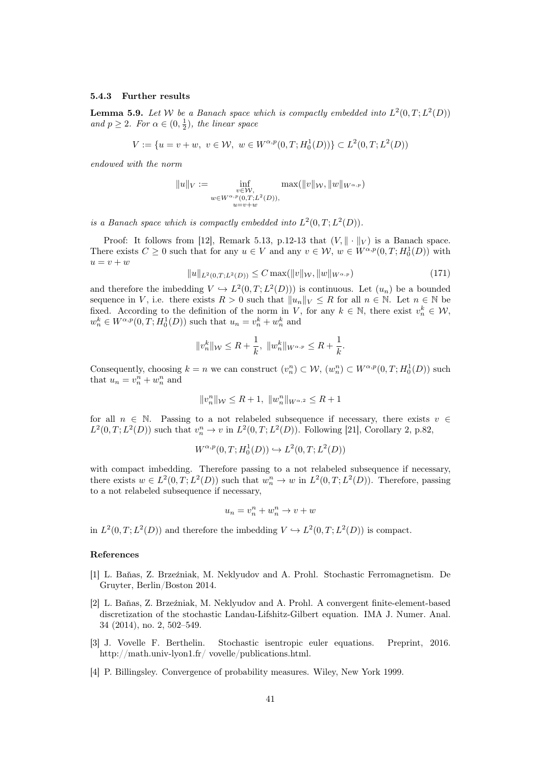#### 5.4.3 Further results

**Lemma 5.9.** Let W be a Banach space which is compactly embedded into  $L^2(0,T; L^2(D))$ and  $p \geq 2$ . For  $\alpha \in (0, \frac{1}{2})$ , the linear space

$$
V := \{ u = v + w, \ v \in \mathcal{W}, \ w \in W^{\alpha, p}(0, T; H_0^1(D)) \} \subset L^2(0, T; L^2(D))
$$

endowed with the norm

$$
||u||_V := \inf_{\substack{v \in \mathcal{W}, \\ w \in W^{\alpha, p}(0,T;L^2(D)), \\ u = v + w}} \max(||v||_{\mathcal{W}}, ||w||_{W^{\alpha, p}})
$$

is a Banach space which is compactly embedded into  $L^2(0,T;L^2(D))$ .

Proof: It follows from [12], Remark 5.13, p.12-13 that  $(V, \|\cdot\|_V)$  is a Banach space. There exists  $C \geq 0$  such that for any  $u \in V$  and any  $v \in W$ ,  $w \in W^{\alpha,p}(0,T; H_0^1(D))$  with  $u = v + w$ 

$$
||u||_{L^{2}(0,T;L^{2}(D))} \leq C \max(||v||_{\mathcal{W}}, ||w||_{W^{\alpha,p}})
$$
\n(171)

and therefore the imbedding  $V \hookrightarrow L^2(0,T; L^2(D))$  is continuous. Let  $(u_n)$  be a bounded sequence in V, i.e. there exists  $R > 0$  such that  $||u_n||_V \leq R$  for all  $n \in \mathbb{N}$ . Let  $n \in \mathbb{N}$  be fixed. According to the definition of the norm in V, for any  $k \in \mathbb{N}$ , there exist  $v_n^k \in \mathcal{W}$ ,  $w_n^k \in W^{\alpha,p}(0,T;H_0^1(D))$  such that  $u_n = v_n^k + w_n^k$  and

$$
||v_n^k||_{\mathcal{W}} \leq R + \frac{1}{k}, ||w_n^k||_{W^{\alpha,p}} \leq R + \frac{1}{k}.
$$

Consequently, choosing  $k = n$  we can construct  $(v_n^n) \subset W$ ,  $(w_n^n) \subset W^{\alpha, p}(0, T; H_0^1(D))$  such that  $u_n = v_n^n + w_n^n$  and

$$
||v_{n}^{n}||_{\mathcal{W}} \leq R + 1, ||w_{n}^{n}||_{W^{\alpha,2}} \leq R + 1
$$

for all  $n \in \mathbb{N}$ . Passing to a not relabeled subsequence if necessary, there exists  $v \in$  $L^2(0,T;L^2(D))$  such that  $v_n^n \to v$  in  $L^2(0,T;L^2(D))$ . Following [21], Corollary 2, p.82,

$$
W^{\alpha,p}(0,T; H_0^1(D)) \hookrightarrow L^2(0,T; L^2(D))
$$

with compact imbedding. Therefore passing to a not relabeled subsequence if necessary, there exists  $w \in L^2(0,T;L^2(D))$  such that  $w_n^n \to w$  in  $L^2(0,T;L^2(D))$ . Therefore, passing to a not relabeled subsequence if necessary,

$$
u_n = v_n^n + w_n^n \to v + w
$$

in  $L^2(0,T; L^2(D))$  and therefore the imbedding  $V \hookrightarrow L^2(0,T; L^2(D))$  is compact.

#### References

- [1] L. Baňas, Z. Brzeźniak, M. Neklyudov and A. Prohl. Stochastic Ferromagnetism. De Gruyter, Berlin/Boston 2014.
- [2] L. Baňas, Z. Brzeźniak, M. Neklyudov and A. Prohl. A convergent finite-element-based discretization of the stochastic Landau-Lifshitz-Gilbert equation. IMA J. Numer. Anal. 34 (2014), no. 2, 502–549.
- [3] J. Vovelle F. Berthelin. Stochastic isentropic euler equations. Preprint, 2016. http://math.univ-lyon1.fr/ vovelle/publications.html.
- [4] P. Billingsley. Convergence of probability measures. Wiley, New York 1999.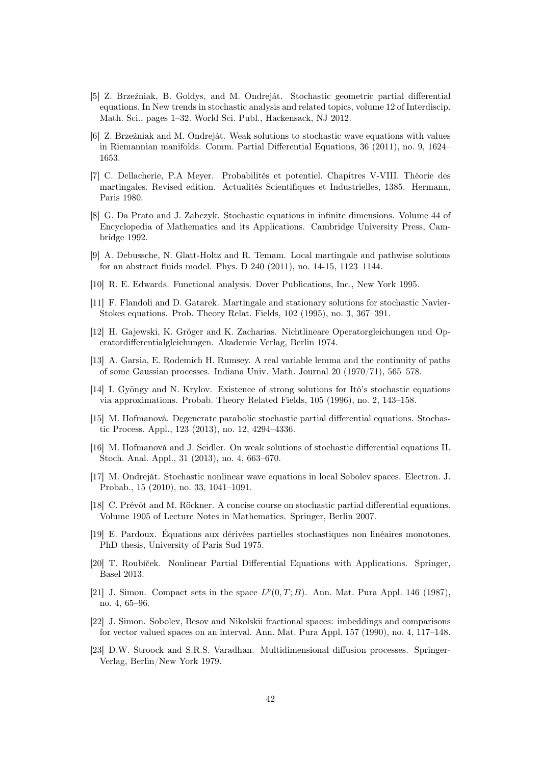- [5] Z. Brzeźniak, B. Goldys, and M. Ondreját. Stochastic geometric partial differential equations. In New trends in stochastic analysis and related topics, volume 12 of Interdiscip. Math. Sci., pages 1–32. World Sci. Publ., Hackensack, NJ 2012.
- [6] Z. Brzeźniak and M. Ondreját. Weak solutions to stochastic wave equations with values in Riemannian manifolds. Comm. Partial Differential Equations, 36 (2011), no. 9, 1624– 1653.
- [7] C. Dellacherie, P.A Meyer. Probabilités et potentiel. Chapitres V-VIII. Théorie des martingales. Revised edition. Actualités Scientifiques et Industrielles, 1385. Hermann, Paris 1980.
- [8] G. Da Prato and J. Zabczyk. Stochastic equations in infinite dimensions. Volume 44 of Encyclopedia of Mathematics and its Applications. Cambridge University Press, Cambridge 1992.
- [9] A. Debussche, N. Glatt-Holtz and R. Temam. Local martingale and pathwise solutions for an abstract fluids model. Phys. D 240 (2011), no. 14-15, 1123–1144.
- [10] R. E. Edwards. Functional analysis. Dover Publications, Inc., New York 1995.
- [11] F. Flandoli and D. Gatarek. Martingale and stationary solutions for stochastic Navier-Stokes equations. Prob. Theory Relat. Fields, 102 (1995), no. 3, 367–391.
- [12] H. Gajewski, K. Gröger and K. Zacharias. Nichtlineare Operatorgleichungen und Operatordifferentialgleichungen. Akademie Verlag, Berlin 1974.
- [13] A. Garsia, E. Rodemich H. Rumsey. A real variable lemma and the continuity of paths of some Gaussian processes. Indiana Univ. Math. Journal 20 (1970/71), 565–578.
- [14] I. Gyöngy and N. Krylov. Existence of strong solutions for Itô's stochastic equations via approximations. Probab. Theory Related Fields, 105 (1996), no. 2, 143–158.
- [15] M. Hofmanová. Degenerate parabolic stochastic partial differential equations. Stochastic Process. Appl., 123 (2013), no. 12, 4294–4336.
- [16] M. Hofmanová and J. Seidler. On weak solutions of stochastic differential equations II. Stoch. Anal. Appl., 31 (2013), no. 4, 663–670.
- [17] M. Ondreját. Stochastic nonlinear wave equations in local Sobolev spaces. Electron. J. Probab., 15 (2010), no. 33, 1041–1091.
- [18] C. Prévôt and M. Röckner. A concise course on stochastic partial differential equations. Volume 1905 of Lecture Notes in Mathematics. Springer, Berlin 2007.
- [19] E. Pardoux. Équations aux dérivées partielles stochastiques non linéaires monotones. PhD thesis, University of Paris Sud 1975.
- [20] T. Roubíček. Nonlinear Partial Differential Equations with Applications. Springer, Basel 2013.
- [21] J. Simon. Compact sets in the space  $L^p(0,T;B)$ . Ann. Mat. Pura Appl. 146 (1987), no. 4, 65–96.
- [22] J. Simon. Sobolev, Besov and Nikolskii fractional spaces: imbeddings and comparisons for vector valued spaces on an interval. Ann. Mat. Pura Appl. 157 (1990), no. 4, 117–148.
- [23] D.W. Stroock and S.R.S. Varadhan. Multidimensional diffusion processes. Springer-Verlag, Berlin/New York 1979.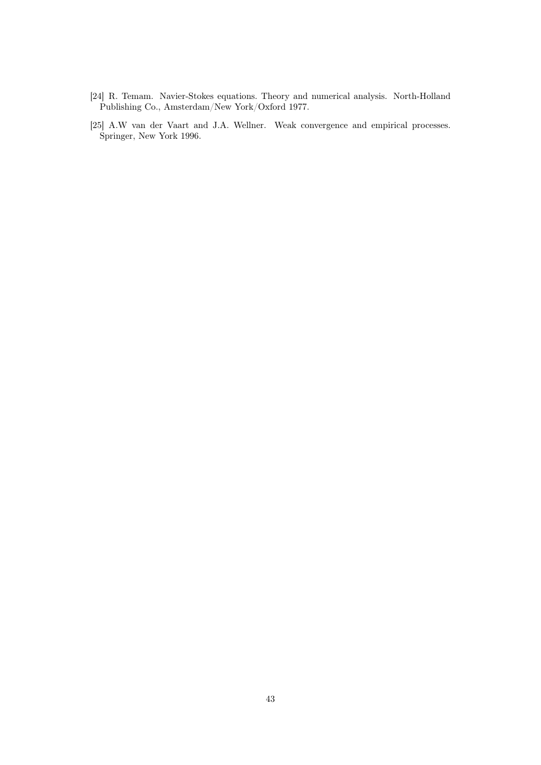- [24] R. Temam. Navier-Stokes equations. Theory and numerical analysis. North-Holland Publishing Co., Amsterdam/New York/Oxford 1977.
- [25] A.W van der Vaart and J.A. Wellner. Weak convergence and empirical processes. Springer, New York 1996.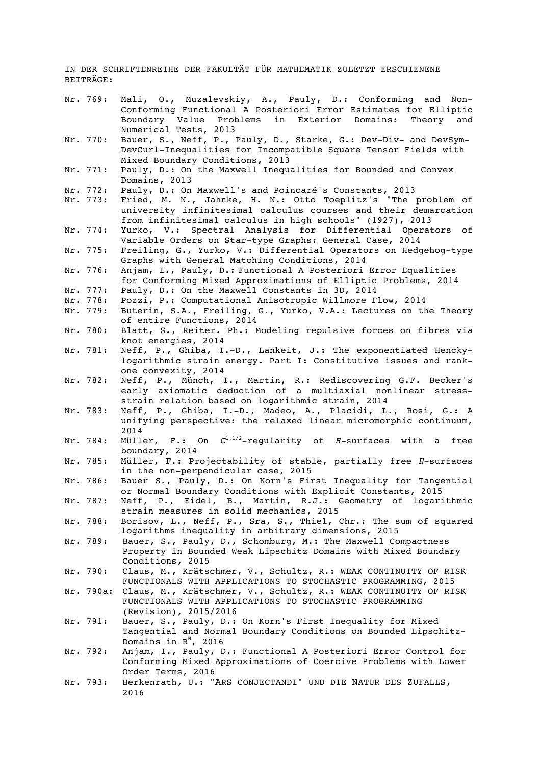IN DER SCHRIFTENREIHE DER FAKULTÄT FÜR MATHEMATIK ZULETZT ERSCHIENENE BEITRÄGE:

- Nr. 769: Mali, O., Muzalevskiy, A., Pauly, D.: Conforming and Non-Conforming Functional A Posteriori Error Estimates for Elliptic Boundary Value Problems in Exterior Domains: Theory and Numerical Tests, 2013
- Nr. 770: Bauer, S., Neff, P., Pauly, D., Starke, G.: Dev-Div- and DevSym-DevCurl-Inequalities for Incompatible Square Tensor Fields with Mixed Boundary Conditions, 2013
- Nr. 771: Pauly, D.: On the Maxwell Inequalities for Bounded and Convex Domains, 2013
- Nr. 772: Pauly, D.: On Maxwell's and Poincaré's Constants, 2013
- Nr. 773: Fried, M. N., Jahnke, H. N.: Otto Toeplitz's "The problem of university infinitesimal calculus courses and their demarcation from infinitesimal calculus in high schools" (1927), 2013
- Nr. 774: Yurko, V.: Spectral Analysis for Differential Operators of Variable Orders on Star-type Graphs: General Case, 2014
- Nr. 775: Freiling, G., Yurko, V.: Differential Operators on Hedgehog-type Graphs with General Matching Conditions, 2014
- Nr. 776: Anjam, I., Pauly, D.: Functional A Posteriori Error Equalities for Conforming Mixed Approximations of Elliptic Problems, 2014
- Nr. 777: Pauly, D.: On the Maxwell Constants in 3D, 2014<br>Nr. 778: Pozzi, P.: Computational Anisotropic Willmore F
- Nr. 778: Pozzi, P.: Computational Anisotropic Willmore Flow, 2014<br>Nr. 779: Buterin, S.A., Freiling, G., Yurko, V.A.: Lectures on th
- Buterin, S.A., Freiling, G., Yurko, V.A.: Lectures on the Theory of entire Functions, 2014
- Nr. 780: Blatt, S., Reiter. Ph.: Modeling repulsive forces on fibres via knot energies, 2014
- Nr. 781: Neff, P., Ghiba, I.-D., Lankeit, J.: The exponentiated Henckylogarithmic strain energy. Part I: Constitutive issues and rankone convexity, 2014
- Nr. 782: Neff, P., Münch, I., Martin, R.: Rediscovering G.F. Becker's early axiomatic deduction of a multiaxial nonlinear stressstrain relation based on logarithmic strain, 2014
- Nr. 783: Neff, P., Ghiba, I.-D., Madeo, A., Placidi, L., Rosi, G.: A unifying perspective: the relaxed linear micromorphic continuum, 2014
- Nr. 784: Müller, F.: On  $C^{1/1/2}$ -regularity of *H*-surfaces with a free boundary, 2014
- Nr. 785: Müller, F.: Projectability of stable, partially free *H*-surfaces in the non-perpendicular case, 2015
- Nr. 786: Bauer S., Pauly, D.: On Korn's First Inequality for Tangential or Normal Boundary Conditions with Explicit Constants, 2015
- Nr. 787: Neff, P., Eidel, B., Martin, R.J.: Geometry of logarithmic strain measures in solid mechanics, 2015
- Nr. 788: Borisov, L., Neff, P., Sra, S., Thiel, Chr.: The sum of squared logarithms inequality in arbitrary dimensions, 2015
- Nr. 789: Bauer, S., Pauly, D., Schomburg, M.: The Maxwell Compactness Property in Bounded Weak Lipschitz Domains with Mixed Boundary Conditions, 2015
- Nr. 790: Claus, M., Krätschmer, V., Schultz, R.: WEAK CONTINUITY OF RISK FUNCTIONALS WITH APPLICATIONS TO STOCHASTIC PROGRAMMING, 2015
- Nr. 790a: Claus, M., Krätschmer, V., Schultz, R.: WEAK CONTINUITY OF RISK FUNCTIONALS WITH APPLICATIONS TO STOCHASTIC PROGRAMMING (Revision), 2015/2016
- Nr. 791: Bauer, S., Pauly, D.: On Korn's First Inequality for Mixed Tangential and Normal Boundary Conditions on Bounded Lipschitz-Domains in  $R^N$ , 2016
- Nr. 792: Anjam, I., Pauly, D.: Functional A Posteriori Error Control for Conforming Mixed Approximations of Coercive Problems with Lower Order Terms, 2016
- Nr. 793: Herkenrath, U.: "ARS CONJECTANDI" UND DIE NATUR DES ZUFALLS, 2016